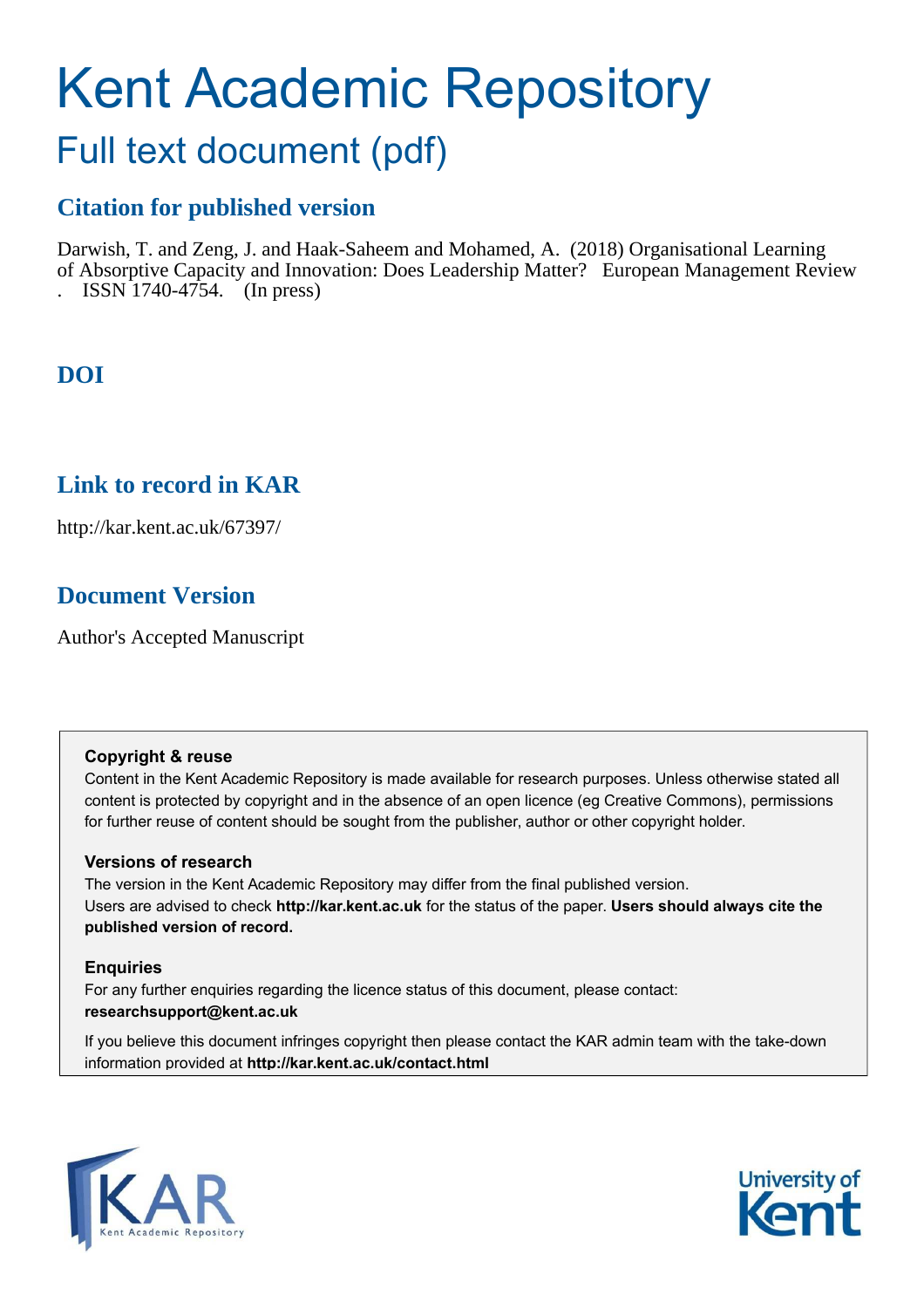# Kent Academic Repository

## Full text document (pdf)

## **Citation for published version**

Darwish, T. and Zeng, J. and Haak-Saheem and Mohamed, A. (2018) Organisational Learning of Absorptive Capacity and Innovation: Does Leadership Matter? European Management Review  $ISSN$  1740-4754. (In press)

## **DOI**

## **Link to record in KAR**

http://kar.kent.ac.uk/67397/

## **Document Version**

Author's Accepted Manuscript

#### **Copyright & reuse**

Content in the Kent Academic Repository is made available for research purposes. Unless otherwise stated all content is protected by copyright and in the absence of an open licence (eg Creative Commons), permissions for further reuse of content should be sought from the publisher, author or other copyright holder.

#### **Versions of research**

The version in the Kent Academic Repository may differ from the final published version. Users are advised to check **http://kar.kent.ac.uk** for the status of the paper. **Users should always cite the published version of record.**

#### **Enquiries**

For any further enquiries regarding the licence status of this document, please contact: **researchsupport@kent.ac.uk**

If you believe this document infringes copyright then please contact the KAR admin team with the take-down information provided at **http://kar.kent.ac.uk/contact.html**



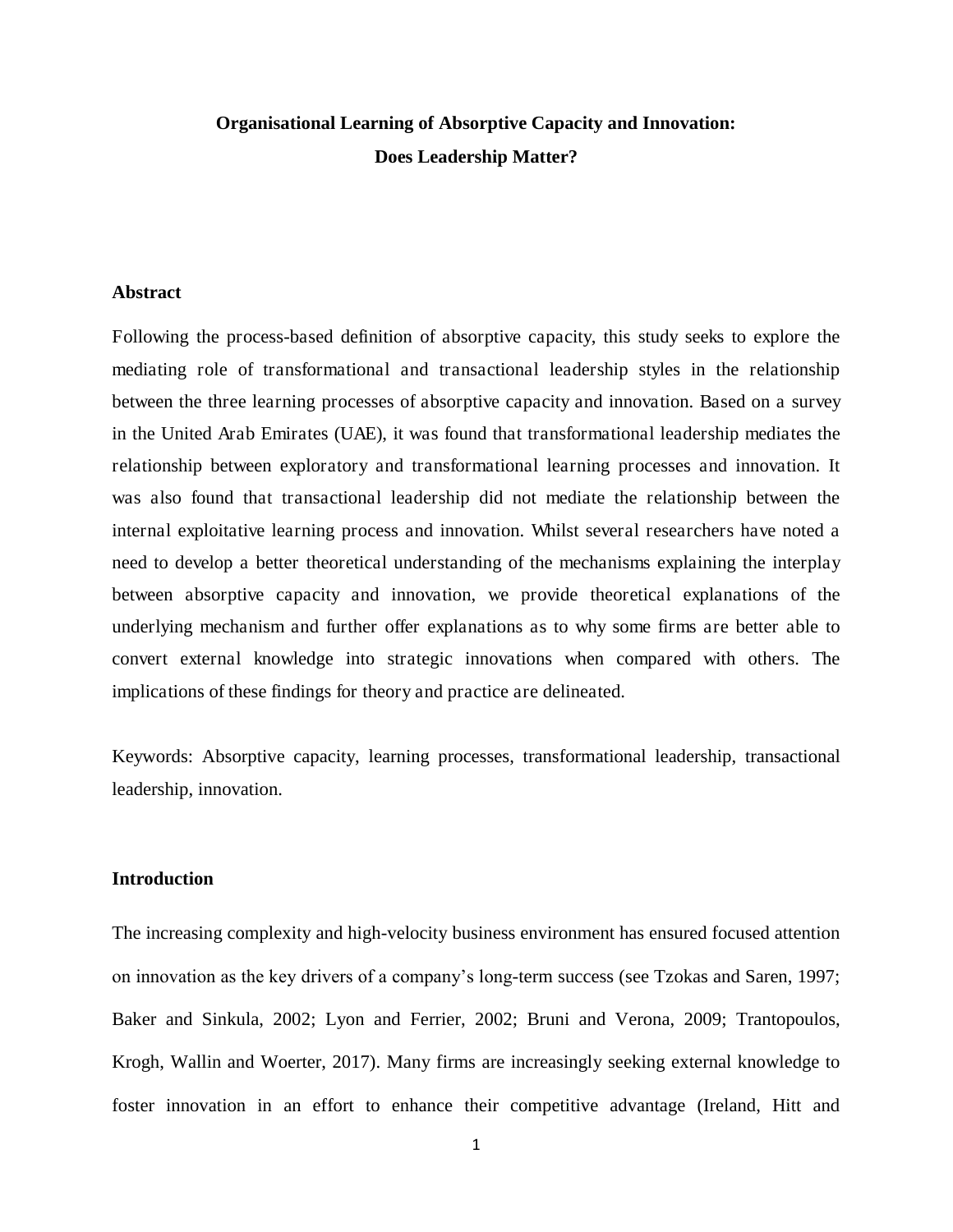### **Organisational Learning of Absorptive Capacity and Innovation: Does Leadership Matter?**

#### **Abstract**

Following the process-based definition of absorptive capacity, this study seeks to explore the mediating role of transformational and transactional leadership styles in the relationship between the three learning processes of absorptive capacity and innovation. Based on a survey in the United Arab Emirates (UAE), it was found that transformational leadership mediates the relationship between exploratory and transformational learning processes and innovation. It was also found that transactional leadership did not mediate the relationship between the internal exploitative learning process and innovation. Whilst several researchers have noted a need to develop a better theoretical understanding of the mechanisms explaining the interplay between absorptive capacity and innovation, we provide theoretical explanations of the underlying mechanism and further offer explanations as to why some firms are better able to convert external knowledge into strategic innovations when compared with others. The implications of these findings for theory and practice are delineated.

Keywords: Absorptive capacity, learning processes, transformational leadership, transactional leadership, innovation.

#### **Introduction**

The increasing complexity and high-velocity business environment has ensured focused attention on innovation as the key drivers of a company's long-term success (see Tzokas and Saren, 1997; Baker and Sinkula, 2002; Lyon and Ferrier, 2002; Bruni and Verona, 2009; Trantopoulos, Krogh, Wallin and Woerter, 2017). Many firms are increasingly seeking external knowledge to foster innovation in an effort to enhance their competitive advantage (Ireland, Hitt and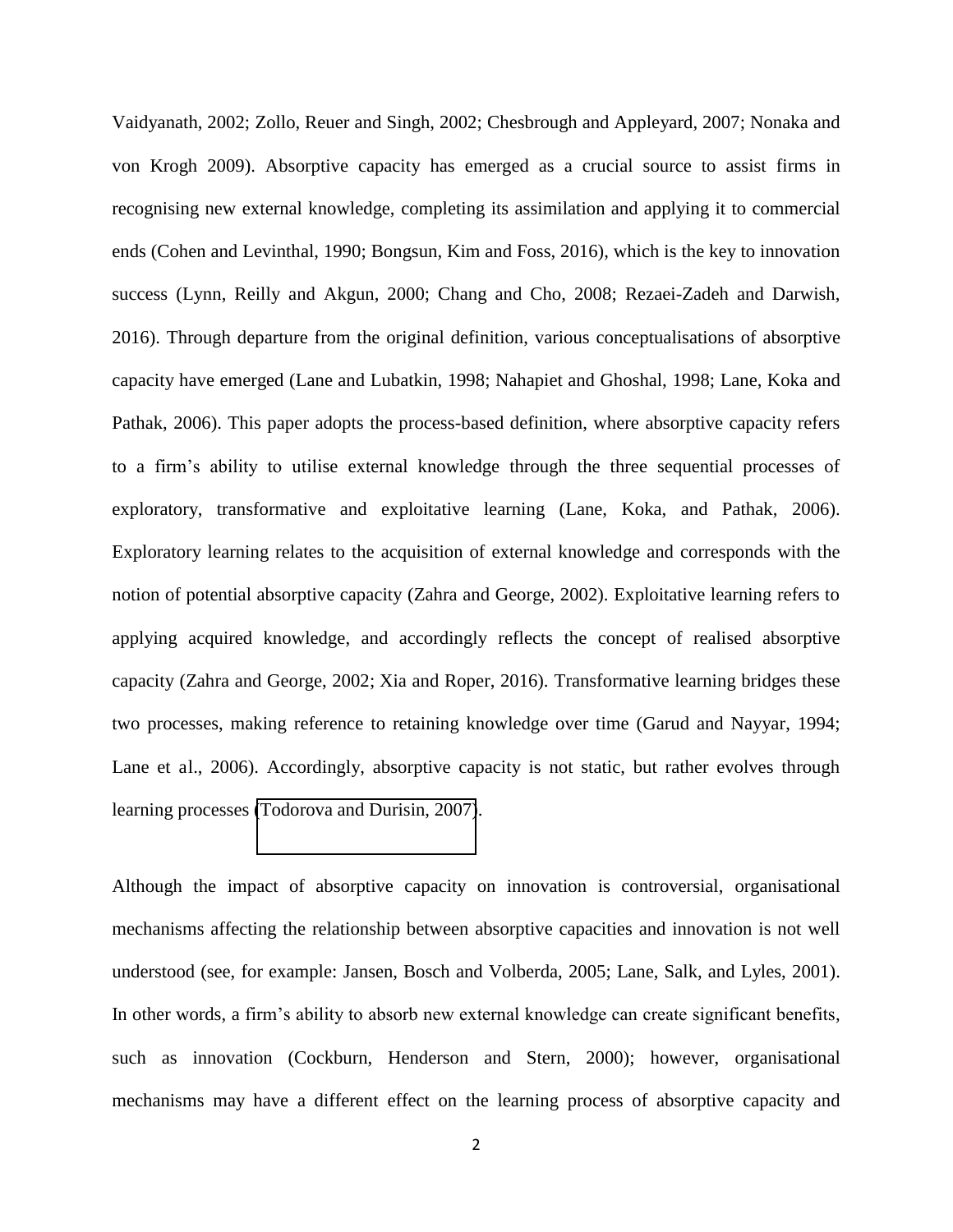Vaidyanath, 2002; Zollo, Reuer and Singh, 2002; Chesbrough and Appleyard, 2007; Nonaka and von Krogh 2009). Absorptive capacity has emerged as a crucial source to assist firms in recognising new external knowledge, completing its assimilation and applying it to commercial ends (Cohen and Levinthal, 1990; Bongsun, Kim and Foss, 2016), which is the key to innovation success (Lynn, Reilly and Akgun, 2000; Chang and Cho, 2008; Rezaei-Zadeh and Darwish, 2016). Through departure from the original definition, various conceptualisations of absorptive capacity have emerged (Lane and Lubatkin, 1998; Nahapiet and Ghoshal, 1998; Lane, Koka and Pathak, 2006). This paper adopts the process-based definition, where absorptive capacity refers to a firm's ability to utilise external knowledge through the three sequential processes of exploratory, transformative and exploitative learning (Lane, Koka, and Pathak, 2006). Exploratory learning relates to the acquisition of external knowledge and corresponds with the notion of potential absorptive capacity (Zahra and George, 2002). Exploitative learning refers to applying acquired knowledge, and accordingly reflects the concept of realised absorptive capacity (Zahra and George, 2002; Xia and Roper, 2016). Transformative learning bridges these two processes, making reference to retaining knowledge over time (Garud and Nayyar, 1994; Lane et al., 2006). Accordingly, absorptive capacity is not static, but rather evolves through learning processes [\(Todorova and Durisin, 2007\)](http://www.sciencedirect.com/science/article/pii/S0263237311000740#b0175).

Although the impact of absorptive capacity on innovation is controversial, organisational mechanisms affecting the relationship between absorptive capacities and innovation is not well understood (see, for example: Jansen, Bosch and Volberda, 2005; Lane, Salk, and Lyles, 2001). In other words, a firm's ability to absorb new external knowledge can create significant benefits, such as innovation (Cockburn, Henderson and Stern, 2000); however, organisational mechanisms may have a different effect on the learning process of absorptive capacity and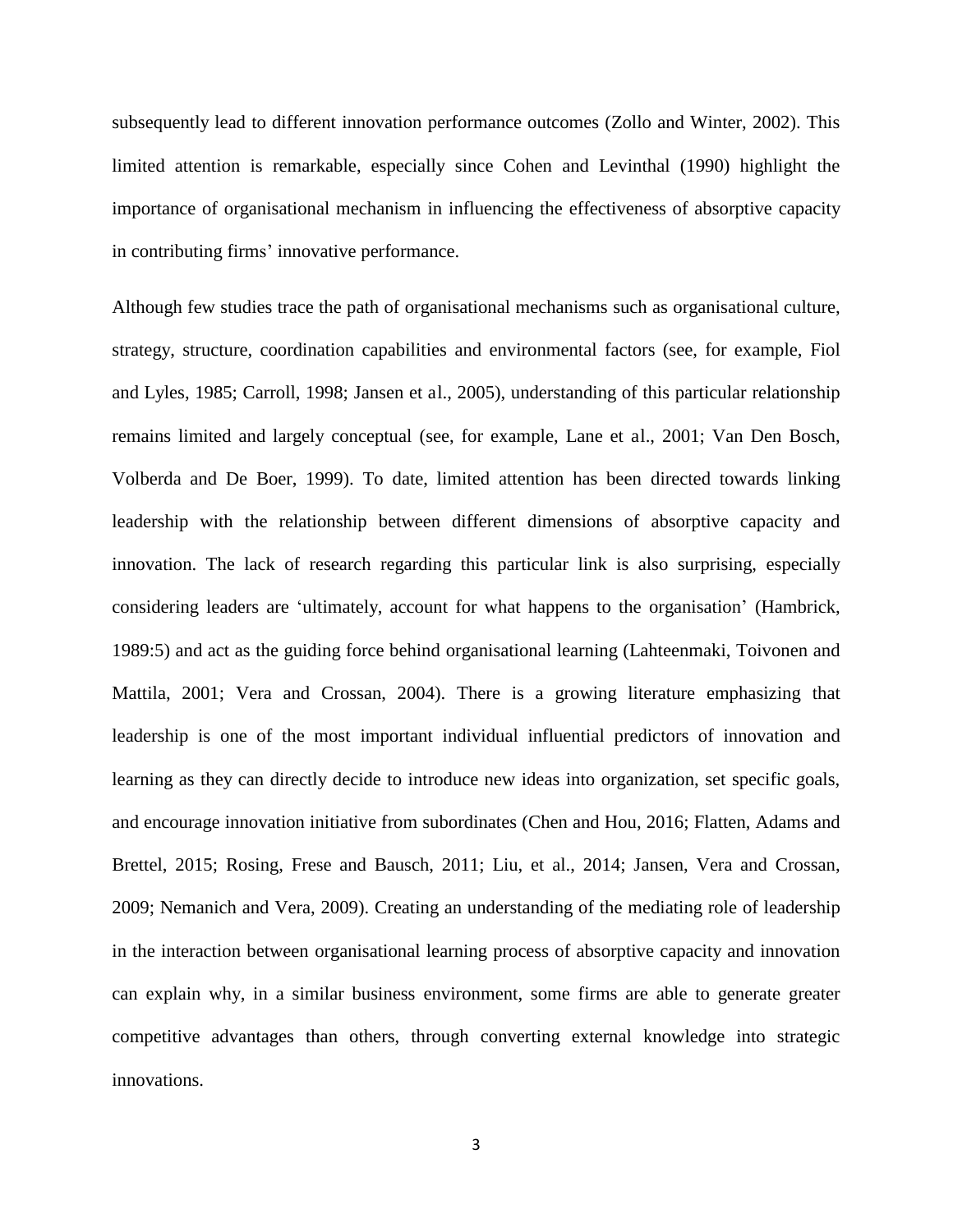subsequently lead to different innovation performance outcomes (Zollo and Winter, 2002). This limited attention is remarkable, especially since Cohen and Levinthal (1990) highlight the importance of organisational mechanism in influencing the effectiveness of absorptive capacity in contributing firms' innovative performance.

Although few studies trace the path of organisational mechanisms such as organisational culture, strategy, structure, coordination capabilities and environmental factors (see, for example, Fiol and Lyles, 1985; Carroll, 1998; Jansen et al., 2005), understanding of this particular relationship remains limited and largely conceptual (see, for example, Lane et al., 2001; Van Den Bosch, Volberda and De Boer, 1999). To date, limited attention has been directed towards linking leadership with the relationship between different dimensions of absorptive capacity and innovation. The lack of research regarding this particular link is also surprising, especially considering leaders are 'ultimately, account for what happens to the organisation' (Hambrick, 1989:5) and act as the guiding force behind organisational learning (Lahteenmaki, Toivonen and Mattila, 2001; Vera and Crossan, 2004). There is a growing literature emphasizing that leadership is one of the most important individual influential predictors of innovation and learning as they can directly decide to introduce new ideas into organization, set specific goals, and encourage innovation initiative from subordinates (Chen and Hou, 2016; Flatten, Adams and Brettel, 2015; Rosing, Frese and Bausch, 2011; Liu, et al., 2014; Jansen, Vera and Crossan, 2009; Nemanich and Vera, 2009). Creating an understanding of the mediating role of leadership in the interaction between organisational learning process of absorptive capacity and innovation can explain why, in a similar business environment, some firms are able to generate greater competitive advantages than others, through converting external knowledge into strategic innovations.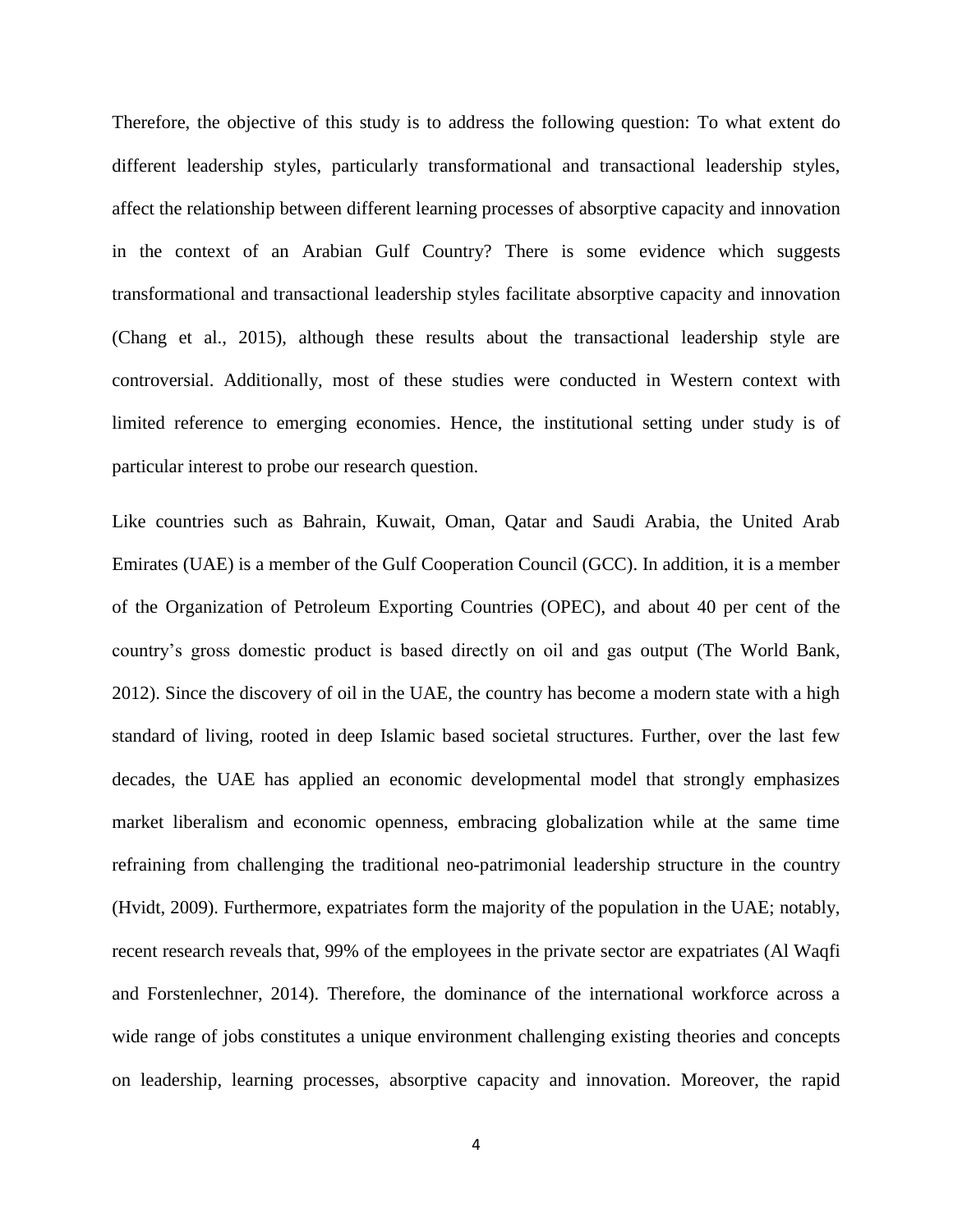Therefore, the objective of this study is to address the following question: To what extent do different leadership styles, particularly transformational and transactional leadership styles, affect the relationship between different learning processes of absorptive capacity and innovation in the context of an Arabian Gulf Country? There is some evidence which suggests transformational and transactional leadership styles facilitate absorptive capacity and innovation (Chang et al., 2015), although these results about the transactional leadership style are controversial. Additionally, most of these studies were conducted in Western context with limited reference to emerging economies. Hence, the institutional setting under study is of particular interest to probe our research question.

Like countries such as Bahrain, Kuwait, Oman, Qatar and Saudi Arabia, the United Arab Emirates (UAE) is a member of the Gulf Cooperation Council (GCC). In addition, it is a member of the Organization of Petroleum Exporting Countries (OPEC), and about 40 per cent of the country's gross domestic product is based directly on oil and gas output (The World Bank, 2012). Since the discovery of oil in the UAE, the country has become a modern state with a high standard of living, rooted in deep Islamic based societal structures. Further, over the last few decades, the UAE has applied an economic developmental model that strongly emphasizes market liberalism and economic openness, embracing globalization while at the same time refraining from challenging the traditional neo-patrimonial leadership structure in the country (Hvidt, 2009). Furthermore, expatriates form the majority of the population in the UAE; notably, recent research reveals that, 99% of the employees in the private sector are expatriates (Al Waqfi and Forstenlechner, 2014). Therefore, the dominance of the international workforce across a wide range of jobs constitutes a unique environment challenging existing theories and concepts on leadership, learning processes, absorptive capacity and innovation. Moreover, the rapid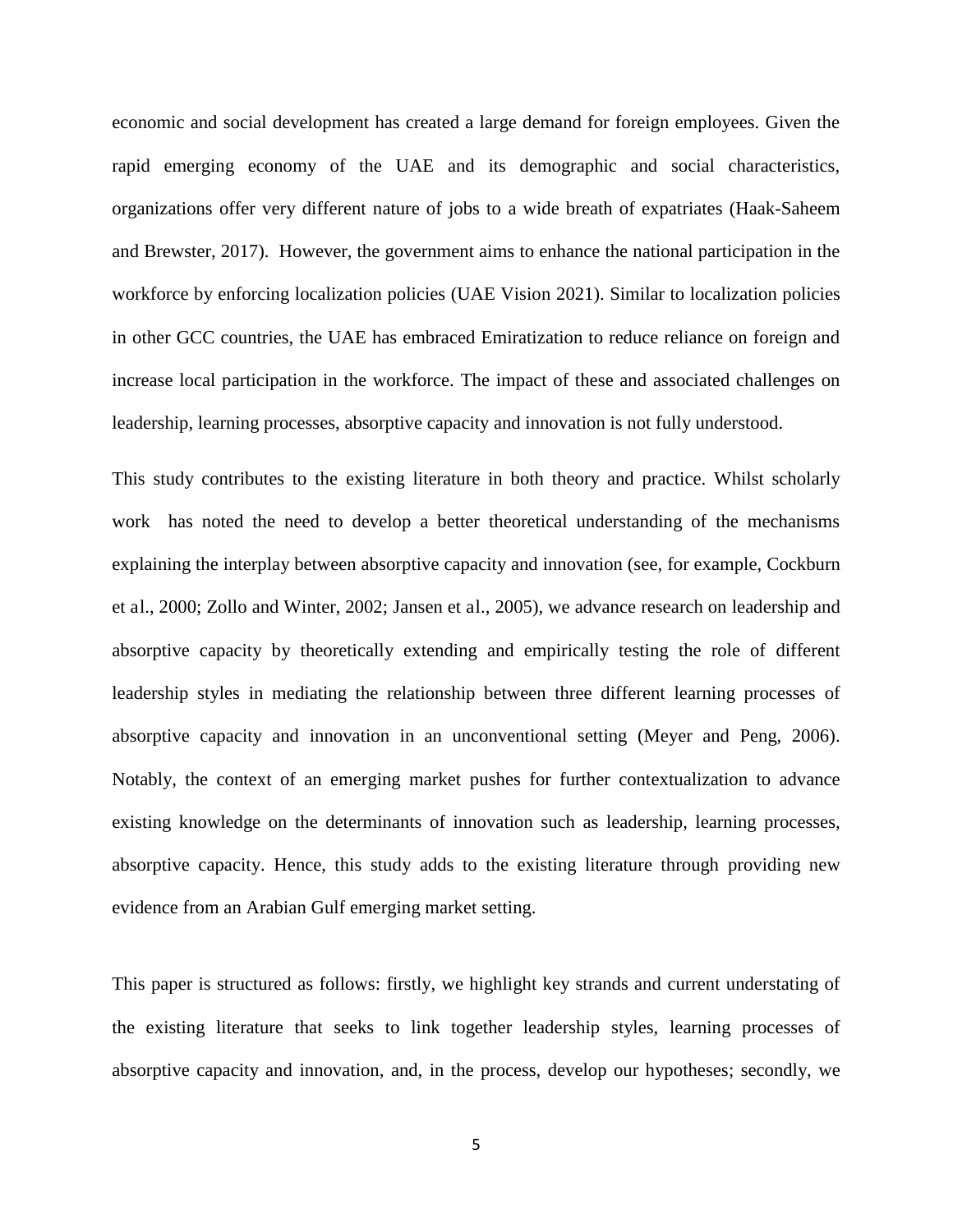economic and social development has created a large demand for foreign employees. Given the rapid emerging economy of the UAE and its demographic and social characteristics, organizations offer very different nature of jobs to a wide breath of expatriates (Haak-Saheem and Brewster, 2017). However, the government aims to enhance the national participation in the workforce by enforcing localization policies (UAE Vision 2021). Similar to localization policies in other GCC countries, the UAE has embraced Emiratization to reduce reliance on foreign and increase local participation in the workforce. The impact of these and associated challenges on leadership, learning processes, absorptive capacity and innovation is not fully understood.

This study contributes to the existing literature in both theory and practice. Whilst scholarly work has noted the need to develop a better theoretical understanding of the mechanisms explaining the interplay between absorptive capacity and innovation (see, for example, Cockburn et al., 2000; Zollo and Winter, 2002; Jansen et al., 2005), we advance research on leadership and absorptive capacity by theoretically extending and empirically testing the role of different leadership styles in mediating the relationship between three different learning processes of absorptive capacity and innovation in an unconventional setting (Meyer and Peng, 2006). Notably, the context of an emerging market pushes for further contextualization to advance existing knowledge on the determinants of innovation such as leadership, learning processes, absorptive capacity. Hence, this study adds to the existing literature through providing new evidence from an Arabian Gulf emerging market setting.

This paper is structured as follows: firstly, we highlight key strands and current understating of the existing literature that seeks to link together leadership styles, learning processes of absorptive capacity and innovation, and, in the process, develop our hypotheses; secondly, we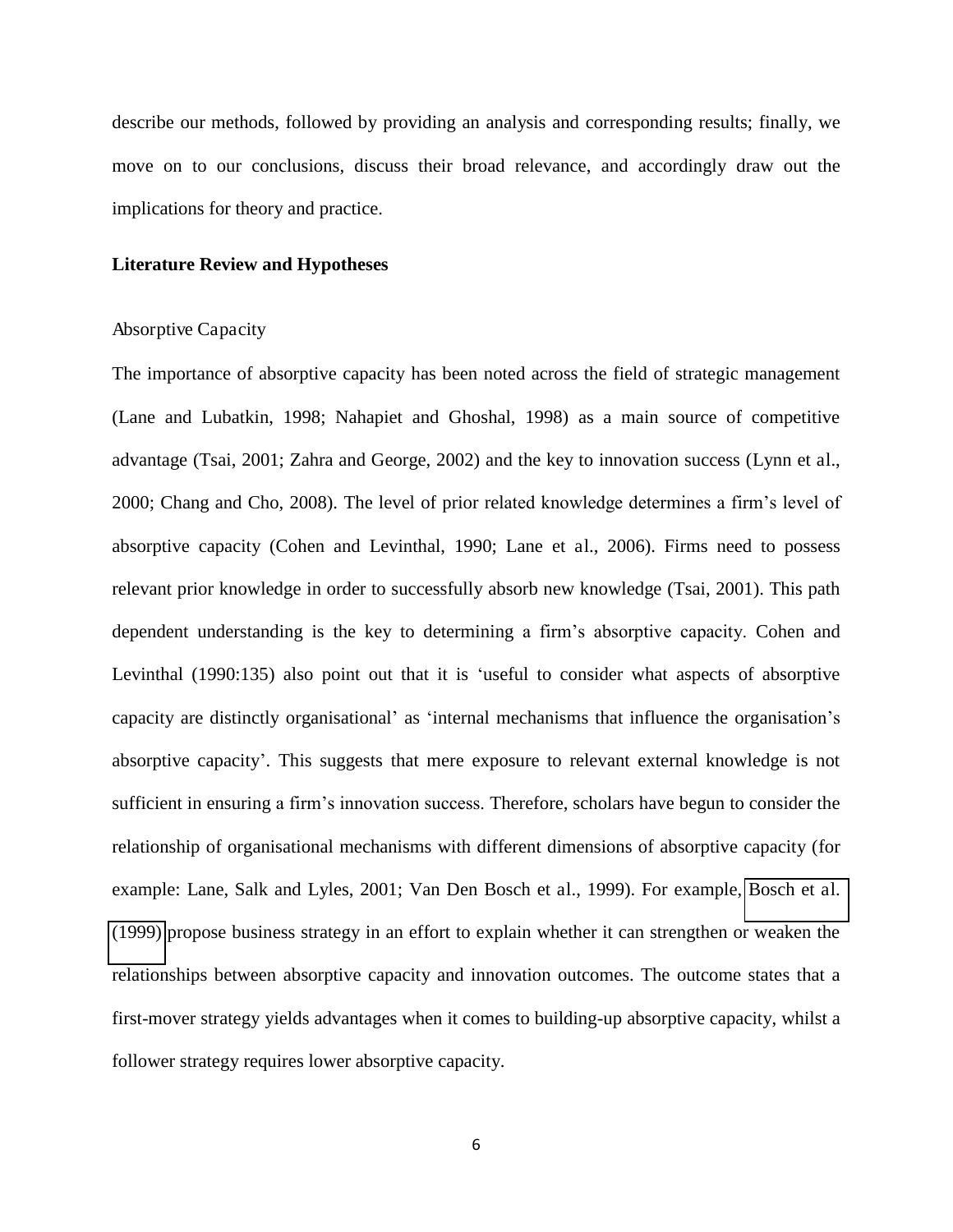describe our methods, followed by providing an analysis and corresponding results; finally, we move on to our conclusions, discuss their broad relevance, and accordingly draw out the implications for theory and practice.

#### **Literature Review and Hypotheses**

#### Absorptive Capacity

The importance of absorptive capacity has been noted across the field of strategic management (Lane and Lubatkin, 1998; Nahapiet and Ghoshal, 1998) as a main source of competitive advantage (Tsai, 2001; Zahra and George, 2002) and the key to innovation success (Lynn et al., 2000; Chang and Cho, 2008). The level of prior related knowledge determines a firm's level of absorptive capacity (Cohen and Levinthal, 1990; Lane et al., 2006). Firms need to possess relevant prior knowledge in order to successfully absorb new knowledge (Tsai, 2001). This path dependent understanding is the key to determining a firm's absorptive capacity. Cohen and Levinthal (1990:135) also point out that it is 'useful to consider what aspects of absorptive capacity are distinctly organisational' as 'internal mechanisms that influence the organisation's absorptive capacity'. This suggests that mere exposure to relevant external knowledge is not sufficient in ensuring a firm's innovation success. Therefore, scholars have begun to consider the relationship of organisational mechanisms with different dimensions of absorptive capacity (for example: Lane, Salk and Lyles, 2001; Van Den Bosch et al., 1999). For example, [Bosch et al.](http://www.sciencedirect.com/science/article/pii/S0263237311000740#b0005)  [\(1999\)](http://www.sciencedirect.com/science/article/pii/S0263237311000740#b0005) propose business strategy in an effort to explain whether it can strengthen or weaken the relationships between absorptive capacity and innovation outcomes. The outcome states that a first-mover strategy yields advantages when it comes to building-up absorptive capacity, whilst a follower strategy requires lower absorptive capacity.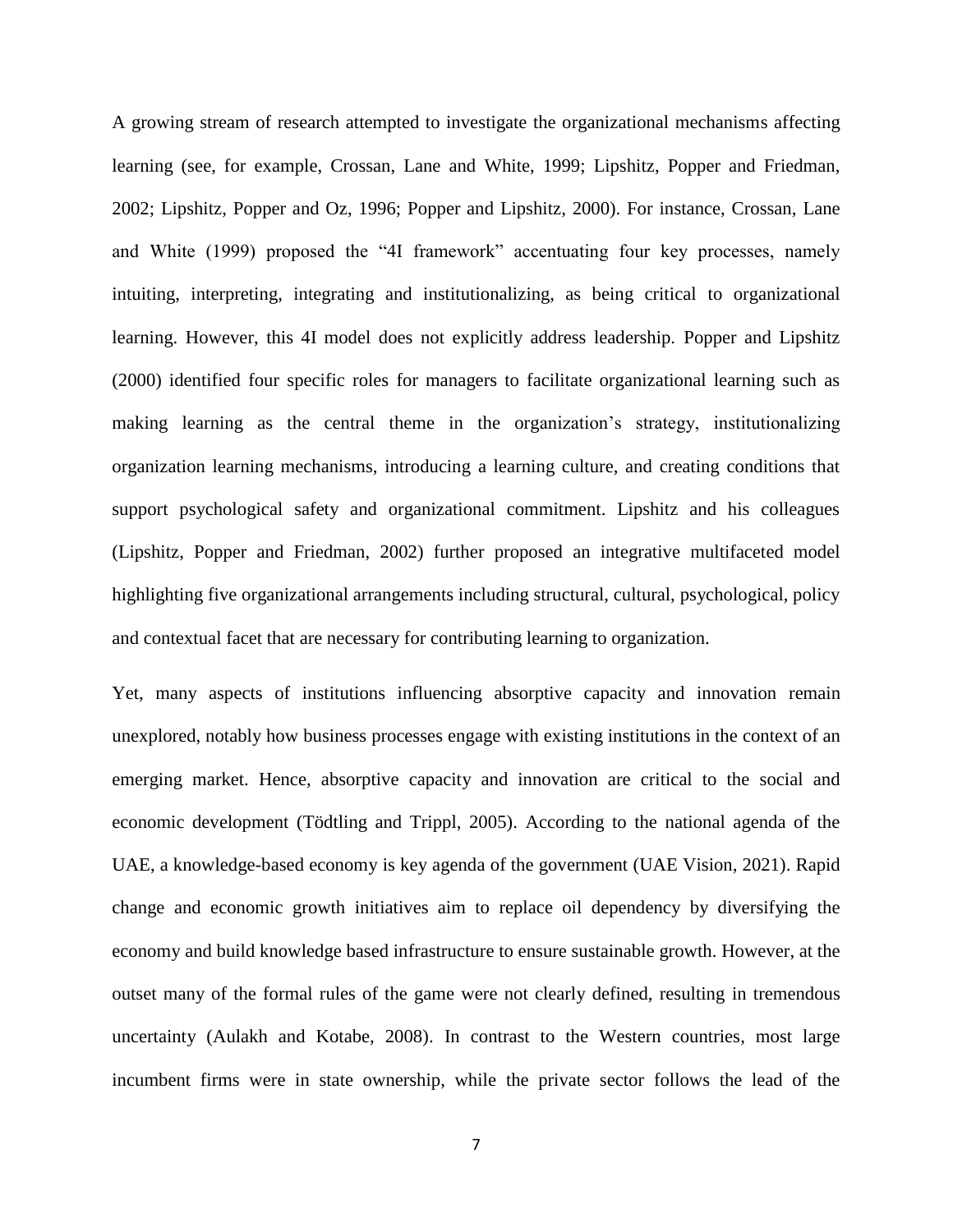A growing stream of research attempted to investigate the organizational mechanisms affecting learning (see, for example, Crossan, Lane and White, 1999; Lipshitz, Popper and Friedman, 2002; Lipshitz, Popper and Oz, 1996; Popper and Lipshitz, 2000). For instance, Crossan, Lane and White (1999) proposed the "4I framework" accentuating four key processes, namely intuiting, interpreting, integrating and institutionalizing, as being critical to organizational learning. However, this 4I model does not explicitly address leadership. Popper and Lipshitz (2000) identified four specific roles for managers to facilitate organizational learning such as making learning as the central theme in the organization's strategy, institutionalizing organization learning mechanisms, introducing a learning culture, and creating conditions that support psychological safety and organizational commitment. Lipshitz and his colleagues (Lipshitz, Popper and Friedman, 2002) further proposed an integrative multifaceted model highlighting five organizational arrangements including structural, cultural, psychological, policy and contextual facet that are necessary for contributing learning to organization.

Yet, many aspects of institutions influencing absorptive capacity and innovation remain unexplored, notably how business processes engage with existing institutions in the context of an emerging market. Hence, absorptive capacity and innovation are critical to the social and economic development (Tödtling and Trippl, 2005). According to the national agenda of the UAE, a knowledge-based economy is key agenda of the government (UAE Vision, 2021). Rapid change and economic growth initiatives aim to replace oil dependency by diversifying the economy and build knowledge based infrastructure to ensure sustainable growth. However, at the outset many of the formal rules of the game were not clearly defined, resulting in tremendous uncertainty (Aulakh and Kotabe, 2008). In contrast to the Western countries, most large incumbent firms were in state ownership, while the private sector follows the lead of the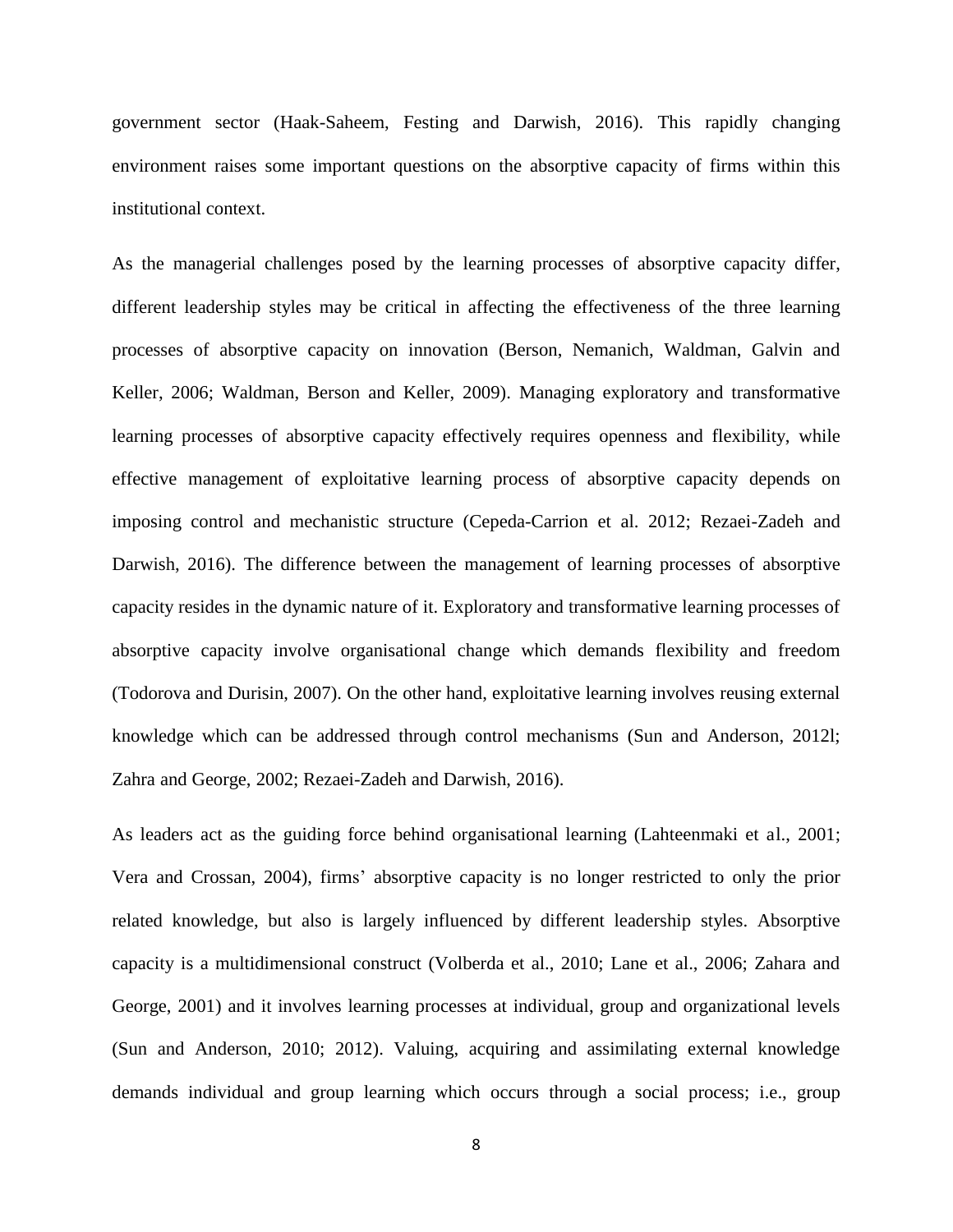government sector (Haak-Saheem, Festing and Darwish, 2016). This rapidly changing environment raises some important questions on the absorptive capacity of firms within this institutional context.

As the managerial challenges posed by the learning processes of absorptive capacity differ, different leadership styles may be critical in affecting the effectiveness of the three learning processes of absorptive capacity on innovation (Berson, Nemanich, Waldman, Galvin and Keller, 2006; Waldman, Berson and Keller, 2009). Managing exploratory and transformative learning processes of absorptive capacity effectively requires openness and flexibility, while effective management of exploitative learning process of absorptive capacity depends on imposing control and mechanistic structure (Cepeda-Carrion et al. 2012; Rezaei-Zadeh and Darwish, 2016). The difference between the management of learning processes of absorptive capacity resides in the dynamic nature of it. Exploratory and transformative learning processes of absorptive capacity involve organisational change which demands flexibility and freedom (Todorova and Durisin, 2007). On the other hand, exploitative learning involves reusing external knowledge which can be addressed through control mechanisms (Sun and Anderson, 2012l; Zahra and George, 2002; Rezaei-Zadeh and Darwish, 2016).

As leaders act as the guiding force behind organisational learning (Lahteenmaki et al., 2001; Vera and Crossan, 2004), firms' absorptive capacity is no longer restricted to only the prior related knowledge, but also is largely influenced by different leadership styles. Absorptive capacity is a multidimensional construct (Volberda et al., 2010; Lane et al., 2006; Zahara and George, 2001) and it involves learning processes at individual, group and organizational levels (Sun and Anderson, 2010; 2012). Valuing, acquiring and assimilating external knowledge demands individual and group learning which occurs through a social process; i.e., group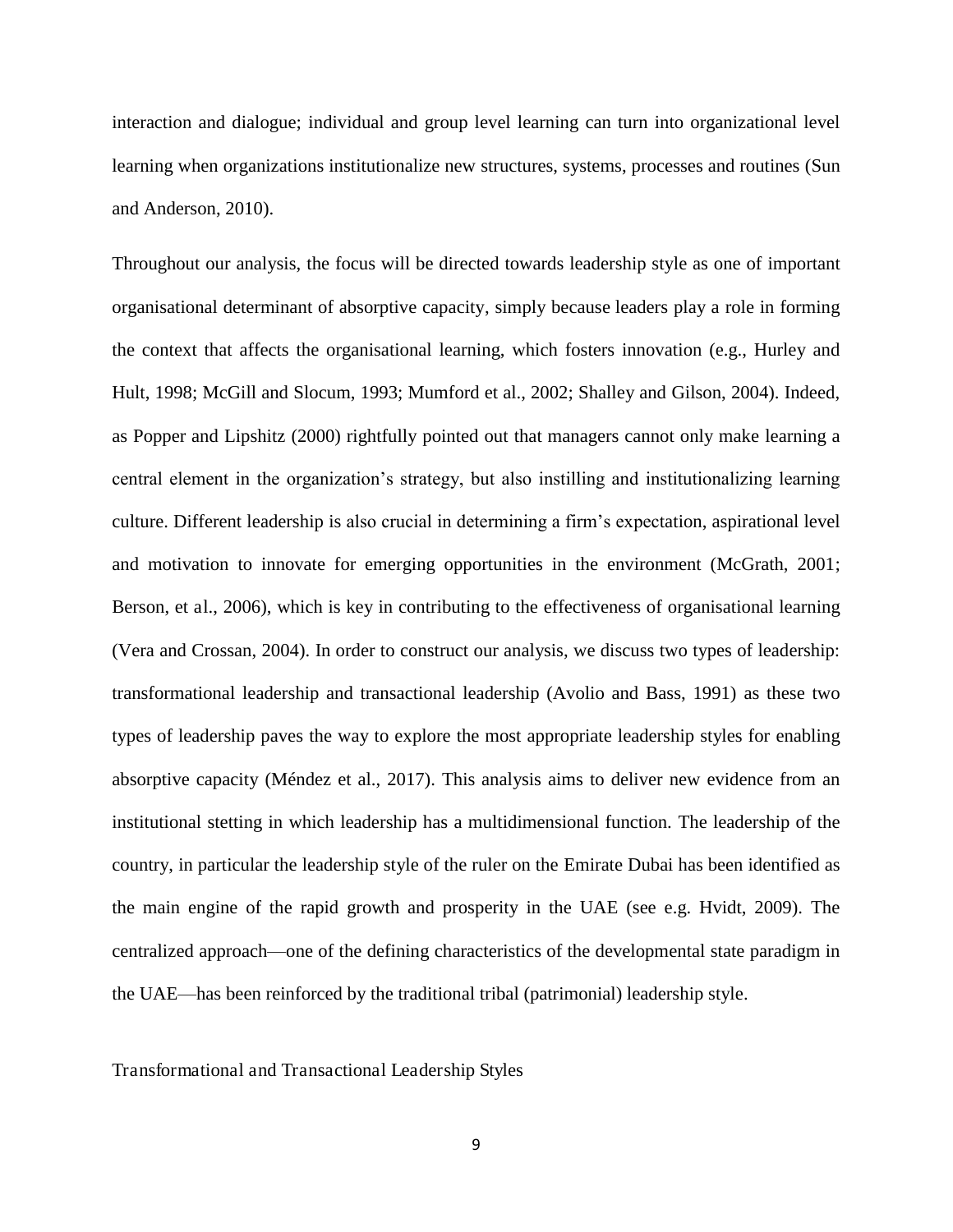interaction and dialogue; individual and group level learning can turn into organizational level learning when organizations institutionalize new structures, systems, processes and routines (Sun and Anderson, 2010).

Throughout our analysis, the focus will be directed towards leadership style as one of important organisational determinant of absorptive capacity, simply because leaders play a role in forming the context that affects the organisational learning, which fosters innovation (e.g., Hurley and Hult, 1998; McGill and Slocum, 1993; Mumford et al., 2002; Shalley and Gilson, 2004). Indeed, as Popper and Lipshitz (2000) rightfully pointed out that managers cannot only make learning a central element in the organization's strategy, but also instilling and institutionalizing learning culture. Different leadership is also crucial in determining a firm's expectation, aspirational level and motivation to innovate for emerging opportunities in the environment (McGrath, 2001; Berson, et al., 2006), which is key in contributing to the effectiveness of organisational learning (Vera and Crossan, 2004). In order to construct our analysis, we discuss two types of leadership: transformational leadership and transactional leadership (Avolio and Bass, 1991) as these two types of leadership paves the way to explore the most appropriate leadership styles for enabling absorptive capacity (Méndez et al., 2017). This analysis aims to deliver new evidence from an institutional stetting in which leadership has a multidimensional function. The leadership of the country, in particular the leadership style of the ruler on the Emirate Dubai has been identified as the main engine of the rapid growth and prosperity in the UAE (see e.g. Hvidt, 2009). The centralized approach—one of the defining characteristics of the developmental state paradigm in the UAE—has been reinforced by the traditional tribal (patrimonial) leadership style.

Transformational and Transactional Leadership Styles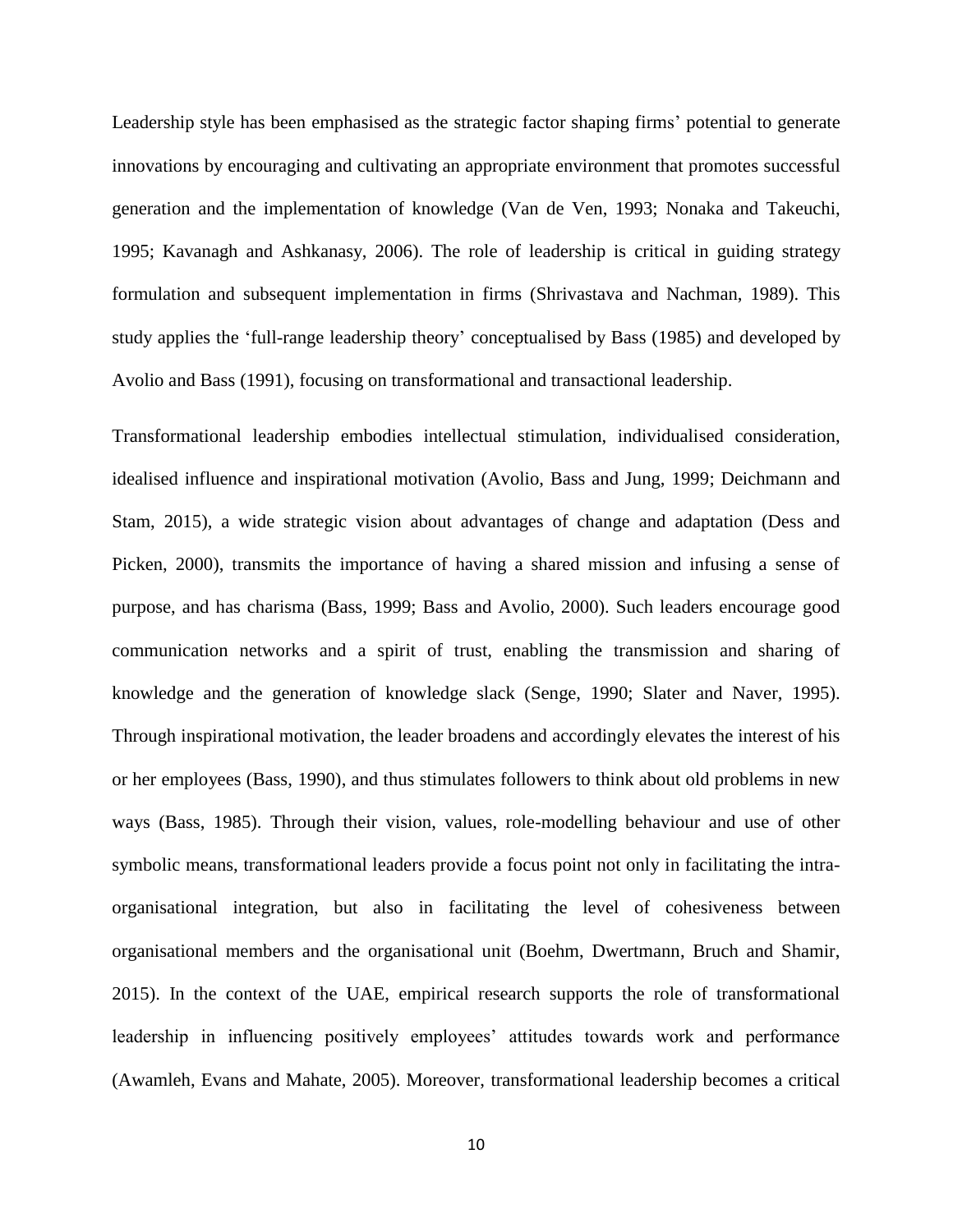Leadership style has been emphasised as the strategic factor shaping firms' potential to generate innovations by encouraging and cultivating an appropriate environment that promotes successful generation and the implementation of knowledge (Van de Ven, 1993; Nonaka and Takeuchi, 1995; Kavanagh and Ashkanasy, 2006). The role of leadership is critical in guiding strategy formulation and subsequent implementation in firms (Shrivastava and Nachman, 1989). This study applies the 'full-range leadership theory' conceptualised by Bass (1985) and developed by Avolio and Bass (1991), focusing on transformational and transactional leadership.

Transformational leadership embodies intellectual stimulation, individualised consideration, idealised influence and inspirational motivation (Avolio, Bass and Jung, 1999; Deichmann and Stam, 2015), a wide strategic vision about advantages of change and adaptation (Dess and Picken, 2000), transmits the importance of having a shared mission and infusing a sense of purpose, and has charisma (Bass, 1999; Bass and Avolio, 2000). Such leaders encourage good communication networks and a spirit of trust, enabling the transmission and sharing of knowledge and the generation of knowledge slack (Senge, 1990; Slater and Naver, 1995). Through inspirational motivation, the leader broadens and accordingly elevates the interest of his or her employees (Bass, 1990), and thus stimulates followers to think about old problems in new ways (Bass, 1985). Through their vision, values, role-modelling behaviour and use of other symbolic means, transformational leaders provide a focus point not only in facilitating the intraorganisational integration, but also in facilitating the level of cohesiveness between organisational members and the organisational unit (Boehm, Dwertmann, Bruch and Shamir, 2015). In the context of the UAE, empirical research supports the role of transformational leadership in influencing positively employees' attitudes towards work and performance (Awamleh, Evans and Mahate, 2005). Moreover, transformational leadership becomes a critical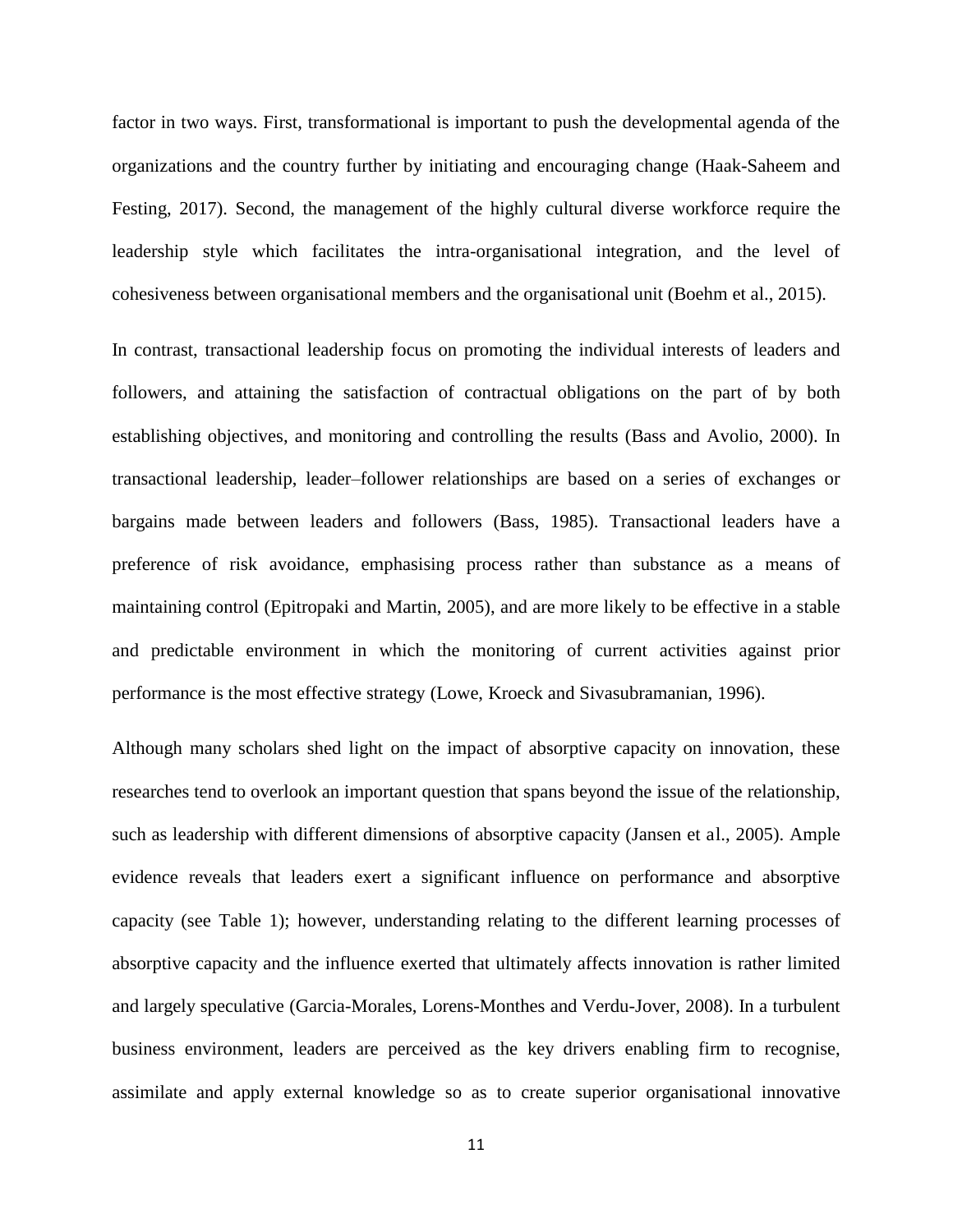factor in two ways. First, transformational is important to push the developmental agenda of the organizations and the country further by initiating and encouraging change (Haak-Saheem and Festing, 2017). Second, the management of the highly cultural diverse workforce require the leadership style which facilitates the intra-organisational integration, and the level of cohesiveness between organisational members and the organisational unit (Boehm et al., 2015).

In contrast, transactional leadership focus on promoting the individual interests of leaders and followers, and attaining the satisfaction of contractual obligations on the part of by both establishing objectives, and monitoring and controlling the results (Bass and Avolio, 2000). In transactional leadership, leader–follower relationships are based on a series of exchanges or bargains made between leaders and followers (Bass, 1985). Transactional leaders have a preference of risk avoidance, emphasising process rather than substance as a means of maintaining control (Epitropaki and Martin, 2005), and are more likely to be effective in a stable and predictable environment in which the monitoring of current activities against prior performance is the most effective strategy (Lowe, Kroeck and Sivasubramanian, 1996).

Although many scholars shed light on the impact of absorptive capacity on innovation, these researches tend to overlook an important question that spans beyond the issue of the relationship, such as leadership with different dimensions of absorptive capacity (Jansen et al., 2005). Ample evidence reveals that leaders exert a significant influence on performance and absorptive capacity (see Table 1); however, understanding relating to the different learning processes of absorptive capacity and the influence exerted that ultimately affects innovation is rather limited and largely speculative (Garcia-Morales, Lorens-Monthes and Verdu-Jover, 2008). In a turbulent business environment, leaders are perceived as the key drivers enabling firm to recognise, assimilate and apply external knowledge so as to create superior organisational innovative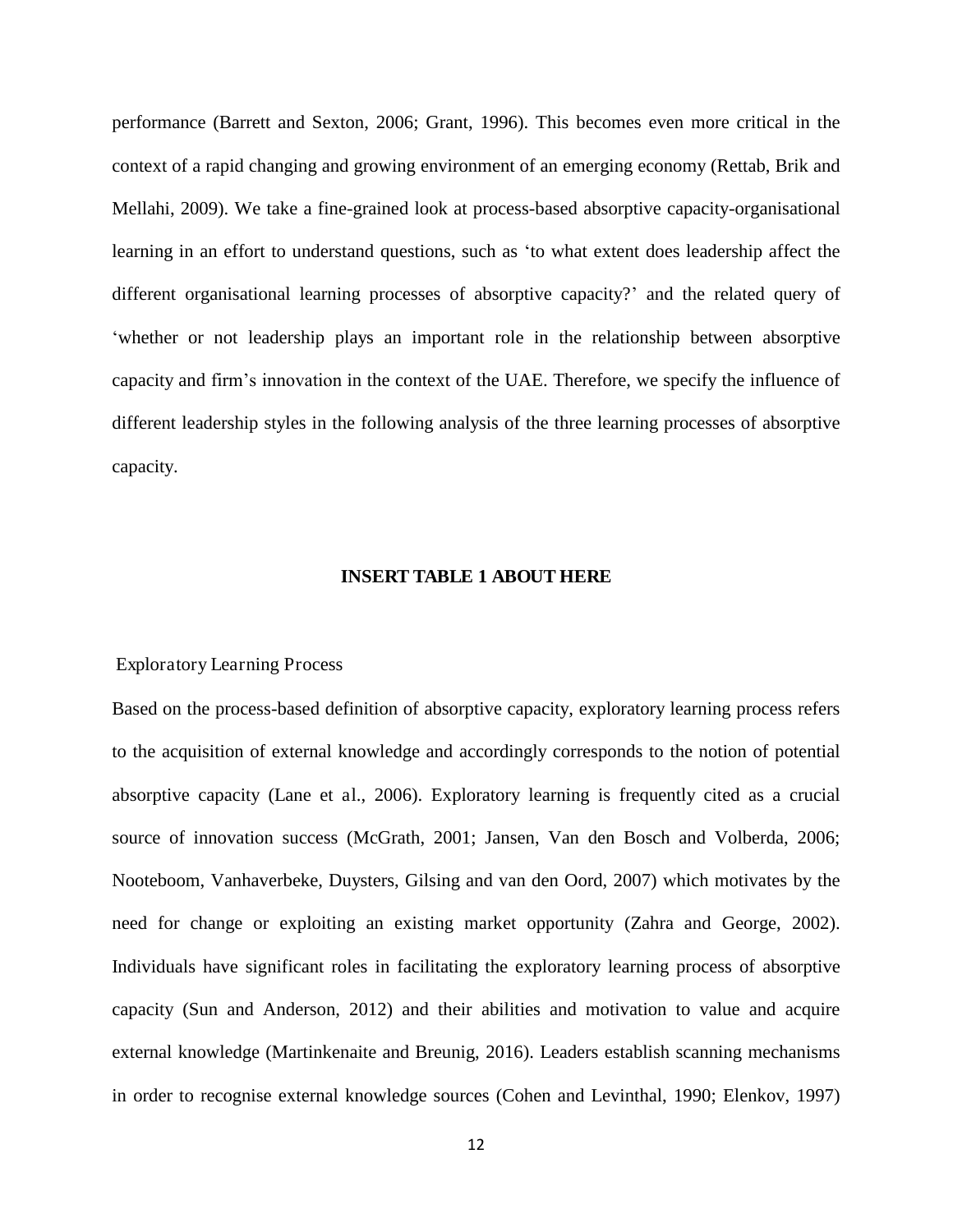performance (Barrett and Sexton, 2006; Grant, 1996). This becomes even more critical in the context of a rapid changing and growing environment of an emerging economy (Rettab, Brik and Mellahi, 2009). We take a fine-grained look at process-based absorptive capacity-organisational learning in an effort to understand questions, such as 'to what extent does leadership affect the different organisational learning processes of absorptive capacity?' and the related query of 'whether or not leadership plays an important role in the relationship between absorptive capacity and firm's innovation in the context of the UAE. Therefore, we specify the influence of different leadership styles in the following analysis of the three learning processes of absorptive capacity.

#### **INSERT TABLE 1 ABOUT HERE**

#### Exploratory Learning Process

Based on the process-based definition of absorptive capacity, exploratory learning process refers to the acquisition of external knowledge and accordingly corresponds to the notion of potential absorptive capacity (Lane et al., 2006). Exploratory learning is frequently cited as a crucial source of innovation success (McGrath, 2001; Jansen, Van den Bosch and Volberda, 2006; Nooteboom, Vanhaverbeke, Duysters, Gilsing and van den Oord, 2007) which motivates by the need for change or exploiting an existing market opportunity (Zahra and George, 2002). Individuals have significant roles in facilitating the exploratory learning process of absorptive capacity (Sun and Anderson, 2012) and their abilities and motivation to value and acquire external knowledge (Martinkenaite and Breunig, 2016). Leaders establish scanning mechanisms in order to recognise external knowledge sources (Cohen and Levinthal, 1990; Elenkov, 1997)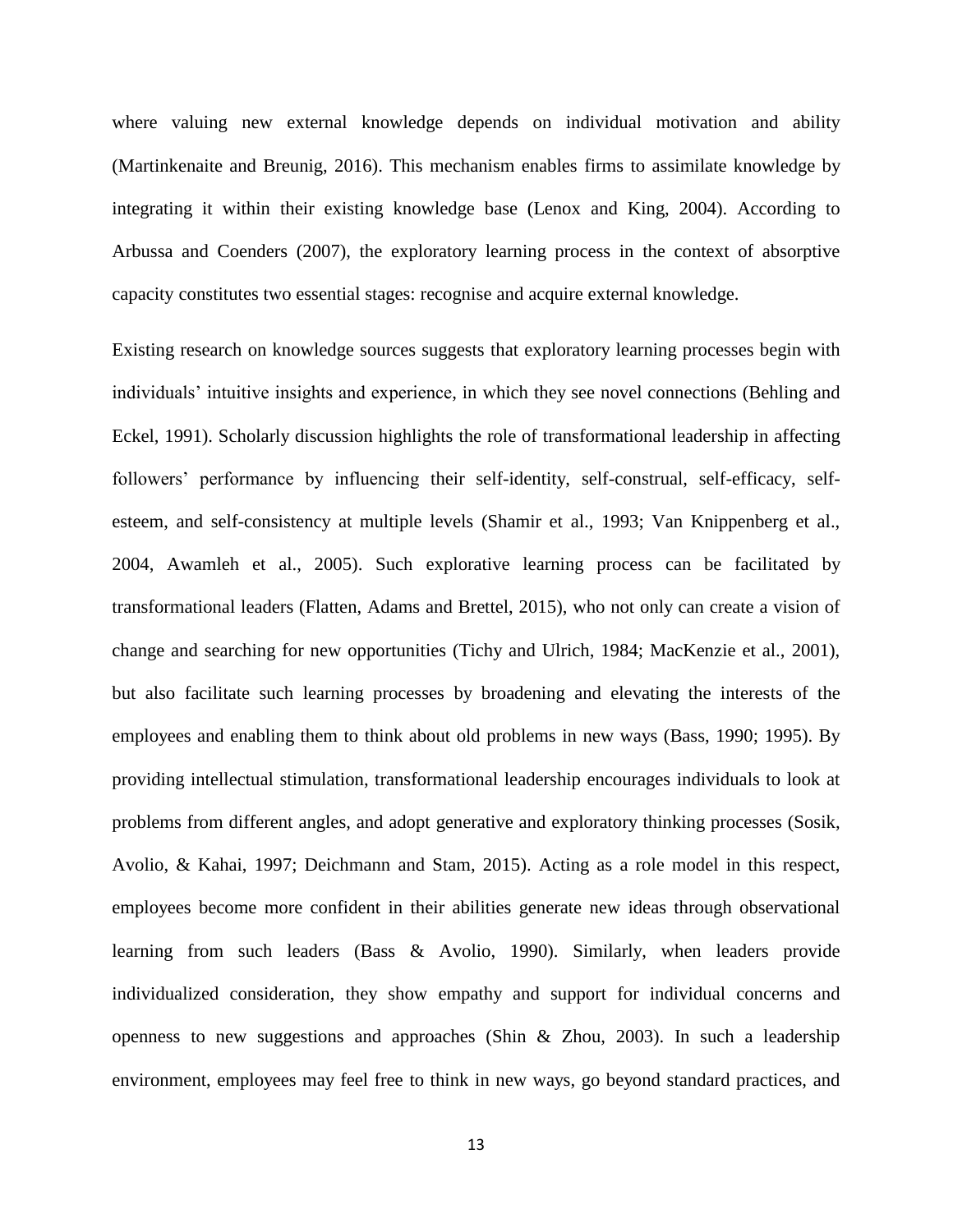where valuing new external knowledge depends on individual motivation and ability (Martinkenaite and Breunig, 2016). This mechanism enables firms to assimilate knowledge by integrating it within their existing knowledge base (Lenox and King, 2004). According to Arbussa and Coenders (2007), the exploratory learning process in the context of absorptive capacity constitutes two essential stages: recognise and acquire external knowledge.

Existing research on knowledge sources suggests that exploratory learning processes begin with individuals' intuitive insights and experience, in which they see novel connections (Behling and Eckel, 1991). Scholarly discussion highlights the role of transformational leadership in affecting followers' performance by influencing their self-identity, self-construal, self-efficacy, selfesteem, and self-consistency at multiple levels (Shamir et al., 1993; Van Knippenberg et al., 2004, Awamleh et al., 2005). Such explorative learning process can be facilitated by transformational leaders (Flatten, Adams and Brettel, 2015), who not only can create a vision of change and searching for new opportunities (Tichy and Ulrich, 1984; MacKenzie et al., 2001), but also facilitate such learning processes by broadening and elevating the interests of the employees and enabling them to think about old problems in new ways (Bass, 1990; 1995). By providing intellectual stimulation, transformational leadership encourages individuals to look at problems from different angles, and adopt generative and exploratory thinking processes (Sosik, Avolio, & Kahai, 1997; Deichmann and Stam, 2015). Acting as a role model in this respect, employees become more confident in their abilities generate new ideas through observational learning from such leaders (Bass & Avolio, 1990). Similarly, when leaders provide individualized consideration, they show empathy and support for individual concerns and openness to new suggestions and approaches (Shin & Zhou, 2003). In such a leadership environment, employees may feel free to think in new ways, go beyond standard practices, and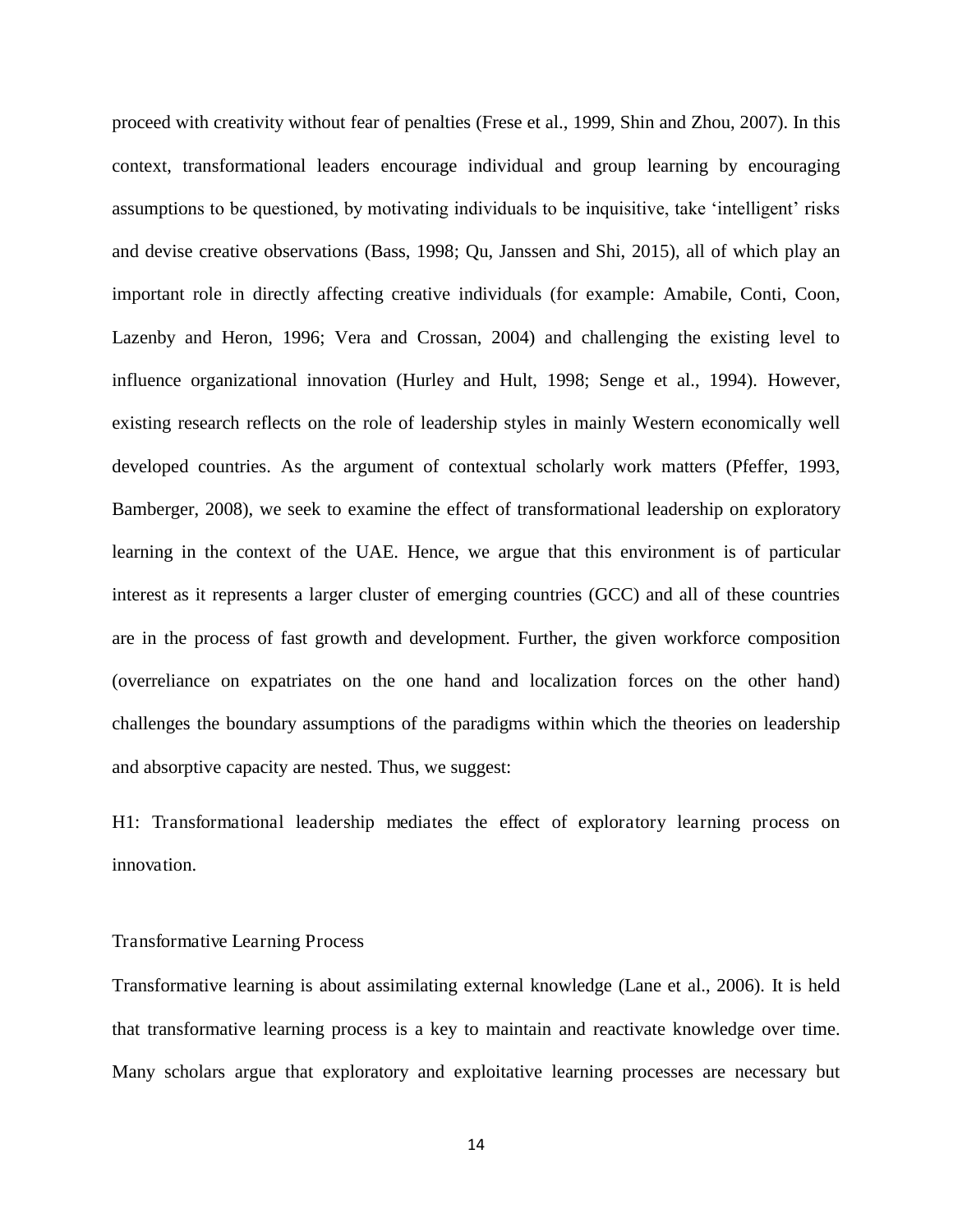proceed with creativity without fear of penalties (Frese et al., 1999, Shin and Zhou, 2007). In this context, transformational leaders encourage individual and group learning by encouraging assumptions to be questioned, by motivating individuals to be inquisitive, take 'intelligent' risks and devise creative observations (Bass, 1998; Qu, Janssen and Shi, 2015), all of which play an important role in directly affecting creative individuals (for example: Amabile, Conti, Coon, Lazenby and Heron, 1996; Vera and Crossan, 2004) and challenging the existing level to influence organizational innovation (Hurley and Hult, 1998; Senge et al., 1994). However, existing research reflects on the role of leadership styles in mainly Western economically well developed countries. As the argument of contextual scholarly work matters (Pfeffer, 1993, Bamberger, 2008), we seek to examine the effect of transformational leadership on exploratory learning in the context of the UAE. Hence, we argue that this environment is of particular interest as it represents a larger cluster of emerging countries (GCC) and all of these countries are in the process of fast growth and development. Further, the given workforce composition (overreliance on expatriates on the one hand and localization forces on the other hand) challenges the boundary assumptions of the paradigms within which the theories on leadership and absorptive capacity are nested. Thus, we suggest:

H1: Transformational leadership mediates the effect of exploratory learning process on innovation.

#### Transformative Learning Process

Transformative learning is about assimilating external knowledge (Lane et al., 2006). It is held that transformative learning process is a key to maintain and reactivate knowledge over time. Many scholars argue that exploratory and exploitative learning processes are necessary but

14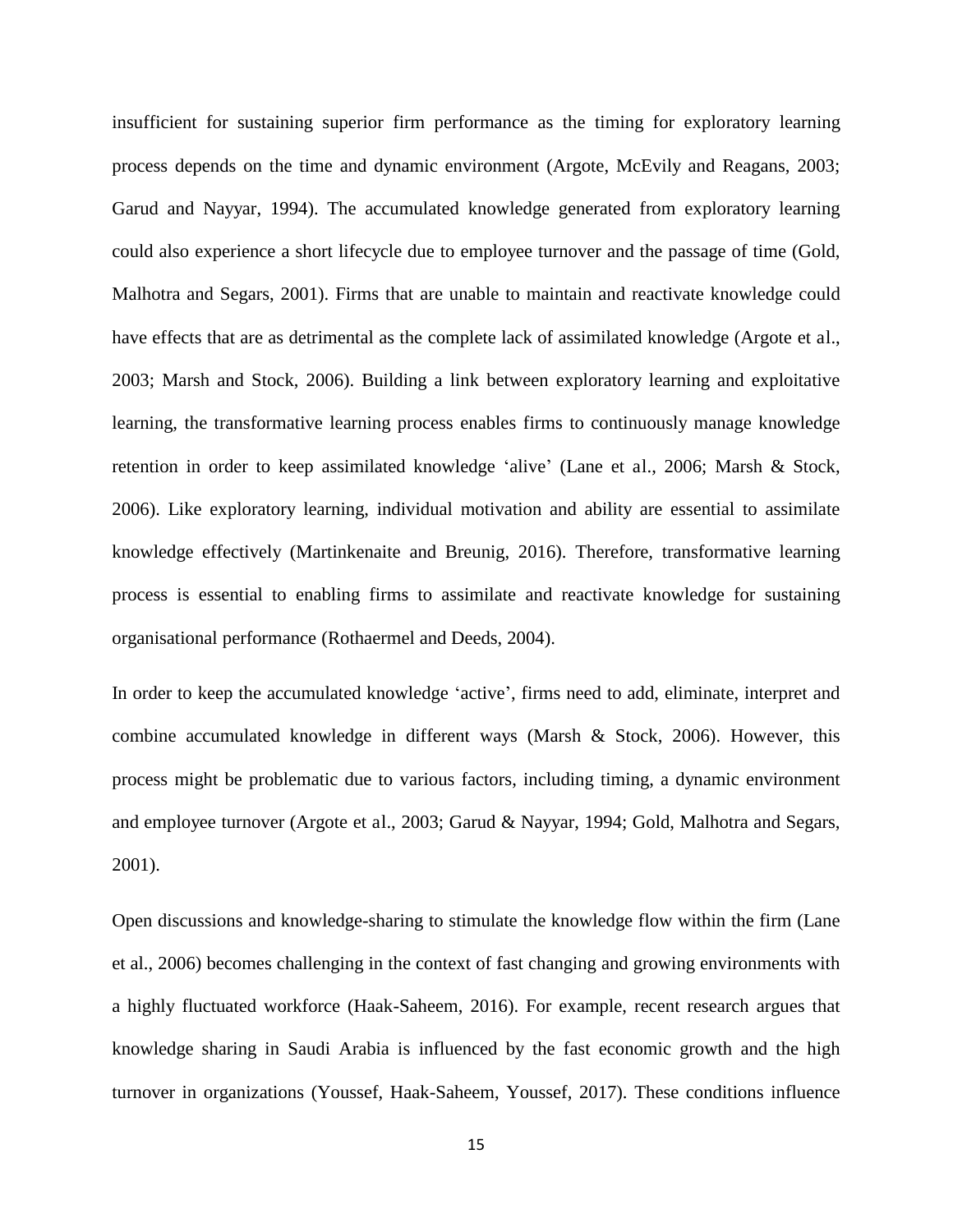insufficient for sustaining superior firm performance as the timing for exploratory learning process depends on the time and dynamic environment (Argote, McEvily and Reagans, 2003; Garud and Nayyar, 1994). The accumulated knowledge generated from exploratory learning could also experience a short lifecycle due to employee turnover and the passage of time (Gold, Malhotra and Segars, 2001). Firms that are unable to maintain and reactivate knowledge could have effects that are as detrimental as the complete lack of assimilated knowledge (Argote et al., 2003; Marsh and Stock, 2006). Building a link between exploratory learning and exploitative learning, the transformative learning process enables firms to continuously manage knowledge retention in order to keep assimilated knowledge 'alive' (Lane et al., 2006; Marsh & Stock, 2006). Like exploratory learning, individual motivation and ability are essential to assimilate knowledge effectively (Martinkenaite and Breunig, 2016). Therefore, transformative learning process is essential to enabling firms to assimilate and reactivate knowledge for sustaining organisational performance (Rothaermel and Deeds, 2004).

In order to keep the accumulated knowledge 'active', firms need to add, eliminate, interpret and combine accumulated knowledge in different ways (Marsh & Stock, 2006). However, this process might be problematic due to various factors, including timing, a dynamic environment and employee turnover (Argote et al., 2003; Garud & Nayyar, 1994; Gold, Malhotra and Segars, 2001).

Open discussions and knowledge-sharing to stimulate the knowledge flow within the firm (Lane et al., 2006) becomes challenging in the context of fast changing and growing environments with a highly fluctuated workforce (Haak-Saheem, 2016). For example, recent research argues that knowledge sharing in Saudi Arabia is influenced by the fast economic growth and the high turnover in organizations (Youssef, Haak-Saheem, Youssef, 2017). These conditions influence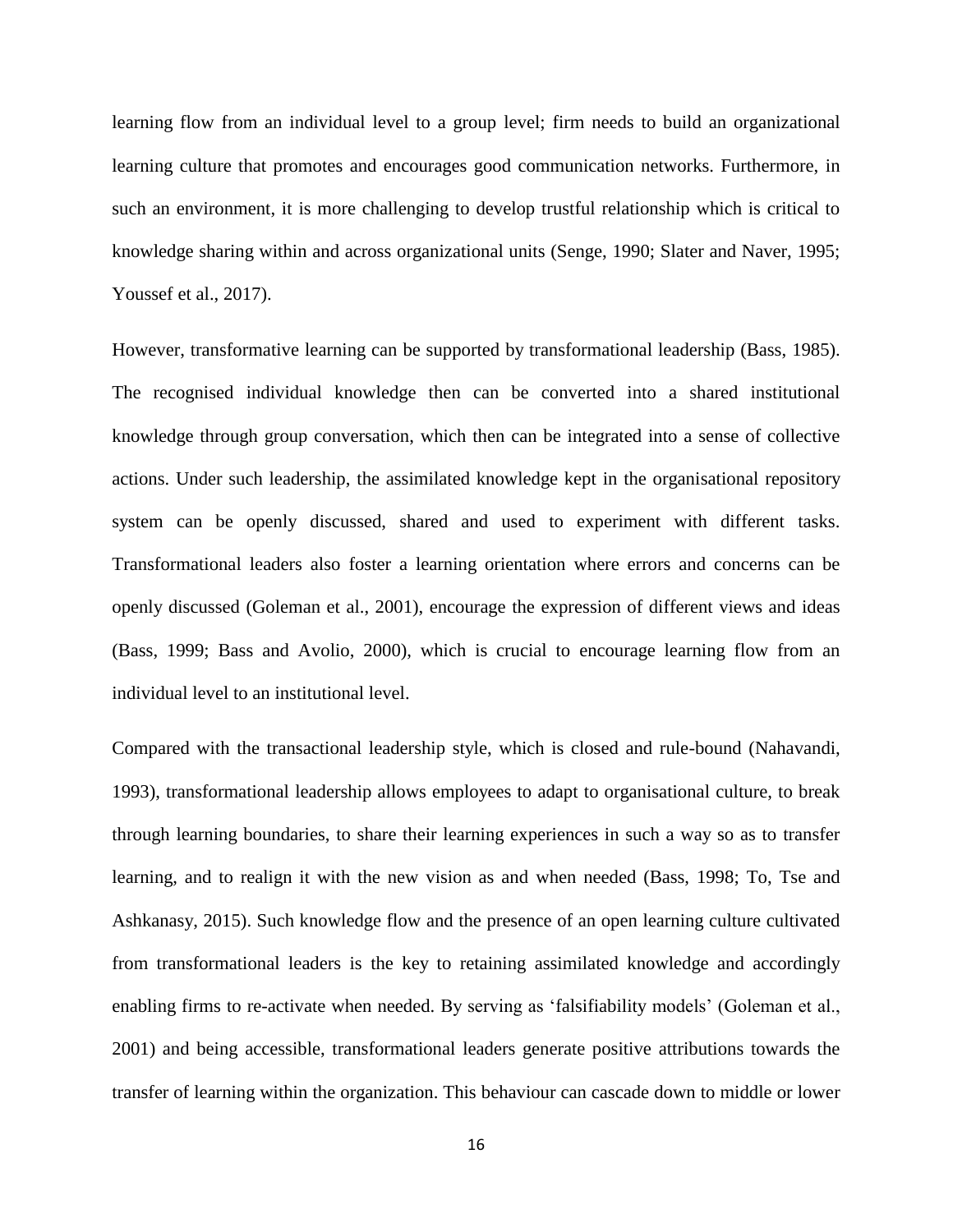learning flow from an individual level to a group level; firm needs to build an organizational learning culture that promotes and encourages good communication networks. Furthermore, in such an environment, it is more challenging to develop trustful relationship which is critical to knowledge sharing within and across organizational units (Senge, 1990; Slater and Naver, 1995; Youssef et al., 2017).

However, transformative learning can be supported by transformational leadership (Bass, 1985). The recognised individual knowledge then can be converted into a shared institutional knowledge through group conversation, which then can be integrated into a sense of collective actions. Under such leadership, the assimilated knowledge kept in the organisational repository system can be openly discussed, shared and used to experiment with different tasks. Transformational leaders also foster a learning orientation where errors and concerns can be openly discussed (Goleman et al., 2001), encourage the expression of different views and ideas (Bass, 1999; Bass and Avolio, 2000), which is crucial to encourage learning flow from an individual level to an institutional level.

Compared with the transactional leadership style, which is closed and rule-bound (Nahavandi, 1993), transformational leadership allows employees to adapt to organisational culture, to break through learning boundaries, to share their learning experiences in such a way so as to transfer learning, and to realign it with the new vision as and when needed (Bass, 1998; To, Tse and Ashkanasy, 2015). Such knowledge flow and the presence of an open learning culture cultivated from transformational leaders is the key to retaining assimilated knowledge and accordingly enabling firms to re-activate when needed. By serving as 'falsifiability models' (Goleman et al., 2001) and being accessible, transformational leaders generate positive attributions towards the transfer of learning within the organization. This behaviour can cascade down to middle or lower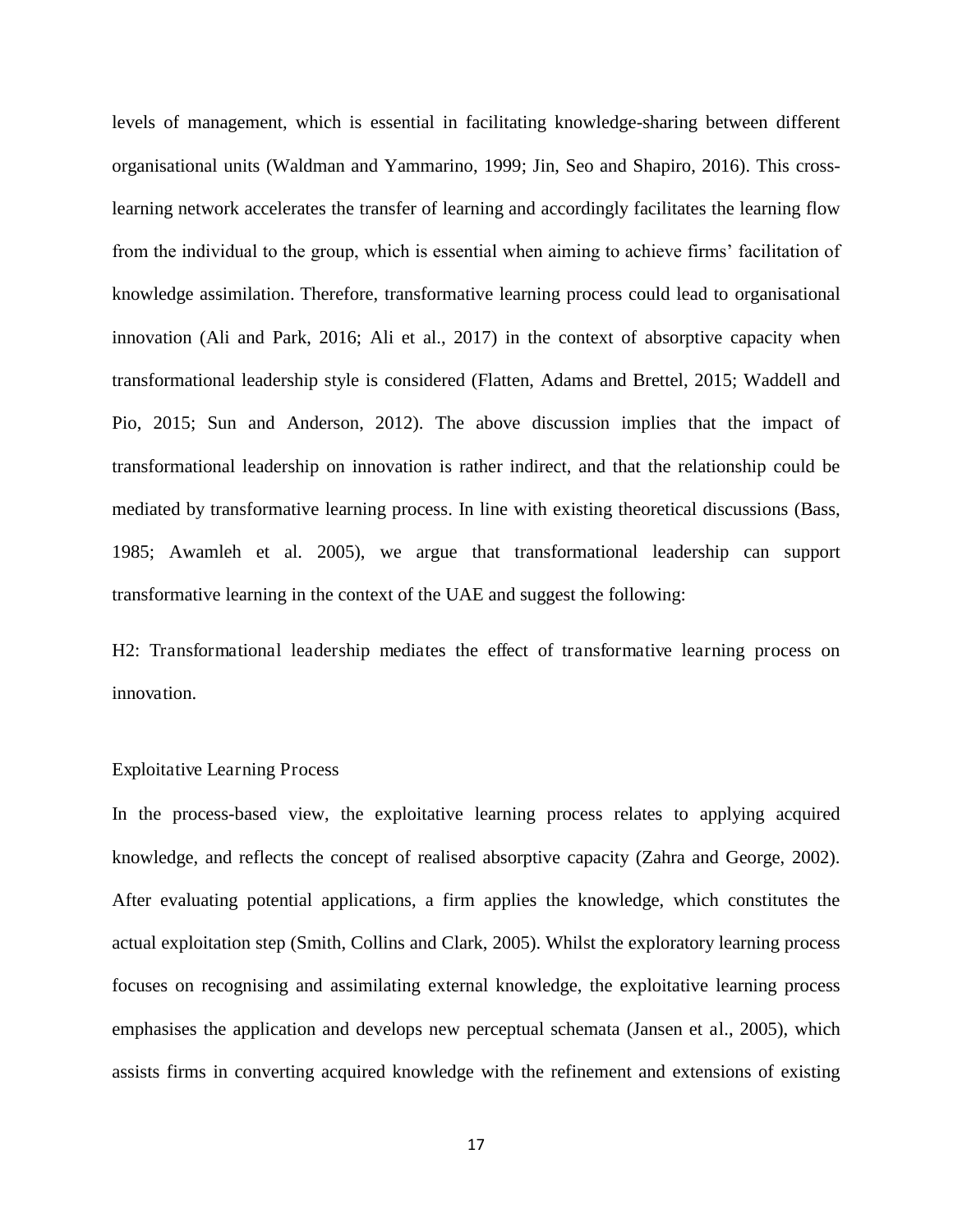levels of management, which is essential in facilitating knowledge-sharing between different organisational units (Waldman and Yammarino, 1999; Jin, Seo and Shapiro, 2016). This crosslearning network accelerates the transfer of learning and accordingly facilitates the learning flow from the individual to the group, which is essential when aiming to achieve firms' facilitation of knowledge assimilation. Therefore, transformative learning process could lead to organisational innovation (Ali and Park, 2016; Ali et al., 2017) in the context of absorptive capacity when transformational leadership style is considered (Flatten, Adams and Brettel, 2015; Waddell and Pio, 2015; Sun and Anderson, 2012). The above discussion implies that the impact of transformational leadership on innovation is rather indirect, and that the relationship could be mediated by transformative learning process. In line with existing theoretical discussions (Bass, 1985; Awamleh et al. 2005), we argue that transformational leadership can support transformative learning in the context of the UAE and suggest the following:

H2: Transformational leadership mediates the effect of transformative learning process on innovation.

#### Exploitative Learning Process

In the process-based view, the exploitative learning process relates to applying acquired knowledge, and reflects the concept of realised absorptive capacity (Zahra and George, 2002). After evaluating potential applications, a firm applies the knowledge, which constitutes the actual exploitation step (Smith, Collins and Clark, 2005). Whilst the exploratory learning process focuses on recognising and assimilating external knowledge, the exploitative learning process emphasises the application and develops new perceptual schemata (Jansen et al., 2005), which assists firms in converting acquired knowledge with the refinement and extensions of existing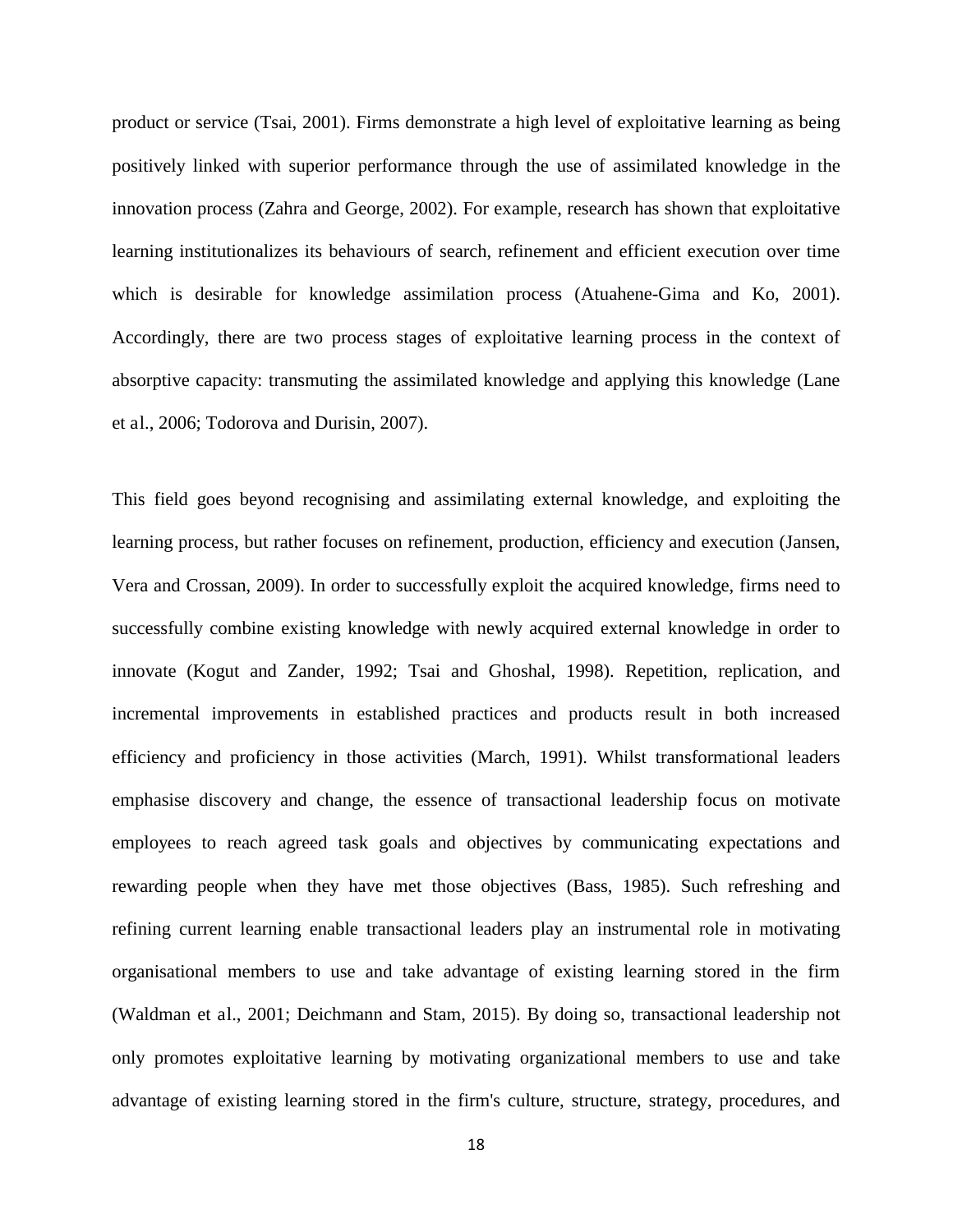product or service (Tsai, 2001). Firms demonstrate a high level of exploitative learning as being positively linked with superior performance through the use of assimilated knowledge in the innovation process (Zahra and George, 2002). For example, research has shown that exploitative learning institutionalizes its behaviours of search, refinement and efficient execution over time which is desirable for knowledge assimilation process (Atuahene-Gima and Ko, 2001). Accordingly, there are two process stages of exploitative learning process in the context of absorptive capacity: transmuting the assimilated knowledge and applying this knowledge (Lane et al., 2006; Todorova and Durisin, 2007).

This field goes beyond recognising and assimilating external knowledge, and exploiting the learning process, but rather focuses on refinement, production, efficiency and execution (Jansen, Vera and Crossan, 2009). In order to successfully exploit the acquired knowledge, firms need to successfully combine existing knowledge with newly acquired external knowledge in order to innovate (Kogut and Zander, 1992; Tsai and Ghoshal, 1998). Repetition, replication, and incremental improvements in established practices and products result in both increased efficiency and proficiency in those activities (March, 1991). Whilst transformational leaders emphasise discovery and change, the essence of transactional leadership focus on motivate employees to reach agreed task goals and objectives by communicating expectations and rewarding people when they have met those objectives (Bass, 1985). Such refreshing and refining current learning enable transactional leaders play an instrumental role in motivating organisational members to use and take advantage of existing learning stored in the firm (Waldman et al., 2001; Deichmann and Stam, 2015). By doing so, transactional leadership not only promotes exploitative learning by motivating organizational members to use and take advantage of existing learning stored in the firm's culture, structure, strategy, procedures, and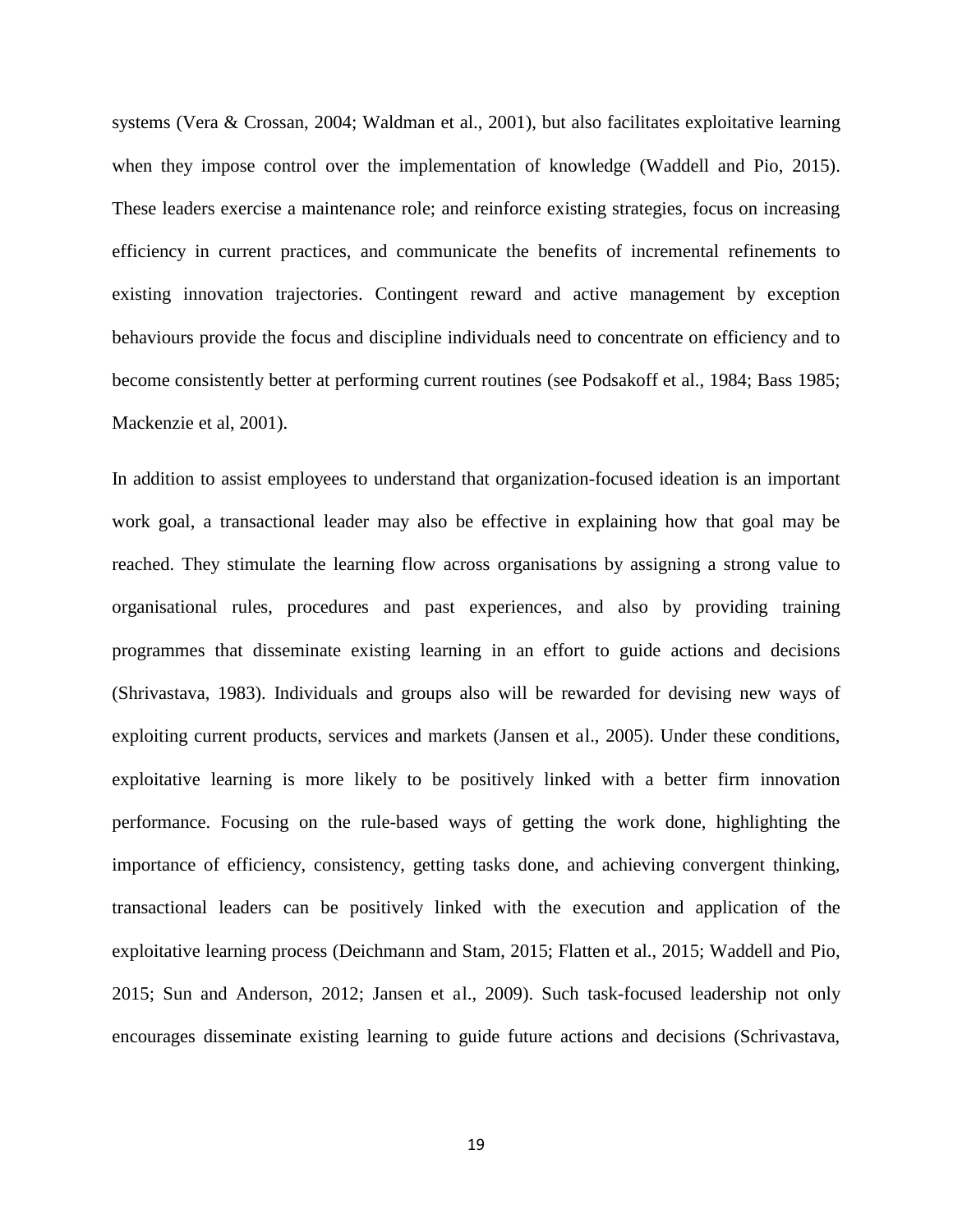systems (Vera & Crossan, 2004; Waldman et al., 2001), but also facilitates exploitative learning when they impose control over the implementation of knowledge (Waddell and Pio, 2015). These leaders exercise a maintenance role; and reinforce existing strategies, focus on increasing efficiency in current practices, and communicate the benefits of incremental refinements to existing innovation trajectories. Contingent reward and active management by exception behaviours provide the focus and discipline individuals need to concentrate on efficiency and to become consistently better at performing current routines (see Podsakoff et al., 1984; Bass 1985; Mackenzie et al, 2001).

In addition to assist employees to understand that organization-focused ideation is an important work goal, a transactional leader may also be effective in explaining how that goal may be reached. They stimulate the learning flow across organisations by assigning a strong value to organisational rules, procedures and past experiences, and also by providing training programmes that disseminate existing learning in an effort to guide actions and decisions (Shrivastava, 1983). Individuals and groups also will be rewarded for devising new ways of exploiting current products, services and markets (Jansen et al., 2005). Under these conditions, exploitative learning is more likely to be positively linked with a better firm innovation performance. Focusing on the rule-based ways of getting the work done, highlighting the importance of efficiency, consistency, getting tasks done, and achieving convergent thinking, transactional leaders can be positively linked with the execution and application of the exploitative learning process (Deichmann and Stam, 2015; Flatten et al., 2015; Waddell and Pio, 2015; Sun and Anderson, 2012; Jansen et al., 2009). Such task-focused leadership not only encourages disseminate existing learning to guide future actions and decisions (Schrivastava,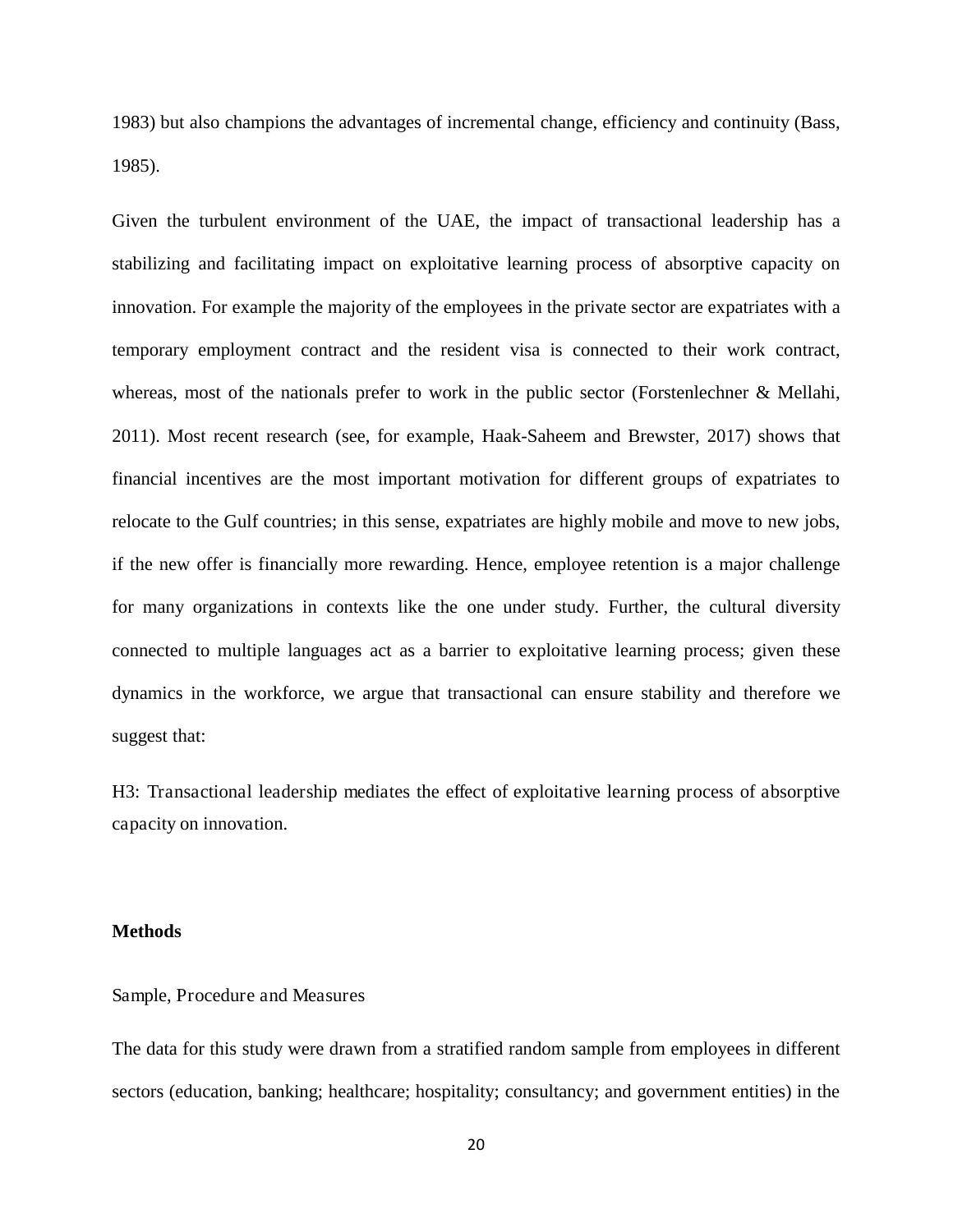1983) but also champions the advantages of incremental change, efficiency and continuity (Bass, 1985).

Given the turbulent environment of the UAE, the impact of transactional leadership has a stabilizing and facilitating impact on exploitative learning process of absorptive capacity on innovation. For example the majority of the employees in the private sector are expatriates with a temporary employment contract and the resident visa is connected to their work contract, whereas, most of the nationals prefer to work in the public sector (Forstenlechner & Mellahi, 2011). Most recent research (see, for example, Haak-Saheem and Brewster, 2017) shows that financial incentives are the most important motivation for different groups of expatriates to relocate to the Gulf countries; in this sense, expatriates are highly mobile and move to new jobs, if the new offer is financially more rewarding. Hence, employee retention is a major challenge for many organizations in contexts like the one under study. Further, the cultural diversity connected to multiple languages act as a barrier to exploitative learning process; given these dynamics in the workforce, we argue that transactional can ensure stability and therefore we suggest that:

H3: Transactional leadership mediates the effect of exploitative learning process of absorptive capacity on innovation.

#### **Methods**

#### Sample, Procedure and Measures

The data for this study were drawn from a stratified random sample from employees in different sectors (education, banking; healthcare; hospitality; consultancy; and government entities) in the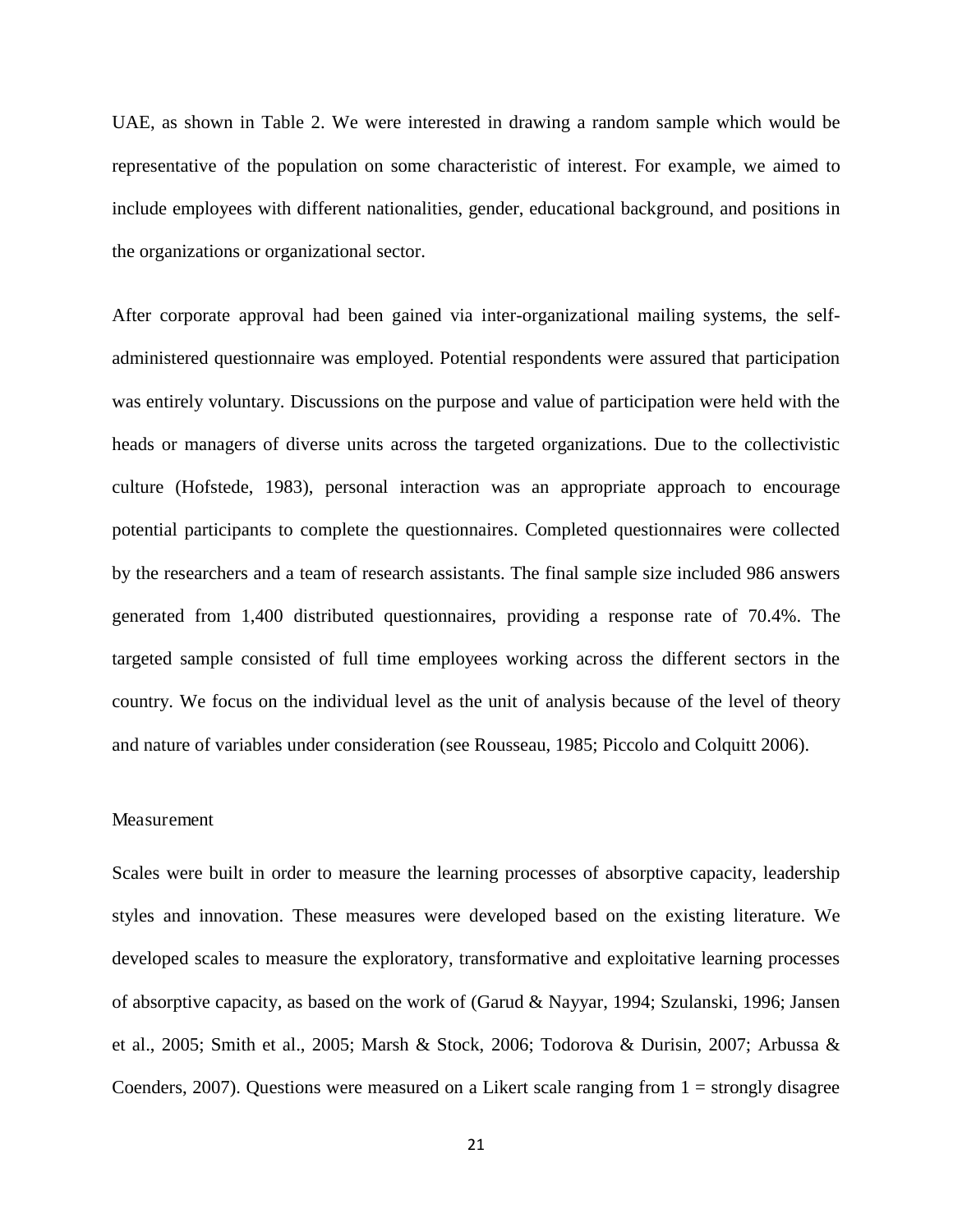UAE, as shown in Table 2. We were interested in drawing a random sample which would be representative of the population on some characteristic of interest. For example, we aimed to include employees with different nationalities, gender, educational background, and positions in the organizations or organizational sector.

After corporate approval had been gained via inter-organizational mailing systems, the selfadministered questionnaire was employed. Potential respondents were assured that participation was entirely voluntary. Discussions on the purpose and value of participation were held with the heads or managers of diverse units across the targeted organizations. Due to the collectivistic culture (Hofstede, 1983), personal interaction was an appropriate approach to encourage potential participants to complete the questionnaires. Completed questionnaires were collected by the researchers and a team of research assistants. The final sample size included 986 answers generated from 1,400 distributed questionnaires, providing a response rate of 70.4%. The targeted sample consisted of full time employees working across the different sectors in the country. We focus on the individual level as the unit of analysis because of the level of theory and nature of variables under consideration (see Rousseau, 1985; Piccolo and Colquitt 2006).

#### Measurement

Scales were built in order to measure the learning processes of absorptive capacity, leadership styles and innovation. These measures were developed based on the existing literature. We developed scales to measure the exploratory, transformative and exploitative learning processes of absorptive capacity, as based on the work of (Garud & Nayyar, 1994; Szulanski, 1996; Jansen et al., 2005; Smith et al., 2005; Marsh & Stock, 2006; Todorova & Durisin, 2007; Arbussa & Coenders, 2007). Questions were measured on a Likert scale ranging from  $1 =$  strongly disagree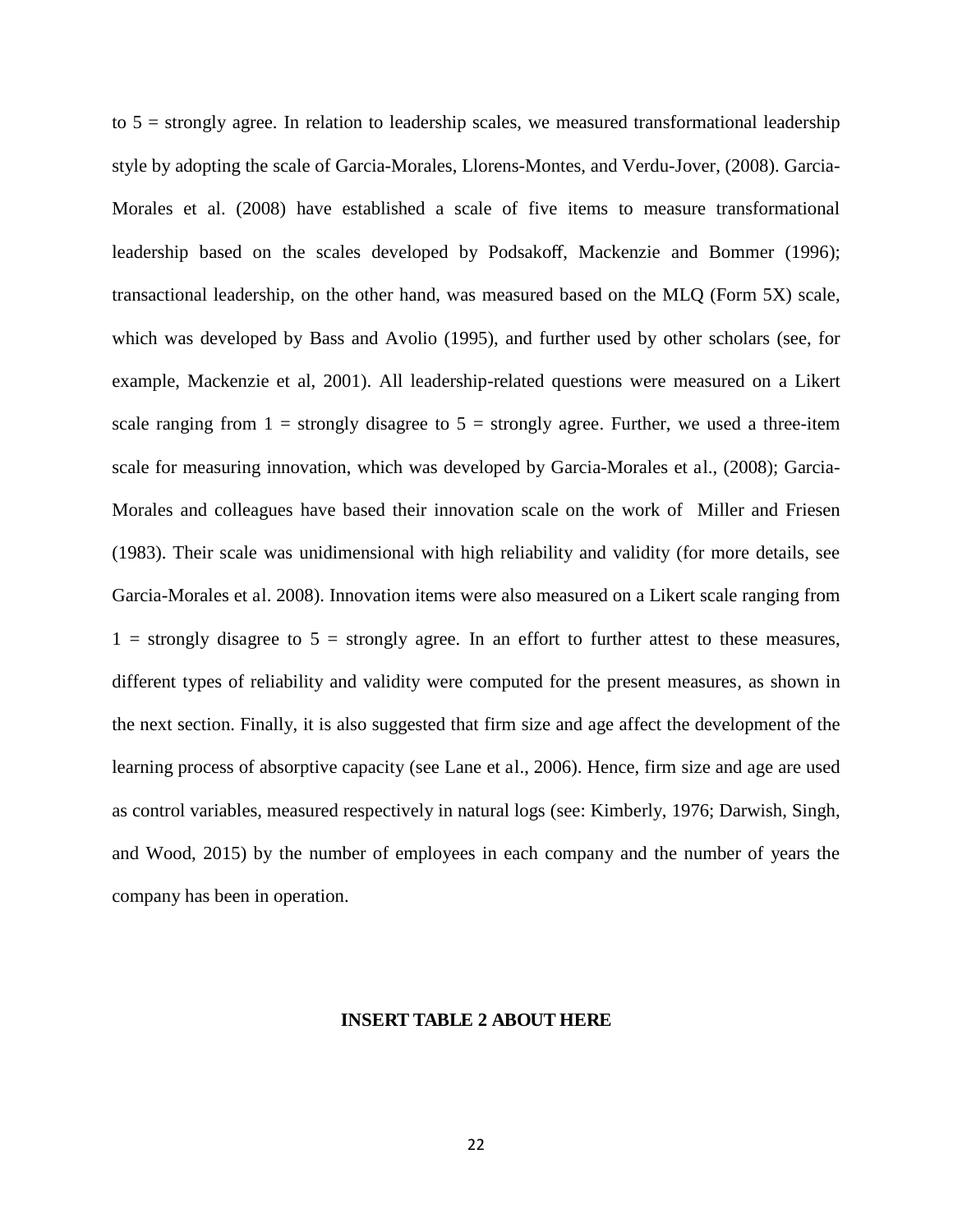to  $5 =$  strongly agree. In relation to leadership scales, we measured transformational leadership style by adopting the scale of Garcia-Morales, Llorens-Montes, and Verdu-Jover, (2008). Garcia-Morales et al. (2008) have established a scale of five items to measure transformational leadership based on the scales developed by Podsakoff, Mackenzie and Bommer (1996); transactional leadership, on the other hand, was measured based on the MLQ (Form 5X) scale, which was developed by Bass and Avolio (1995), and further used by other scholars (see, for example, Mackenzie et al, 2001). All leadership-related questions were measured on a Likert scale ranging from  $1 =$  strongly disagree to  $5 =$  strongly agree. Further, we used a three-item scale for measuring innovation, which was developed by Garcia-Morales et al., (2008); Garcia-Morales and colleagues have based their innovation scale on the work of Miller and Friesen (1983). Their scale was unidimensional with high reliability and validity (for more details, see Garcia-Morales et al. 2008). Innovation items were also measured on a Likert scale ranging from  $1 =$  strongly disagree to  $5 =$  strongly agree. In an effort to further attest to these measures, different types of reliability and validity were computed for the present measures, as shown in the next section. Finally, it is also suggested that firm size and age affect the development of the learning process of absorptive capacity (see Lane et al., 2006). Hence, firm size and age are used as control variables, measured respectively in natural logs (see: Kimberly, 1976; Darwish, Singh, and Wood, 2015) by the number of employees in each company and the number of years the company has been in operation.

#### **INSERT TABLE 2 ABOUT HERE**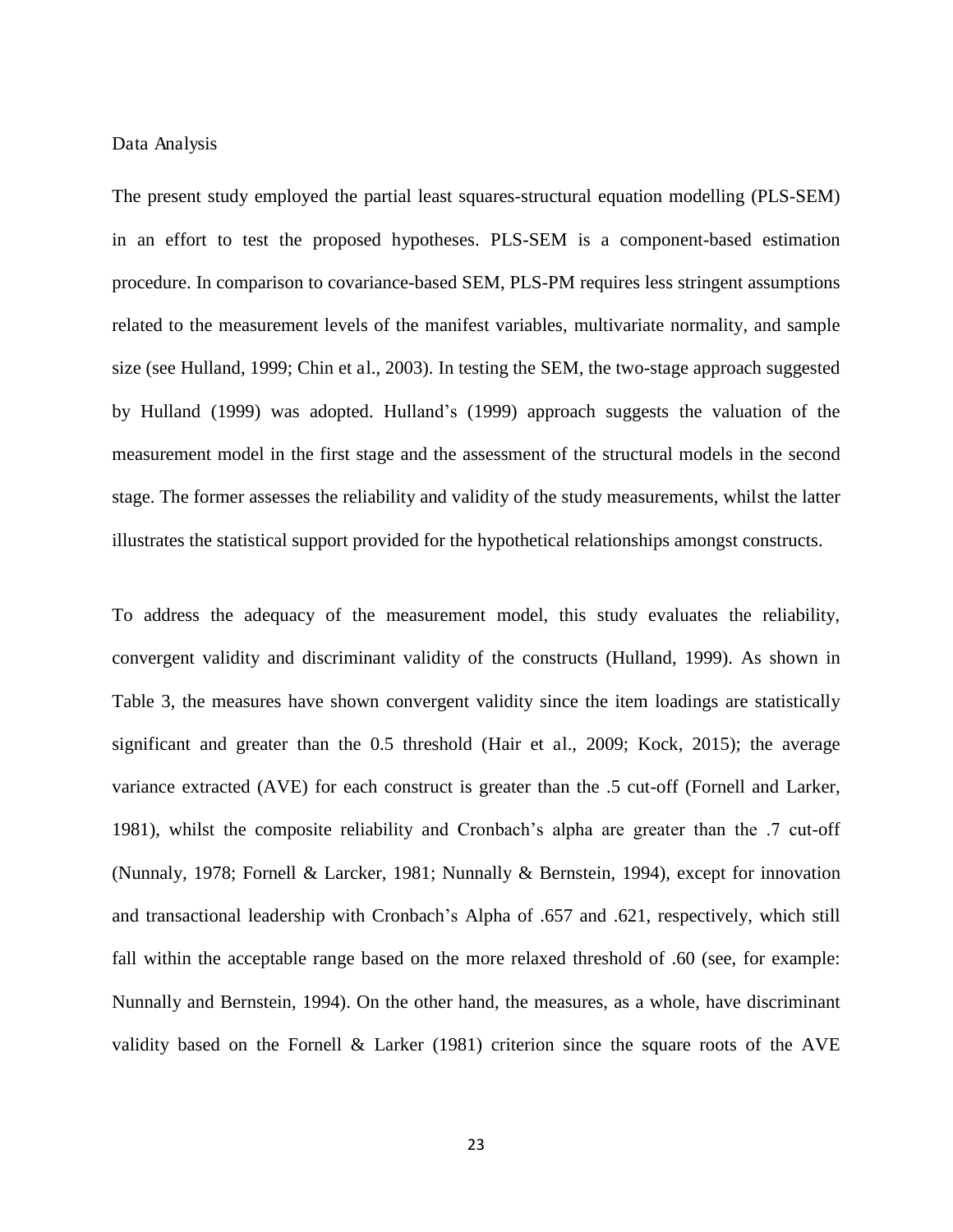#### Data Analysis

The present study employed the partial least squares-structural equation modelling (PLS-SEM) in an effort to test the proposed hypotheses. PLS-SEM is a component-based estimation procedure. In comparison to covariance-based SEM, PLS-PM requires less stringent assumptions related to the measurement levels of the manifest variables, multivariate normality, and sample size (see Hulland, 1999; Chin et al., 2003). In testing the SEM, the two-stage approach suggested by Hulland (1999) was adopted. Hulland's (1999) approach suggests the valuation of the measurement model in the first stage and the assessment of the structural models in the second stage. The former assesses the reliability and validity of the study measurements, whilst the latter illustrates the statistical support provided for the hypothetical relationships amongst constructs.

To address the adequacy of the measurement model, this study evaluates the reliability, convergent validity and discriminant validity of the constructs (Hulland, 1999). As shown in Table 3, the measures have shown convergent validity since the item loadings are statistically significant and greater than the 0.5 threshold (Hair et al., 2009; Kock, 2015); the average variance extracted (AVE) for each construct is greater than the .5 cut-off (Fornell and Larker, 1981), whilst the composite reliability and Cronbach's alpha are greater than the .7 cut-off (Nunnaly, 1978; Fornell & Larcker, 1981; Nunnally & Bernstein, 1994), except for innovation and transactional leadership with Cronbach's Alpha of .657 and .621, respectively, which still fall within the acceptable range based on the more relaxed threshold of .60 (see, for example: Nunnally and Bernstein, 1994). On the other hand, the measures, as a whole, have discriminant validity based on the Fornell & Larker (1981) criterion since the square roots of the AVE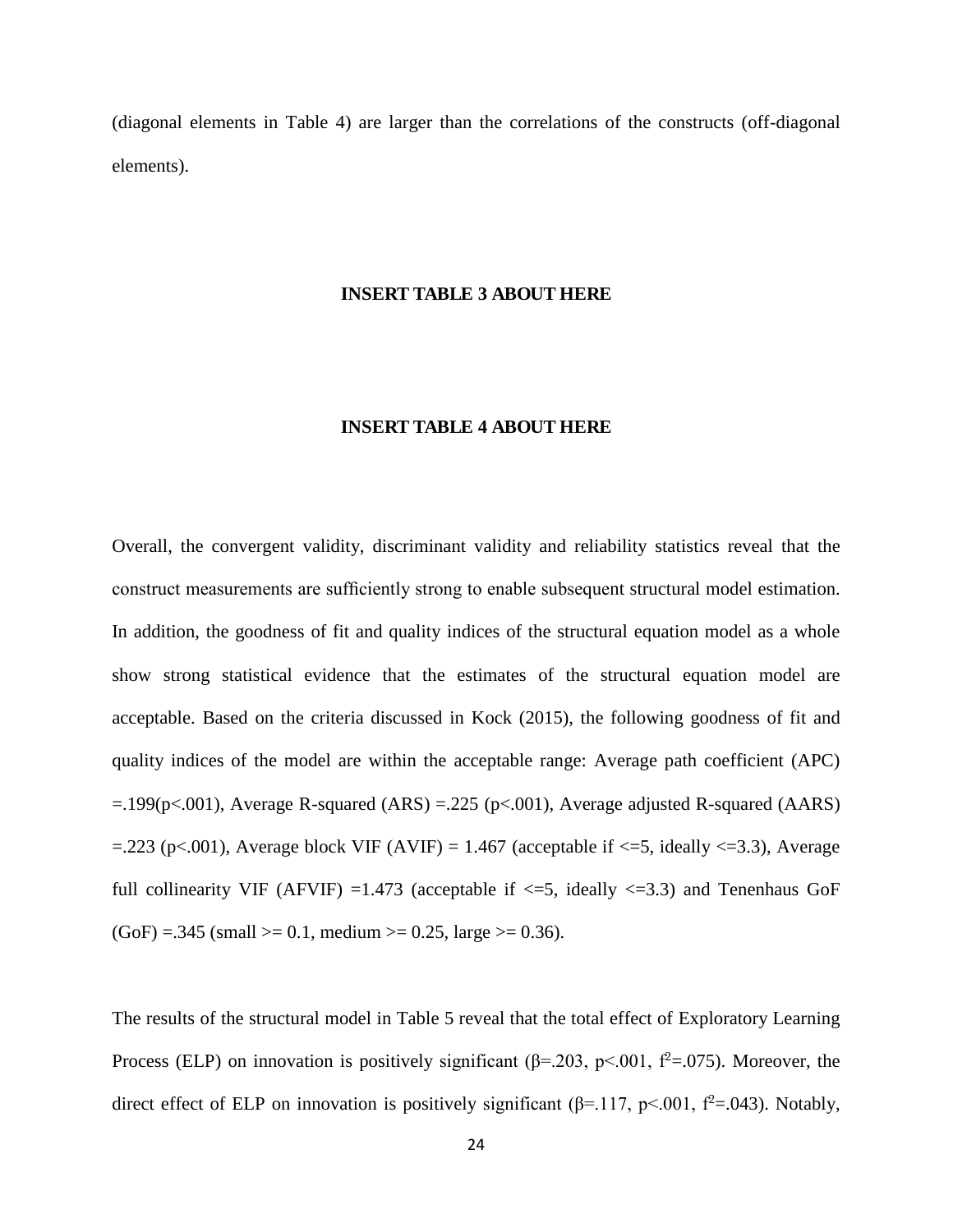(diagonal elements in Table 4) are larger than the correlations of the constructs (off-diagonal elements).

#### **INSERT TABLE 3 ABOUT HERE**

#### **INSERT TABLE 4 ABOUT HERE**

Overall, the convergent validity, discriminant validity and reliability statistics reveal that the construct measurements are sufficiently strong to enable subsequent structural model estimation. In addition, the goodness of fit and quality indices of the structural equation model as a whole show strong statistical evidence that the estimates of the structural equation model are acceptable. Based on the criteria discussed in Kock (2015), the following goodness of fit and quality indices of the model are within the acceptable range: Average path coefficient (APC)  $=$ .199(p<.001), Average R-squared (ARS) = .225 (p<.001), Average adjusted R-squared (AARS)  $=$ .223 (p<.001), Average block VIF (AVIF) = 1.467 (acceptable if  $\le$ =5, ideally  $\le$ =3.3), Average full collinearity VIF (AFVIF) =1.473 (acceptable if  $\leq$ =5, ideally  $\leq$ =3.3) and Tenenhaus GoF  $(GoF) = .345$  (small  $>= 0.1$ , medium  $>= 0.25$ , large  $>= 0.36$ ).

The results of the structural model in Table 5 reveal that the total effect of Exploratory Learning Process (ELP) on innovation is positively significant ( $\beta$ =.203, p<.001,  $\beta$ <sup>2</sup>=.075). Moreover, the direct effect of ELP on innovation is positively significant ( $\beta$ =.117, p<.001,  $\beta$ <sup>2</sup>=.043). Notably,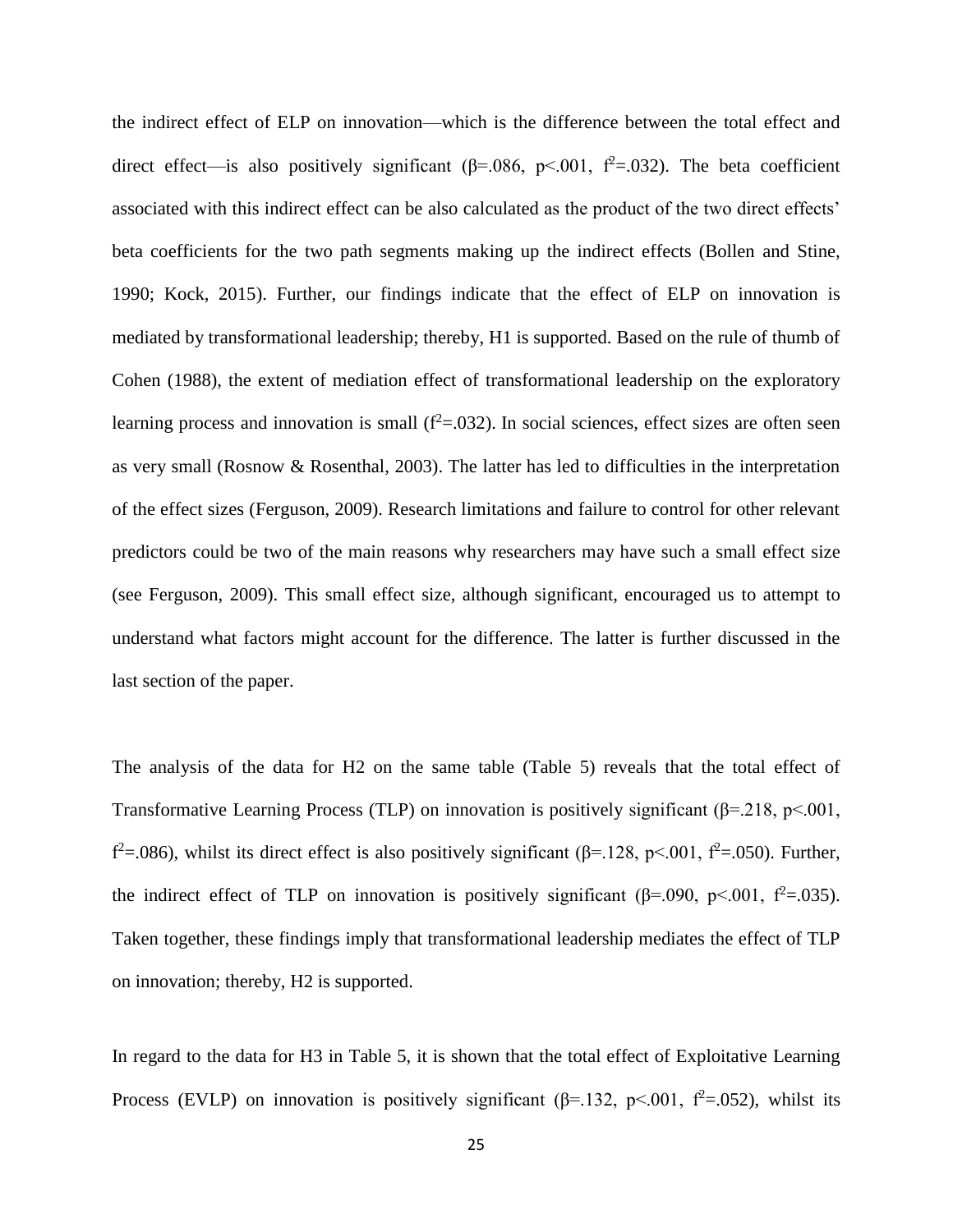the indirect effect of ELP on innovation—which is the difference between the total effect and direct effect—is also positively significant ( $\beta$ =.086, p<.001,  $f^2$ =.032). The beta coefficient associated with this indirect effect can be also calculated as the product of the two direct effects' beta coefficients for the two path segments making up the indirect effects (Bollen and Stine, 1990; Kock, 2015). Further, our findings indicate that the effect of ELP on innovation is mediated by transformational leadership; thereby, H1 is supported. Based on the rule of thumb of Cohen (1988), the extent of mediation effect of transformational leadership on the exploratory learning process and innovation is small  $(f^2=0.032)$ . In social sciences, effect sizes are often seen as very small (Rosnow & Rosenthal, 2003). The latter has led to difficulties in the interpretation of the effect sizes (Ferguson, 2009). Research limitations and failure to control for other relevant predictors could be two of the main reasons why researchers may have such a small effect size (see Ferguson, 2009). This small effect size, although significant, encouraged us to attempt to understand what factors might account for the difference. The latter is further discussed in the last section of the paper.

The analysis of the data for H2 on the same table (Table 5) reveals that the total effect of Transformative Learning Process (TLP) on innovation is positively significant ( $\beta$ =.218, p<.001,  $f^2$ =.086), whilst its direct effect is also positively significant ( $\beta$ =.128, p<.001,  $f^2$ =.050). Further, the indirect effect of TLP on innovation is positively significant ( $\beta$ =.090, p<.001,  $\beta$ <sup>2</sup>=.035). Taken together, these findings imply that transformational leadership mediates the effect of TLP on innovation; thereby, H2 is supported.

In regard to the data for H3 in Table 5, it is shown that the total effect of Exploitative Learning Process (EVLP) on innovation is positively significant ( $\beta$ =.132, p<.001,  $\beta$ <sup>2</sup>=.052), whilst its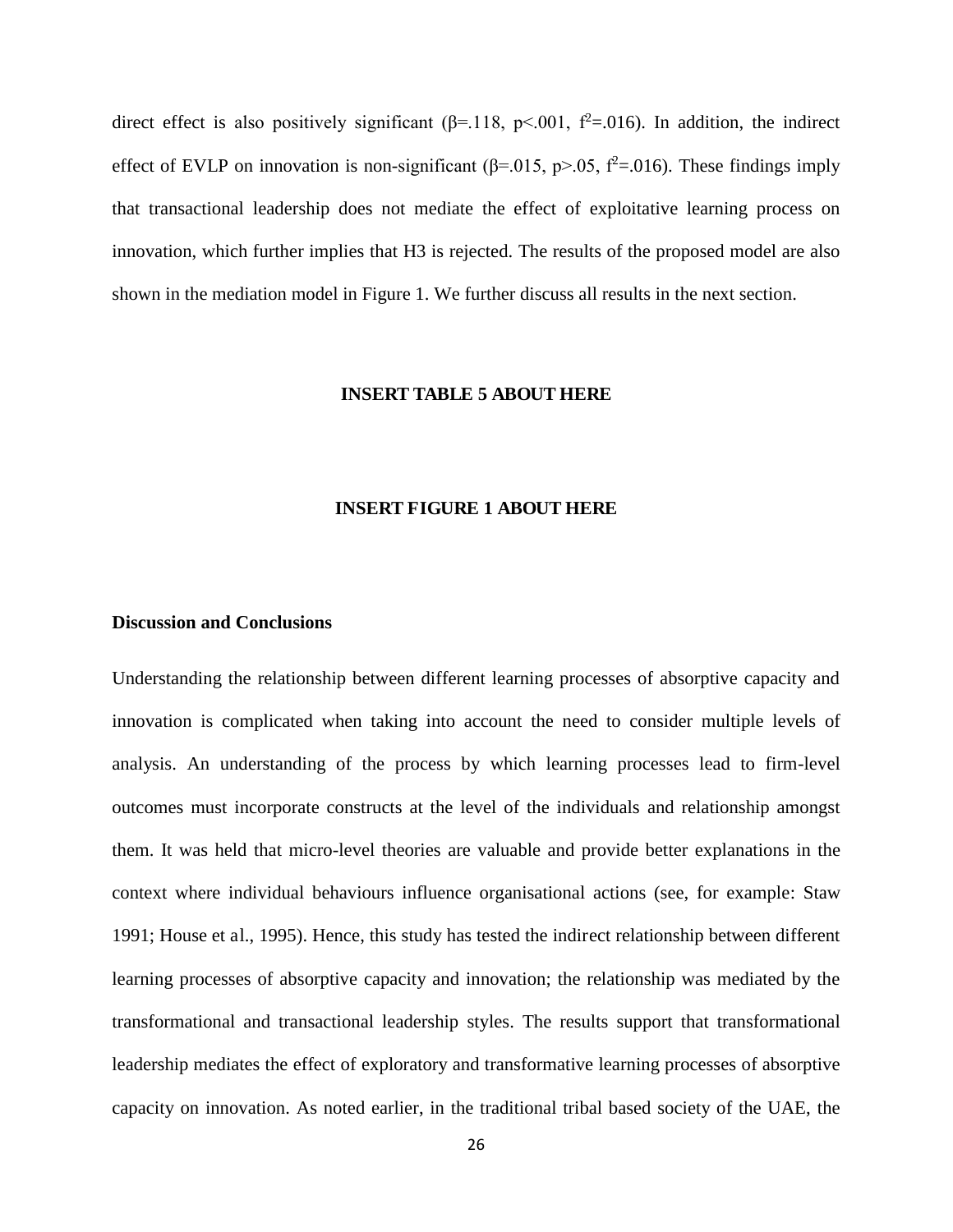direct effect is also positively significant ( $\beta$ =.118, p<.001,  $\beta$ <sup>2</sup>=.016). In addition, the indirect effect of EVLP on innovation is non-significant ( $\beta$ =.015, p>.05, f<sup>2</sup>=.016). These findings imply that transactional leadership does not mediate the effect of exploitative learning process on innovation, which further implies that H3 is rejected. The results of the proposed model are also shown in the mediation model in Figure 1. We further discuss all results in the next section.

#### **INSERT TABLE 5 ABOUT HERE**

#### **INSERT FIGURE 1 ABOUT HERE**

#### **Discussion and Conclusions**

Understanding the relationship between different learning processes of absorptive capacity and innovation is complicated when taking into account the need to consider multiple levels of analysis. An understanding of the process by which learning processes lead to firm-level outcomes must incorporate constructs at the level of the individuals and relationship amongst them. It was held that micro-level theories are valuable and provide better explanations in the context where individual behaviours influence organisational actions (see, for example: Staw 1991; House et al., 1995). Hence, this study has tested the indirect relationship between different learning processes of absorptive capacity and innovation; the relationship was mediated by the transformational and transactional leadership styles. The results support that transformational leadership mediates the effect of exploratory and transformative learning processes of absorptive capacity on innovation. As noted earlier, in the traditional tribal based society of the UAE, the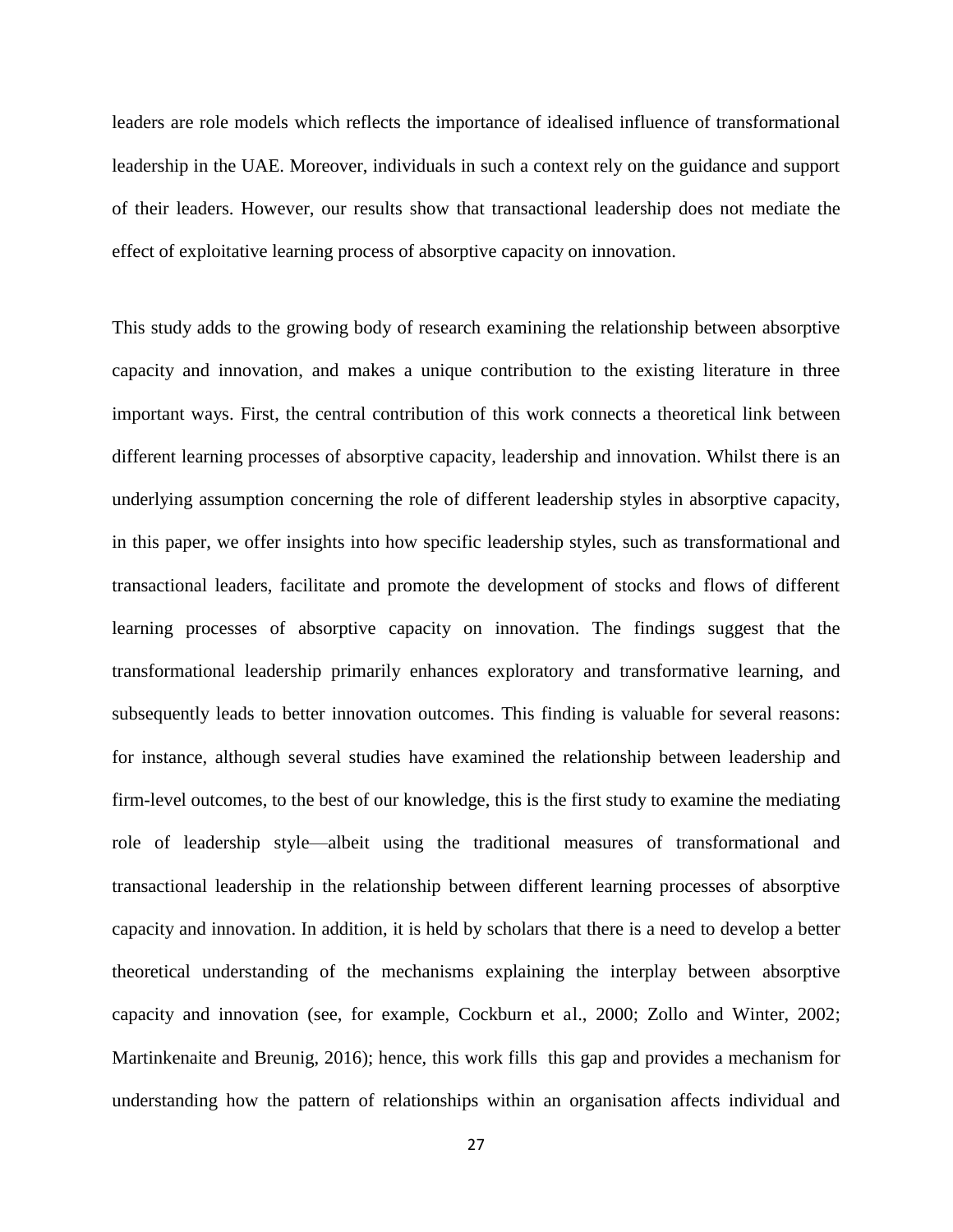leaders are role models which reflects the importance of idealised influence of transformational leadership in the UAE. Moreover, individuals in such a context rely on the guidance and support of their leaders. However, our results show that transactional leadership does not mediate the effect of exploitative learning process of absorptive capacity on innovation.

This study adds to the growing body of research examining the relationship between absorptive capacity and innovation, and makes a unique contribution to the existing literature in three important ways. First, the central contribution of this work connects a theoretical link between different learning processes of absorptive capacity, leadership and innovation. Whilst there is an underlying assumption concerning the role of different leadership styles in absorptive capacity, in this paper, we offer insights into how specific leadership styles, such as transformational and transactional leaders, facilitate and promote the development of stocks and flows of different learning processes of absorptive capacity on innovation. The findings suggest that the transformational leadership primarily enhances exploratory and transformative learning, and subsequently leads to better innovation outcomes. This finding is valuable for several reasons: for instance, although several studies have examined the relationship between leadership and firm-level outcomes, to the best of our knowledge, this is the first study to examine the mediating role of leadership style—albeit using the traditional measures of transformational and transactional leadership in the relationship between different learning processes of absorptive capacity and innovation. In addition, it is held by scholars that there is a need to develop a better theoretical understanding of the mechanisms explaining the interplay between absorptive capacity and innovation (see, for example, Cockburn et al., 2000; Zollo and Winter, 2002; Martinkenaite and Breunig, 2016); hence, this work fills this gap and provides a mechanism for understanding how the pattern of relationships within an organisation affects individual and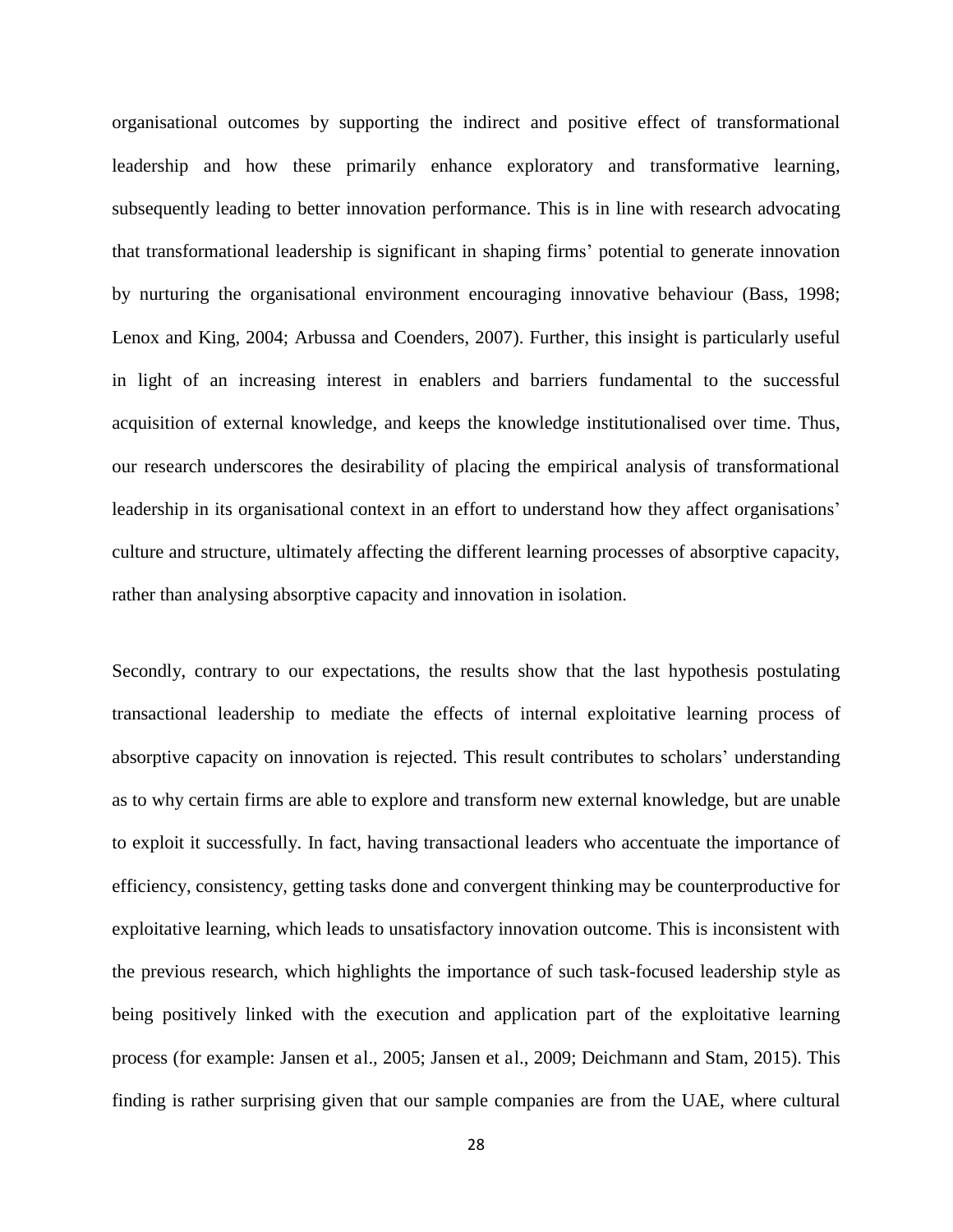organisational outcomes by supporting the indirect and positive effect of transformational leadership and how these primarily enhance exploratory and transformative learning, subsequently leading to better innovation performance. This is in line with research advocating that transformational leadership is significant in shaping firms' potential to generate innovation by nurturing the organisational environment encouraging innovative behaviour (Bass, 1998; Lenox and King, 2004; Arbussa and Coenders, 2007). Further, this insight is particularly useful in light of an increasing interest in enablers and barriers fundamental to the successful acquisition of external knowledge, and keeps the knowledge institutionalised over time. Thus, our research underscores the desirability of placing the empirical analysis of transformational leadership in its organisational context in an effort to understand how they affect organisations' culture and structure, ultimately affecting the different learning processes of absorptive capacity, rather than analysing absorptive capacity and innovation in isolation.

Secondly, contrary to our expectations, the results show that the last hypothesis postulating transactional leadership to mediate the effects of internal exploitative learning process of absorptive capacity on innovation is rejected. This result contributes to scholars' understanding as to why certain firms are able to explore and transform new external knowledge, but are unable to exploit it successfully. In fact, having transactional leaders who accentuate the importance of efficiency, consistency, getting tasks done and convergent thinking may be counterproductive for exploitative learning, which leads to unsatisfactory innovation outcome. This is inconsistent with the previous research, which highlights the importance of such task-focused leadership style as being positively linked with the execution and application part of the exploitative learning process (for example: Jansen et al., 2005; Jansen et al., 2009; Deichmann and Stam, 2015). This finding is rather surprising given that our sample companies are from the UAE, where cultural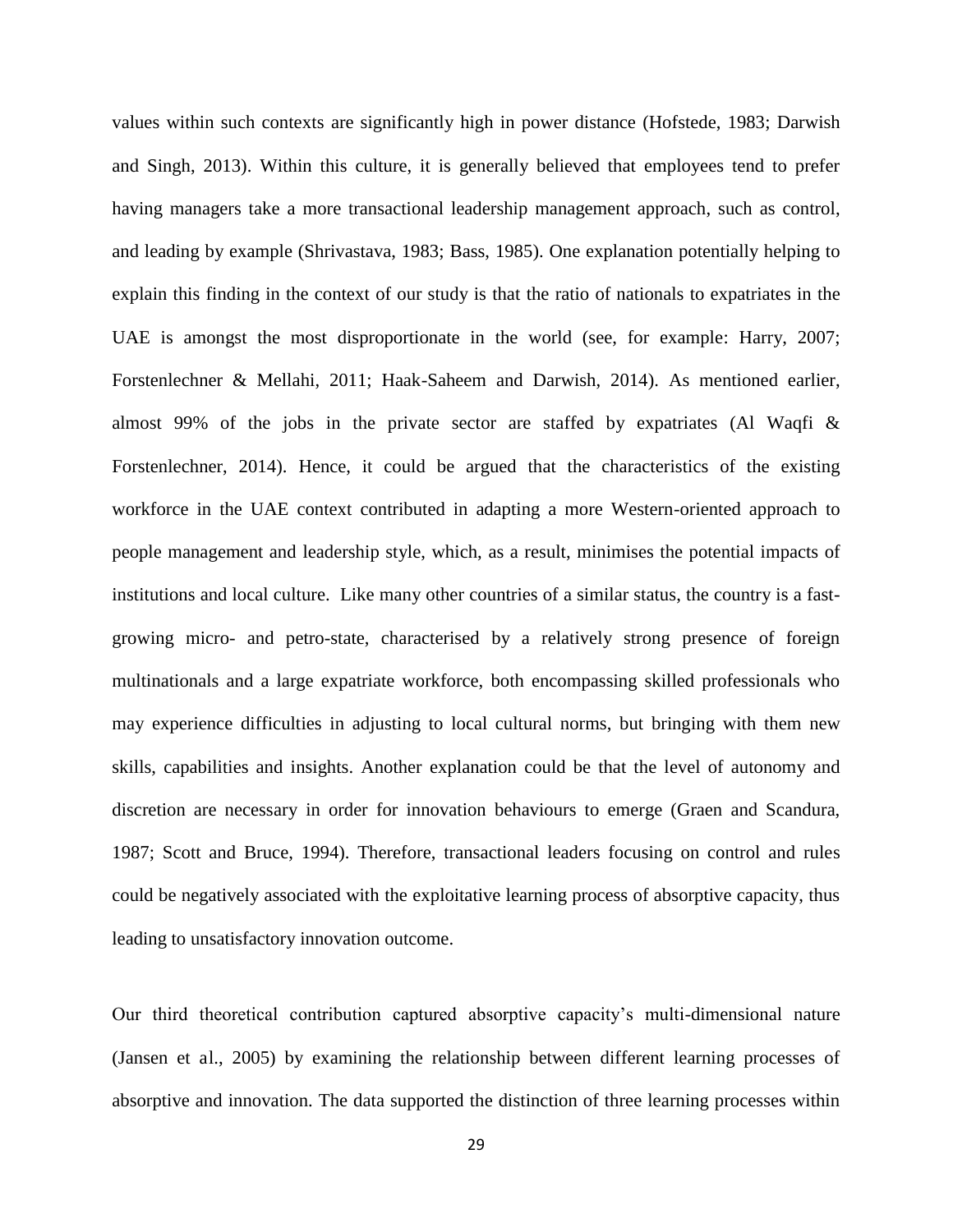values within such contexts are significantly high in power distance (Hofstede, 1983; Darwish and Singh, 2013). Within this culture, it is generally believed that employees tend to prefer having managers take a more transactional leadership management approach, such as control, and leading by example (Shrivastava, 1983; Bass, 1985). One explanation potentially helping to explain this finding in the context of our study is that the ratio of nationals to expatriates in the UAE is amongst the most disproportionate in the world (see, for example: Harry, 2007; Forstenlechner & Mellahi, 2011; Haak-Saheem and Darwish, 2014). As mentioned earlier, almost 99% of the jobs in the private sector are staffed by expatriates (Al Waqfi & Forstenlechner, 2014). Hence, it could be argued that the characteristics of the existing workforce in the UAE context contributed in adapting a more Western-oriented approach to people management and leadership style, which, as a result, minimises the potential impacts of institutions and local culture. Like many other countries of a similar status, the country is a fastgrowing micro- and petro-state, characterised by a relatively strong presence of foreign multinationals and a large expatriate workforce, both encompassing skilled professionals who may experience difficulties in adjusting to local cultural norms, but bringing with them new skills, capabilities and insights. Another explanation could be that the level of autonomy and discretion are necessary in order for innovation behaviours to emerge (Graen and Scandura, 1987; Scott and Bruce, 1994). Therefore, transactional leaders focusing on control and rules could be negatively associated with the exploitative learning process of absorptive capacity, thus leading to unsatisfactory innovation outcome.

Our third theoretical contribution captured absorptive capacity's multi-dimensional nature (Jansen et al., 2005) by examining the relationship between different learning processes of absorptive and innovation. The data supported the distinction of three learning processes within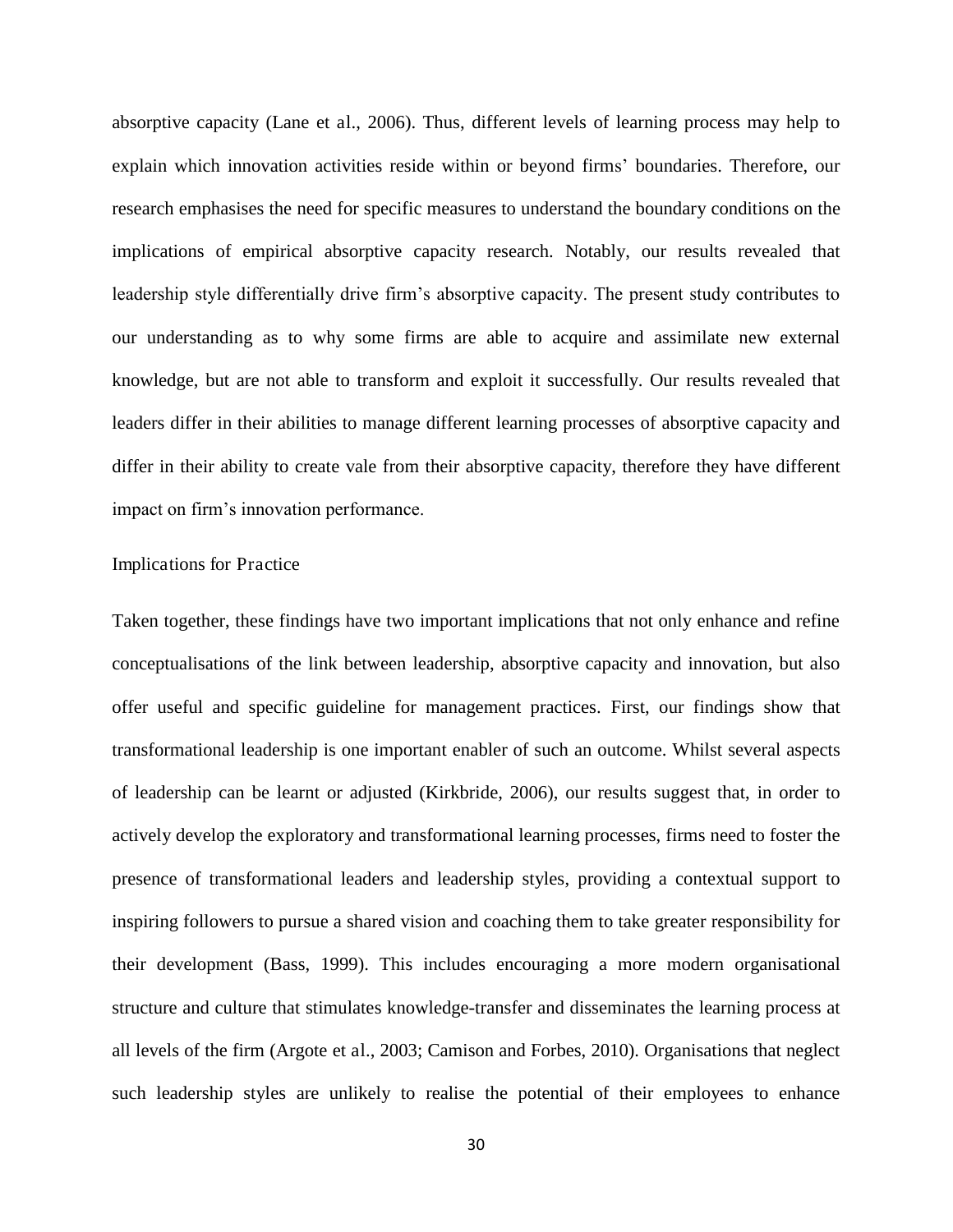absorptive capacity (Lane et al., 2006). Thus, different levels of learning process may help to explain which innovation activities reside within or beyond firms' boundaries. Therefore, our research emphasises the need for specific measures to understand the boundary conditions on the implications of empirical absorptive capacity research. Notably, our results revealed that leadership style differentially drive firm's absorptive capacity. The present study contributes to our understanding as to why some firms are able to acquire and assimilate new external knowledge, but are not able to transform and exploit it successfully. Our results revealed that leaders differ in their abilities to manage different learning processes of absorptive capacity and differ in their ability to create vale from their absorptive capacity, therefore they have different impact on firm's innovation performance.

#### Implications for Practice

Taken together, these findings have two important implications that not only enhance and refine conceptualisations of the link between leadership, absorptive capacity and innovation, but also offer useful and specific guideline for management practices. First, our findings show that transformational leadership is one important enabler of such an outcome. Whilst several aspects of leadership can be learnt or adjusted (Kirkbride, 2006), our results suggest that, in order to actively develop the exploratory and transformational learning processes, firms need to foster the presence of transformational leaders and leadership styles, providing a contextual support to inspiring followers to pursue a shared vision and coaching them to take greater responsibility for their development (Bass, 1999). This includes encouraging a more modern organisational structure and culture that stimulates knowledge-transfer and disseminates the learning process at all levels of the firm (Argote et al., 2003; Camison and Forbes, 2010). Organisations that neglect such leadership styles are unlikely to realise the potential of their employees to enhance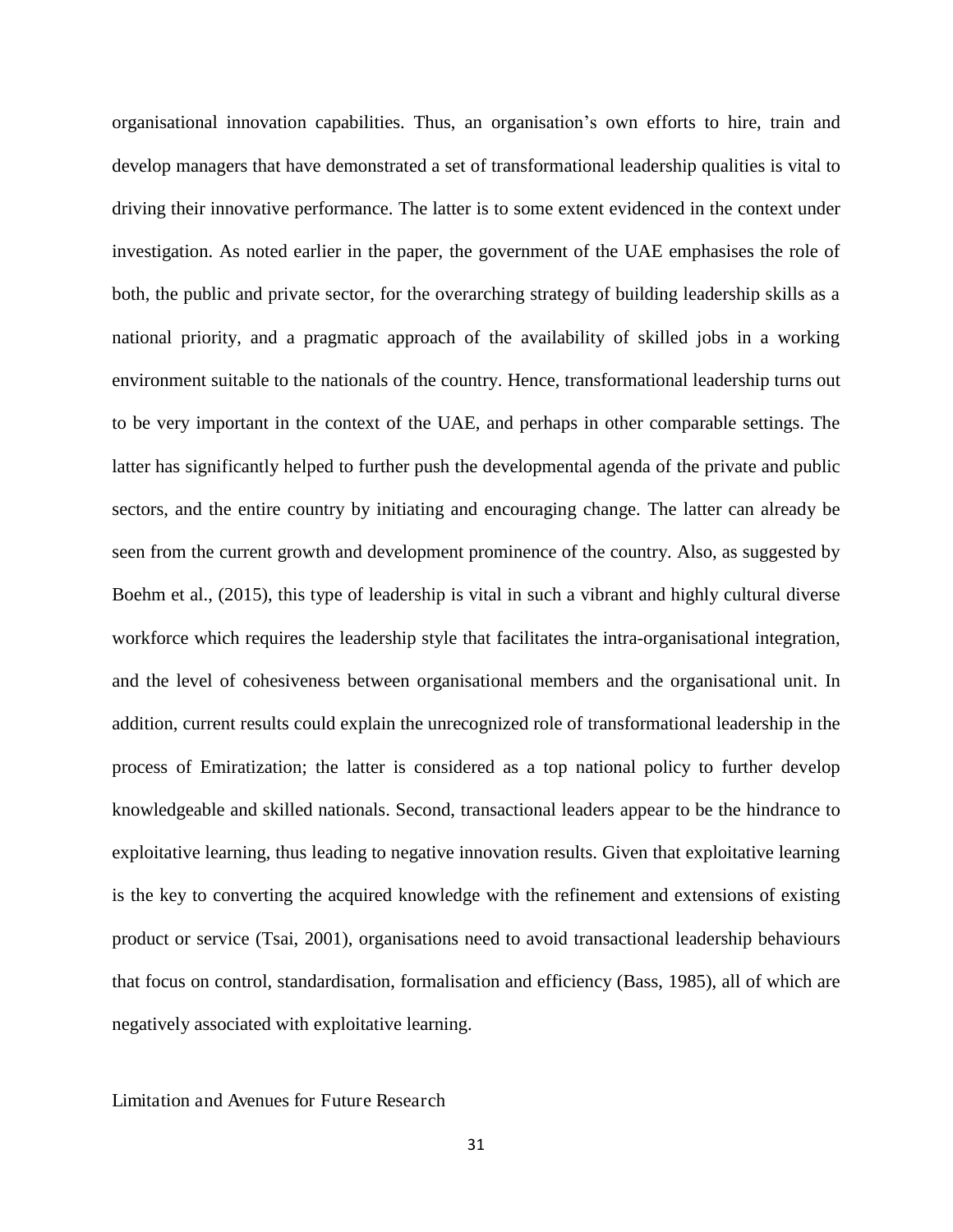organisational innovation capabilities. Thus, an organisation's own efforts to hire, train and develop managers that have demonstrated a set of transformational leadership qualities is vital to driving their innovative performance. The latter is to some extent evidenced in the context under investigation. As noted earlier in the paper, the government of the UAE emphasises the role of both, the public and private sector, for the overarching strategy of building leadership skills as a national priority, and a pragmatic approach of the availability of skilled jobs in a working environment suitable to the nationals of the country. Hence, transformational leadership turns out to be very important in the context of the UAE, and perhaps in other comparable settings. The latter has significantly helped to further push the developmental agenda of the private and public sectors, and the entire country by initiating and encouraging change. The latter can already be seen from the current growth and development prominence of the country. Also, as suggested by Boehm et al., (2015), this type of leadership is vital in such a vibrant and highly cultural diverse workforce which requires the leadership style that facilitates the intra-organisational integration, and the level of cohesiveness between organisational members and the organisational unit. In addition, current results could explain the unrecognized role of transformational leadership in the process of Emiratization; the latter is considered as a top national policy to further develop knowledgeable and skilled nationals. Second, transactional leaders appear to be the hindrance to exploitative learning, thus leading to negative innovation results. Given that exploitative learning is the key to converting the acquired knowledge with the refinement and extensions of existing product or service (Tsai, 2001), organisations need to avoid transactional leadership behaviours that focus on control, standardisation, formalisation and efficiency (Bass, 1985), all of which are negatively associated with exploitative learning.

Limitation and Avenues for Future Research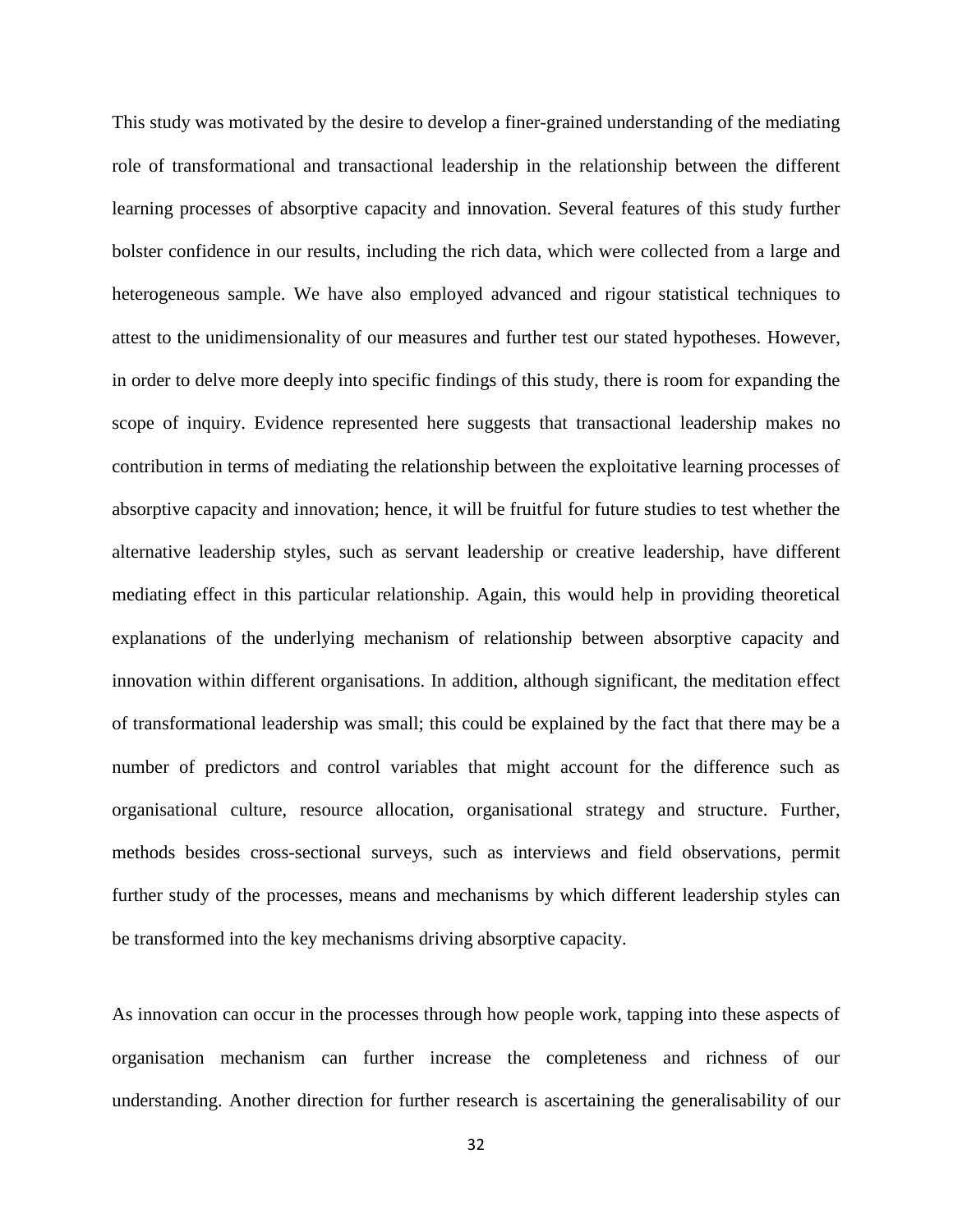This study was motivated by the desire to develop a finer-grained understanding of the mediating role of transformational and transactional leadership in the relationship between the different learning processes of absorptive capacity and innovation. Several features of this study further bolster confidence in our results, including the rich data, which were collected from a large and heterogeneous sample. We have also employed advanced and rigour statistical techniques to attest to the unidimensionality of our measures and further test our stated hypotheses. However, in order to delve more deeply into specific findings of this study, there is room for expanding the scope of inquiry. Evidence represented here suggests that transactional leadership makes no contribution in terms of mediating the relationship between the exploitative learning processes of absorptive capacity and innovation; hence, it will be fruitful for future studies to test whether the alternative leadership styles, such as servant leadership or creative leadership, have different mediating effect in this particular relationship. Again, this would help in providing theoretical explanations of the underlying mechanism of relationship between absorptive capacity and innovation within different organisations. In addition, although significant, the meditation effect of transformational leadership was small; this could be explained by the fact that there may be a number of predictors and control variables that might account for the difference such as organisational culture, resource allocation, organisational strategy and structure. Further, methods besides cross-sectional surveys, such as interviews and field observations, permit further study of the processes, means and mechanisms by which different leadership styles can be transformed into the key mechanisms driving absorptive capacity.

As innovation can occur in the processes through how people work, tapping into these aspects of organisation mechanism can further increase the completeness and richness of our understanding. Another direction for further research is ascertaining the generalisability of our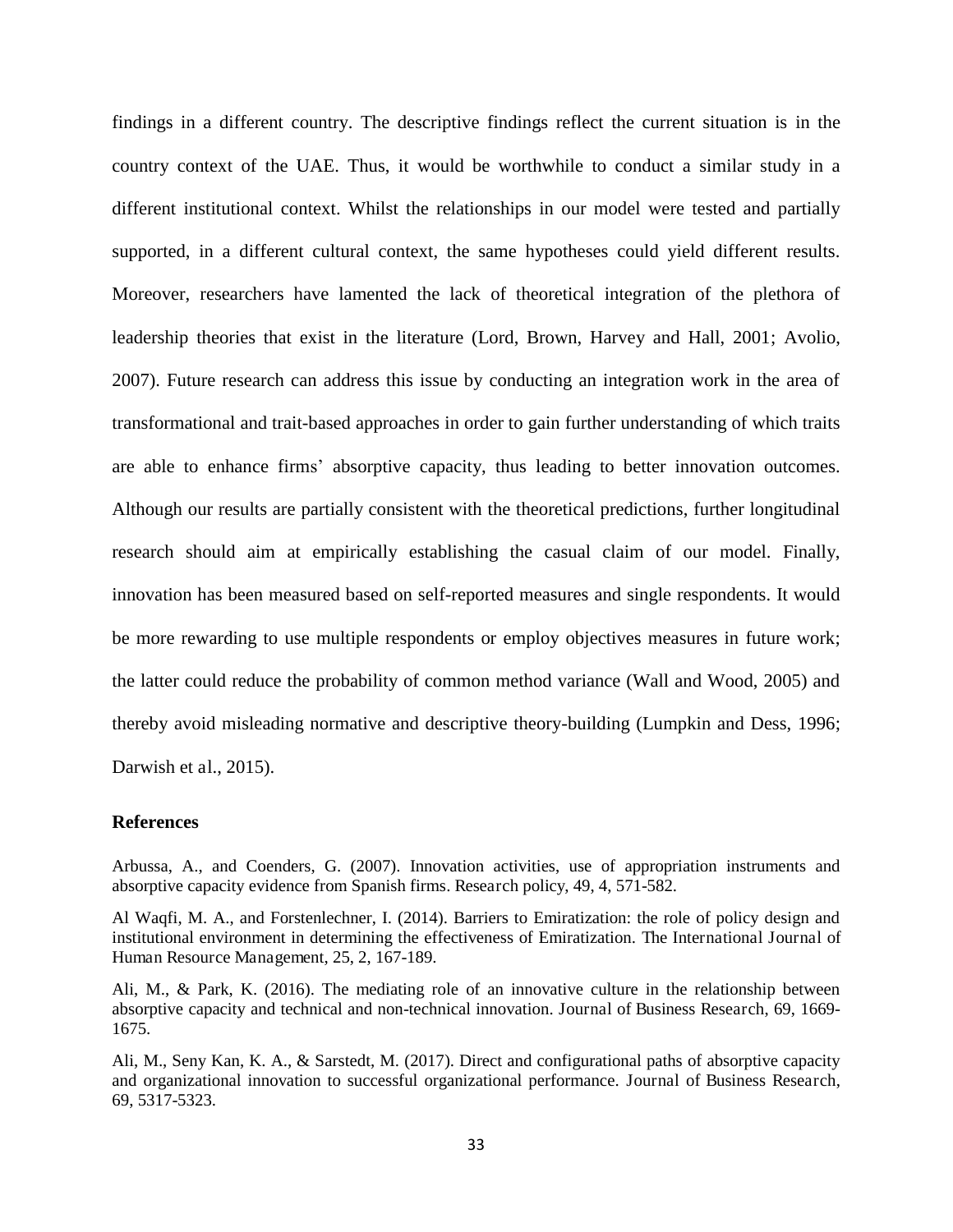findings in a different country. The descriptive findings reflect the current situation is in the country context of the UAE. Thus, it would be worthwhile to conduct a similar study in a different institutional context. Whilst the relationships in our model were tested and partially supported, in a different cultural context, the same hypotheses could yield different results. Moreover, researchers have lamented the lack of theoretical integration of the plethora of leadership theories that exist in the literature (Lord, Brown, Harvey and Hall, 2001; Avolio, 2007). Future research can address this issue by conducting an integration work in the area of transformational and trait-based approaches in order to gain further understanding of which traits are able to enhance firms' absorptive capacity, thus leading to better innovation outcomes. Although our results are partially consistent with the theoretical predictions, further longitudinal research should aim at empirically establishing the casual claim of our model. Finally, innovation has been measured based on self-reported measures and single respondents. It would be more rewarding to use multiple respondents or employ objectives measures in future work; the latter could reduce the probability of common method variance (Wall and Wood, 2005) and thereby avoid misleading normative and descriptive theory-building (Lumpkin and Dess, 1996; Darwish et al., 2015).

#### **References**

Arbussa, A., and Coenders, G. (2007). Innovation activities, use of appropriation instruments and absorptive capacity evidence from Spanish firms. Research policy, 49, 4, 571-582.

Al Waqfi, M. A., and Forstenlechner, I. (2014). Barriers to Emiratization: the role of policy design and institutional environment in determining the effectiveness of Emiratization. The International Journal of Human Resource Management, 25, 2, 167-189.

Ali, M., & Park, K. (2016). The mediating role of an innovative culture in the relationship between absorptive capacity and technical and non-technical innovation. Journal of Business Research, 69, 1669- 1675.

Ali, M., Seny Kan, K. A., & Sarstedt, M. (2017). Direct and configurational paths of absorptive capacity and organizational innovation to successful organizational performance. Journal of Business Research, 69, 5317-5323.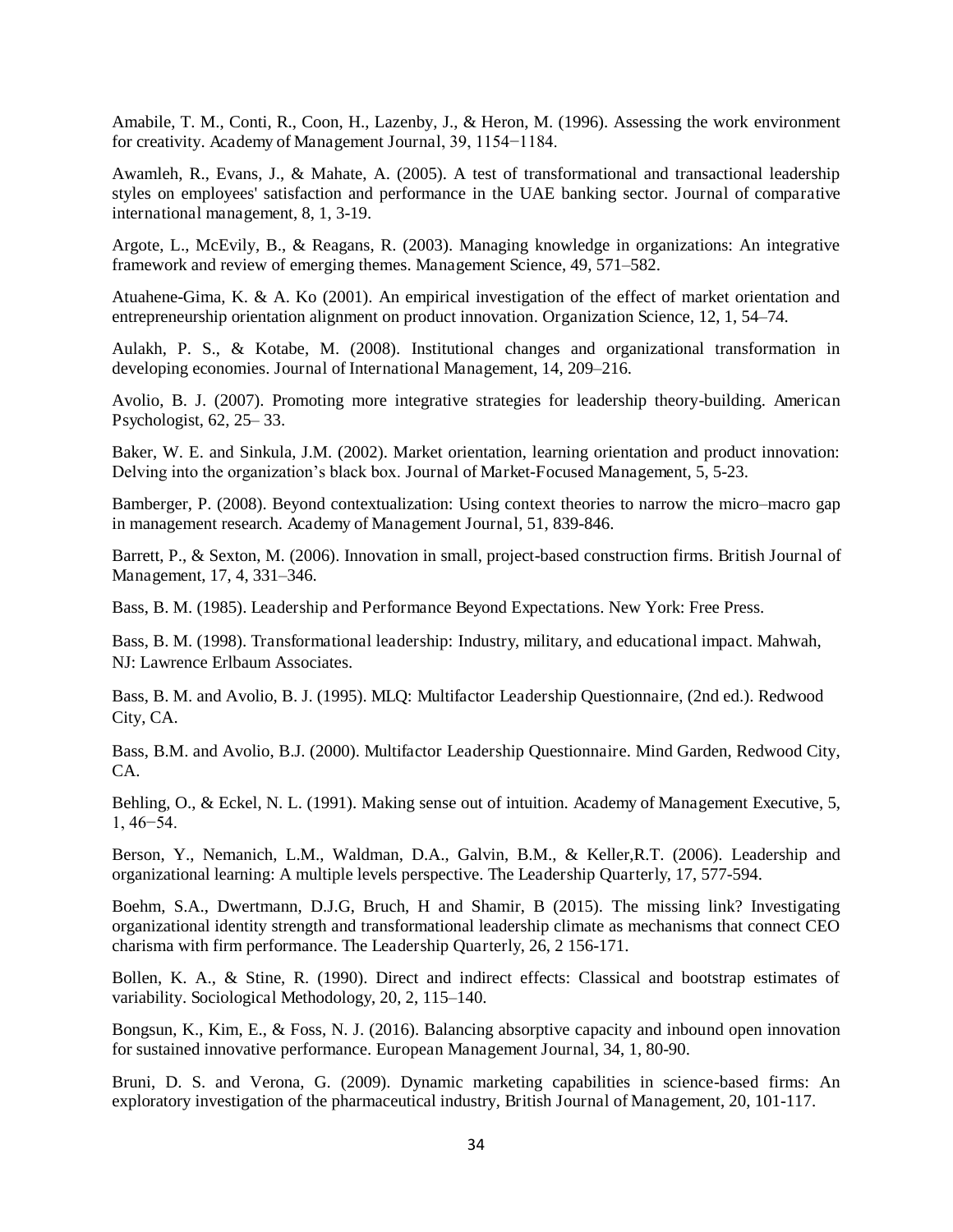Amabile, T. M., Conti, R., Coon, H., Lazenby, J., & Heron, M. (1996). Assessing the work environment for creativity. Academy of Management Journal, 39, 1154−1184.

Awamleh, R., Evans, J., & Mahate, A. (2005). A test of transformational and transactional leadership styles on employees' satisfaction and performance in the UAE banking sector. Journal of comparative international management, 8, 1, 3-19.

Argote, L., McEvily, B., & Reagans, R. (2003). Managing knowledge in organizations: An integrative framework and review of emerging themes. Management Science, 49, 571–582.

Atuahene-Gima, K. & A. Ko (2001). An empirical investigation of the effect of market orientation and entrepreneurship orientation alignment on product innovation. Organization Science, 12, 1, 54–74.

Aulakh, P. S., & Kotabe, M. (2008). Institutional changes and organizational transformation in developing economies. Journal of International Management, 14, 209–216.

Avolio, B. J. (2007). Promoting more integrative strategies for leadership theory-building. American Psychologist, 62, 25– 33.

Baker, W. E. and Sinkula, J.M. (2002). Market orientation, learning orientation and product innovation: Delving into the organization's black box. Journal of Market-Focused Management, 5, 5-23.

Bamberger, P. (2008). Beyond contextualization: Using context theories to narrow the micro–macro gap in management research. Academy of Management Journal, 51, 839-846.

Barrett, P., & Sexton, M. (2006). Innovation in small, project-based construction firms. British Journal of Management, 17, 4, 331–346.

Bass, B. M. (1985). Leadership and Performance Beyond Expectations. New York: Free Press.

Bass, B. M. (1998). Transformational leadership: Industry, military, and educational impact. Mahwah, NJ: Lawrence Erlbaum Associates.

Bass, B. M. and Avolio, B. J. (1995). MLQ: Multifactor Leadership Questionnaire, (2nd ed.). Redwood City, CA.

Bass, B.M. and Avolio, B.J. (2000). Multifactor Leadership Questionnaire. Mind Garden, Redwood City, CA.

Behling, O., & Eckel, N. L. (1991). Making sense out of intuition. Academy of Management Executive, 5, 1, 46−54.

Berson, Y., Nemanich, L.M., Waldman, D.A., Galvin, B.M., & Keller,R.T. (2006). Leadership and organizational learning: A multiple levels perspective. The Leadership Quarterly, 17, 577-594.

Boehm, S.A., Dwertmann, D.J.G, Bruch, H and Shamir, B (2015). The missing link? Investigating organizational identity strength and transformational leadership climate as mechanisms that connect CEO charisma with firm performance. The Leadership Quarterly, 26, 2 156-171.

Bollen, K. A., & Stine, R. (1990). Direct and indirect effects: Classical and bootstrap estimates of variability. Sociological Methodology, 20, 2, 115–140.

Bongsun, K., Kim, E., & Foss, N. J. (2016). Balancing absorptive capacity and inbound open innovation for sustained innovative performance. European Management Journal, 34, 1, 80-90.

Bruni, D. S. and Verona, G. (2009). Dynamic marketing capabilities in science-based firms: An exploratory investigation of the pharmaceutical industry, British Journal of Management, 20, 101-117.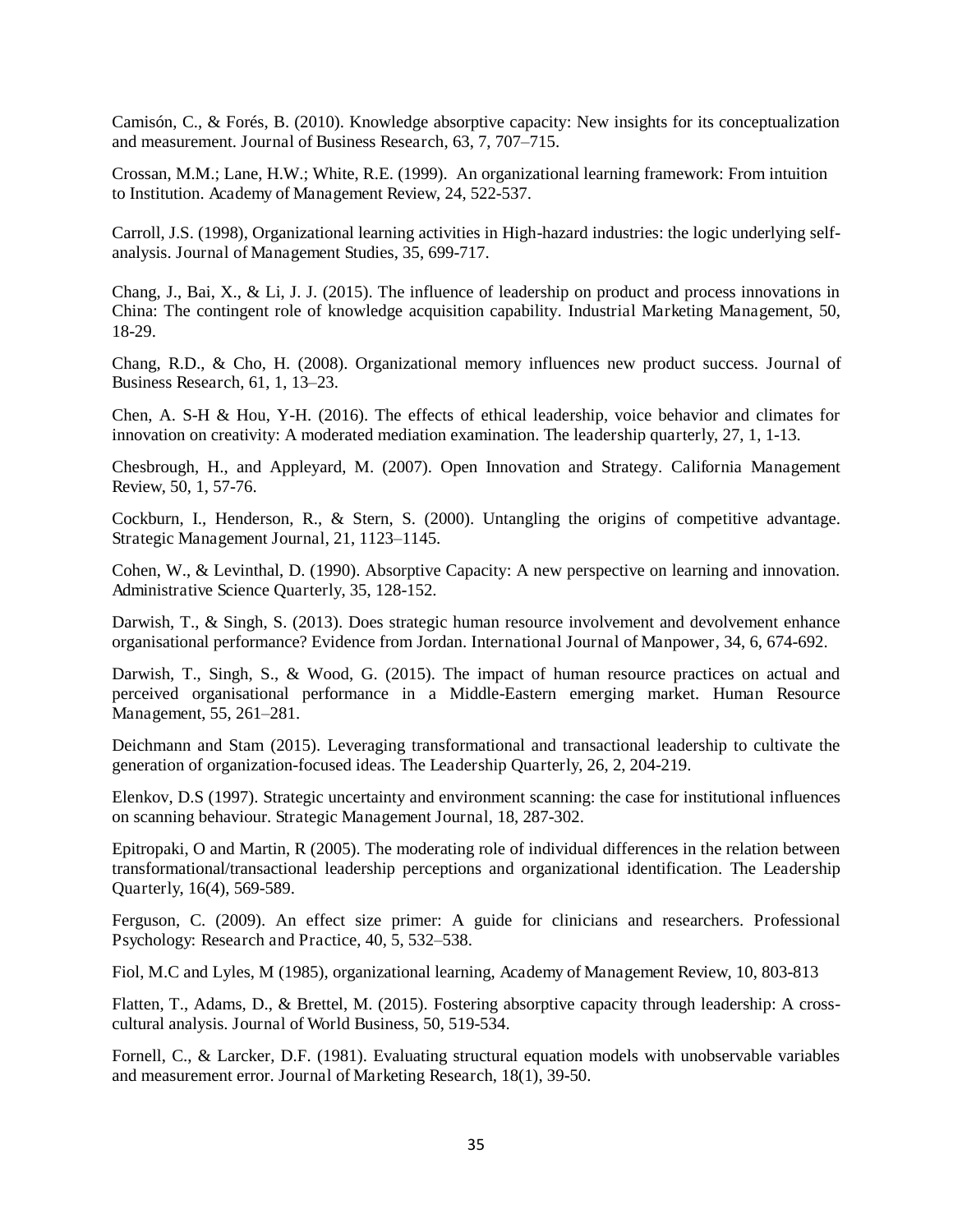Camisón, C., & Forés, B. (2010). Knowledge absorptive capacity: New insights for its conceptualization and measurement. Journal of Business Research, 63, 7, 707–715.

Crossan, M.M.; Lane, H.W.; White, R.E. (1999). An organizational learning framework: From intuition to Institution. Academy of Management Review, 24, 522-537.

Carroll, J.S. (1998), Organizational learning activities in High-hazard industries: the logic underlying selfanalysis. Journal of Management Studies, 35, 699-717.

Chang, J., Bai, X., & Li, J. J. (2015). The influence of leadership on product and process innovations in China: The contingent role of knowledge acquisition capability. Industrial Marketing Management, 50, 18-29.

Chang, R.D., & Cho, H. (2008). Organizational memory influences new product success. Journal of Business Research, 61, 1, 13–23.

Chen, A. S-H & Hou, Y-H. (2016). The effects of ethical leadership, voice behavior and climates for innovation on creativity: A moderated mediation examination. The leadership quarterly, 27, 1, 1-13.

Chesbrough, H., and Appleyard, M. (2007). Open Innovation and Strategy. California Management Review, 50, 1, 57-76.

Cockburn, I., Henderson, R., & Stern, S. (2000). Untangling the origins of competitive advantage. Strategic Management Journal, 21, 1123–1145.

Cohen, W., & Levinthal, D. (1990). Absorptive Capacity: A new perspective on learning and innovation. Administrative Science Quarterly, 35, 128-152.

Darwish, T., & Singh, S. (2013). Does strategic human resource involvement and devolvement enhance organisational performance? Evidence from Jordan. International Journal of Manpower, 34, 6, 674-692.

Darwish, T., Singh, S., & Wood, G. (2015). The impact of human resource practices on actual and perceived organisational performance in a Middle-Eastern emerging market. Human Resource Management, 55, 261–281.

Deichmann and Stam (2015). Leveraging transformational and transactional leadership to cultivate the generation of organization-focused ideas. The Leadership Quarterly, 26, 2, 204-219.

Elenkov, D.S (1997). Strategic uncertainty and environment scanning: the case for institutional influences on scanning behaviour. Strategic Management Journal, 18, 287-302.

Epitropaki, O and Martin, R (2005). The moderating role of individual differences in the relation between transformational/transactional leadership perceptions and organizational identification. The Leadership Quarterly, 16(4), 569-589.

Ferguson, C. (2009). An effect size primer: A guide for clinicians and researchers. Professional Psychology: Research and Practice, 40, 5, 532–538.

Fiol, M.C and Lyles, M (1985), organizational learning, Academy of Management Review, 10, 803-813

Flatten, T., Adams, D., & Brettel, M. (2015). Fostering absorptive capacity through leadership: A crosscultural analysis. Journal of World Business, 50, 519-534.

Fornell, C., & Larcker, D.F. (1981). Evaluating structural equation models with unobservable variables and measurement error. Journal of Marketing Research, 18(1), 39-50.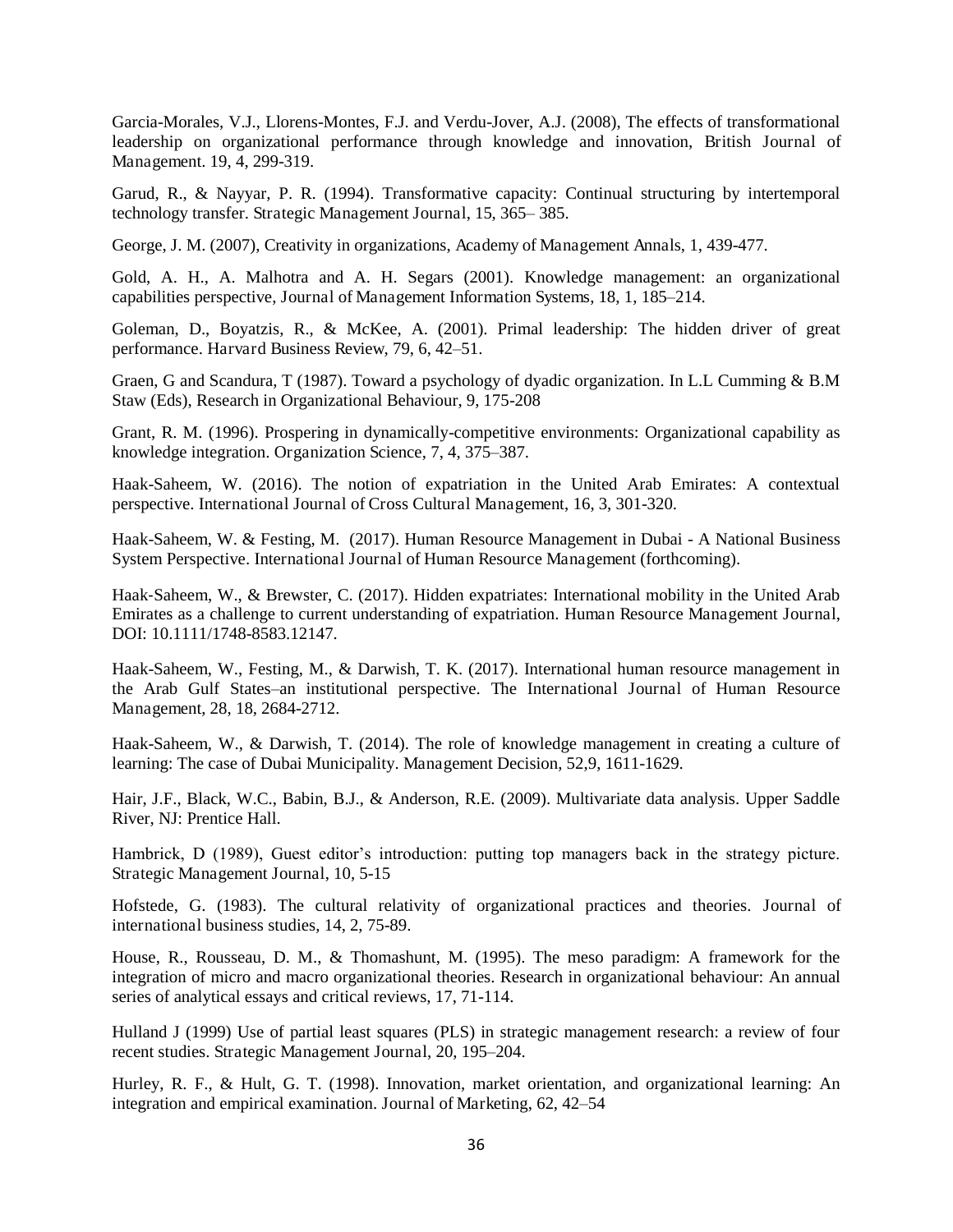Garcia-Morales, V.J., Llorens-Montes, F.J. and Verdu-Jover, A.J. (2008), The effects of transformational leadership on organizational performance through knowledge and innovation, British Journal of Management. 19, 4, 299-319.

Garud, R., & Nayyar, P. R. (1994). Transformative capacity: Continual structuring by intertemporal technology transfer. Strategic Management Journal, 15, 365– 385.

George, J. M. (2007), Creativity in organizations, Academy of Management Annals, 1, 439-477.

Gold, A. H., A. Malhotra and A. H. Segars (2001). Knowledge management: an organizational capabilities perspective, Journal of Management Information Systems, 18, 1, 185–214.

Goleman, D., Boyatzis, R., & McKee, A. (2001). Primal leadership: The hidden driver of great performance. Harvard Business Review, 79, 6, 42–51.

Graen, G and Scandura, T (1987). Toward a psychology of dyadic organization. In L.L Cumming & B.M Staw (Eds), Research in Organizational Behaviour, 9, 175-208

Grant, R. M. (1996). Prospering in dynamically-competitive environments: Organizational capability as knowledge integration. Organization Science, 7, 4, 375–387.

Haak-Saheem, W. (2016). The notion of expatriation in the United Arab Emirates: A contextual perspective. International Journal of Cross Cultural Management, 16, 3, 301-320.

Haak-Saheem, W. & Festing, M. (2017). Human Resource Management in Dubai - A National Business System Perspective. International Journal of Human Resource Management (forthcoming).

Haak-Saheem, W., & Brewster, C. (2017). Hidden expatriates: International mobility in the United Arab Emirates as a challenge to current understanding of expatriation. Human Resource Management Journal, DOI: 10.1111/1748-8583.12147.

Haak-Saheem, W., Festing, M., & Darwish, T. K. (2017). International human resource management in the Arab Gulf States–an institutional perspective. The International Journal of Human Resource Management, 28, 18, 2684-2712.

Haak-Saheem, W., & Darwish, T. (2014). The role of knowledge management in creating a culture of learning: The case of Dubai Municipality. Management Decision, 52,9, 1611-1629.

Hair, J.F., Black, W.C., Babin, B.J., & Anderson, R.E. (2009). Multivariate data analysis. Upper Saddle River, NJ: Prentice Hall.

Hambrick, D (1989), Guest editor's introduction: putting top managers back in the strategy picture. Strategic Management Journal, 10, 5-15

Hofstede, G. (1983). The cultural relativity of organizational practices and theories. Journal of international business studies, 14, 2, 75-89.

House, R., Rousseau, D. M., & Thomashunt, M. (1995). The meso paradigm: A framework for the integration of micro and macro organizational theories. Research in organizational behaviour: An annual series of analytical essays and critical reviews, 17, 71-114.

Hulland J (1999) Use of partial least squares (PLS) in strategic management research: a review of four recent studies. Strategic Management Journal, 20, 195–204.

Hurley, R. F., & Hult, G. T. (1998). Innovation, market orientation, and organizational learning: An integration and empirical examination. Journal of Marketing, 62, 42–54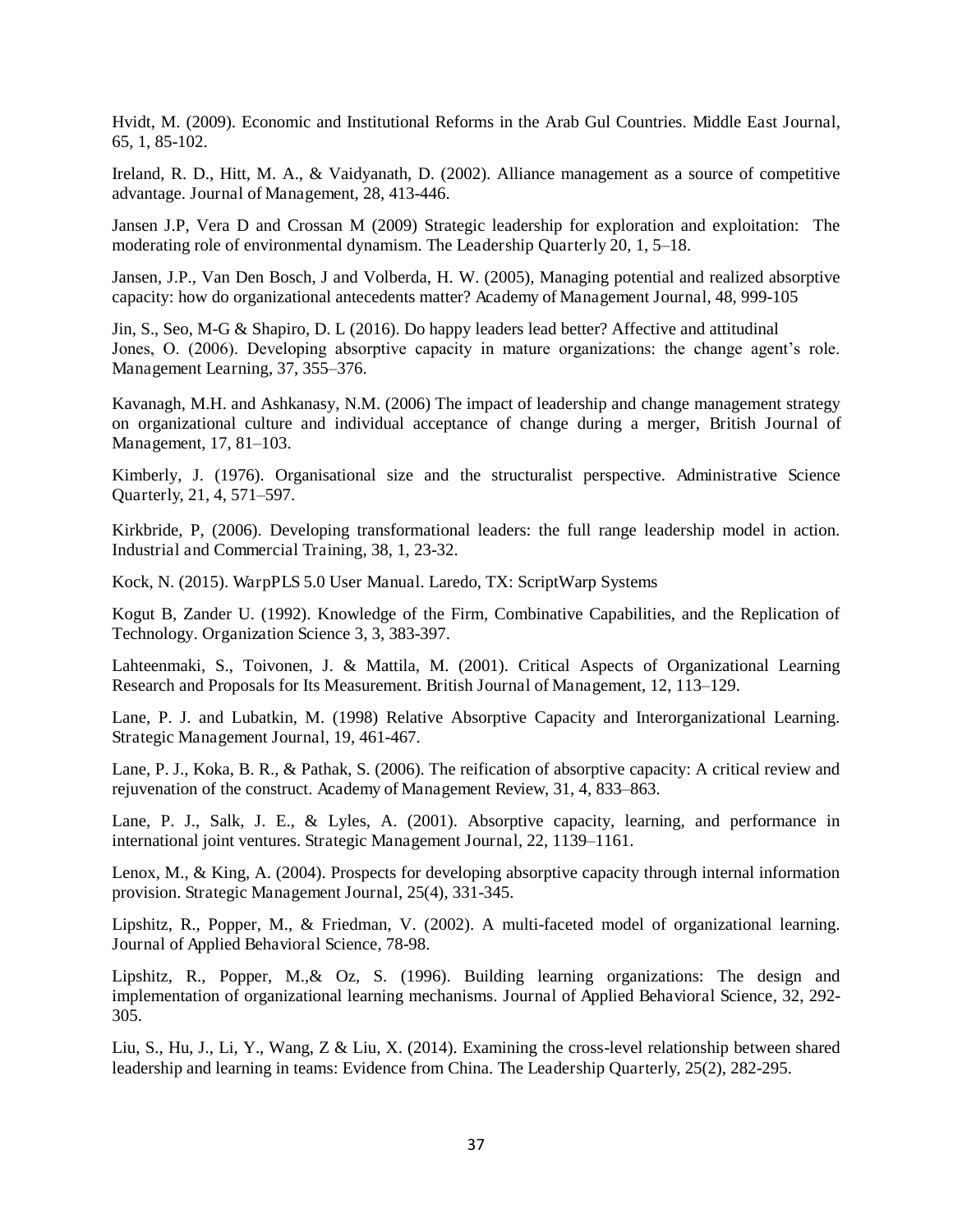Hvidt, M. (2009). Economic and Institutional Reforms in the Arab Gul Countries. Middle East Journal, 65, 1, 85-102.

Ireland, R. D., Hitt, M. A., & Vaidyanath, D. (2002). Alliance management as a source of competitive advantage. Journal of Management, 28, 413-446.

Jansen J.P, Vera D and Crossan M (2009) Strategic leadership for exploration and exploitation: The moderating role of environmental dynamism. The Leadership Quarterly 20, 1, 5–18.

Jansen, J.P., Van Den Bosch, J and Volberda, H. W. (2005), Managing potential and realized absorptive capacity: how do organizational antecedents matter? Academy of Management Journal, 48, 999-105

Jin, S., Seo, M-G & Shapiro, D. L (2016). Do happy leaders lead better? Affective and attitudinal Jones, O. (2006). Developing absorptive capacity in mature organizations: the change agent's role. Management Learning, 37, 355–376.

Kavanagh, M.H. and Ashkanasy, N.M. (2006) The impact of leadership and change management strategy on organizational culture and individual acceptance of change during a merger, British Journal of Management, 17, 81–103.

Kimberly, J. (1976). Organisational size and the structuralist perspective. Administrative Science Quarterly, 21, 4, 571–597.

Kirkbride, P, (2006). Developing transformational leaders: the full range leadership model in action. Industrial and Commercial Training, 38, 1, 23-32.

Kock, N. (2015). WarpPLS 5.0 User Manual. Laredo, TX: ScriptWarp Systems

Kogut B, Zander U. (1992). Knowledge of the Firm, Combinative Capabilities, and the Replication of Technology. Organization Science 3, 3, 383-397.

Lahteenmaki, S., Toivonen, J. & Mattila, M. (2001). Critical Aspects of Organizational Learning Research and Proposals for Its Measurement. British Journal of Management, 12, 113–129.

Lane, P. J. and Lubatkin, M. (1998) Relative Absorptive Capacity and Interorganizational Learning. Strategic Management Journal, 19, 461-467.

Lane, P. J., Koka, B. R., & Pathak, S. (2006). The reification of absorptive capacity: A critical review and rejuvenation of the construct. Academy of Management Review, 31, 4, 833–863.

Lane, P. J., Salk, J. E., & Lyles, A. (2001). Absorptive capacity, learning, and performance in international joint ventures. Strategic Management Journal, 22, 1139–1161.

Lenox, M., & King, A. (2004). Prospects for developing absorptive capacity through internal information provision. Strategic Management Journal, 25(4), 331-345.

Lipshitz, R., Popper, M., & Friedman, V. (2002). A multi-faceted model of organizational learning. Journal of Applied Behavioral Science, 78-98.

Lipshitz, R., Popper, M.,& Oz, S. (1996). Building learning organizations: The design and implementation of organizational learning mechanisms. Journal of Applied Behavioral Science, 32, 292- 305.

Liu, S., Hu, J., Li, Y., Wang, Z & Liu, X. (2014). Examining the cross-level relationship between shared leadership and learning in teams: Evidence from China. The Leadership Quarterly, 25(2), 282-295.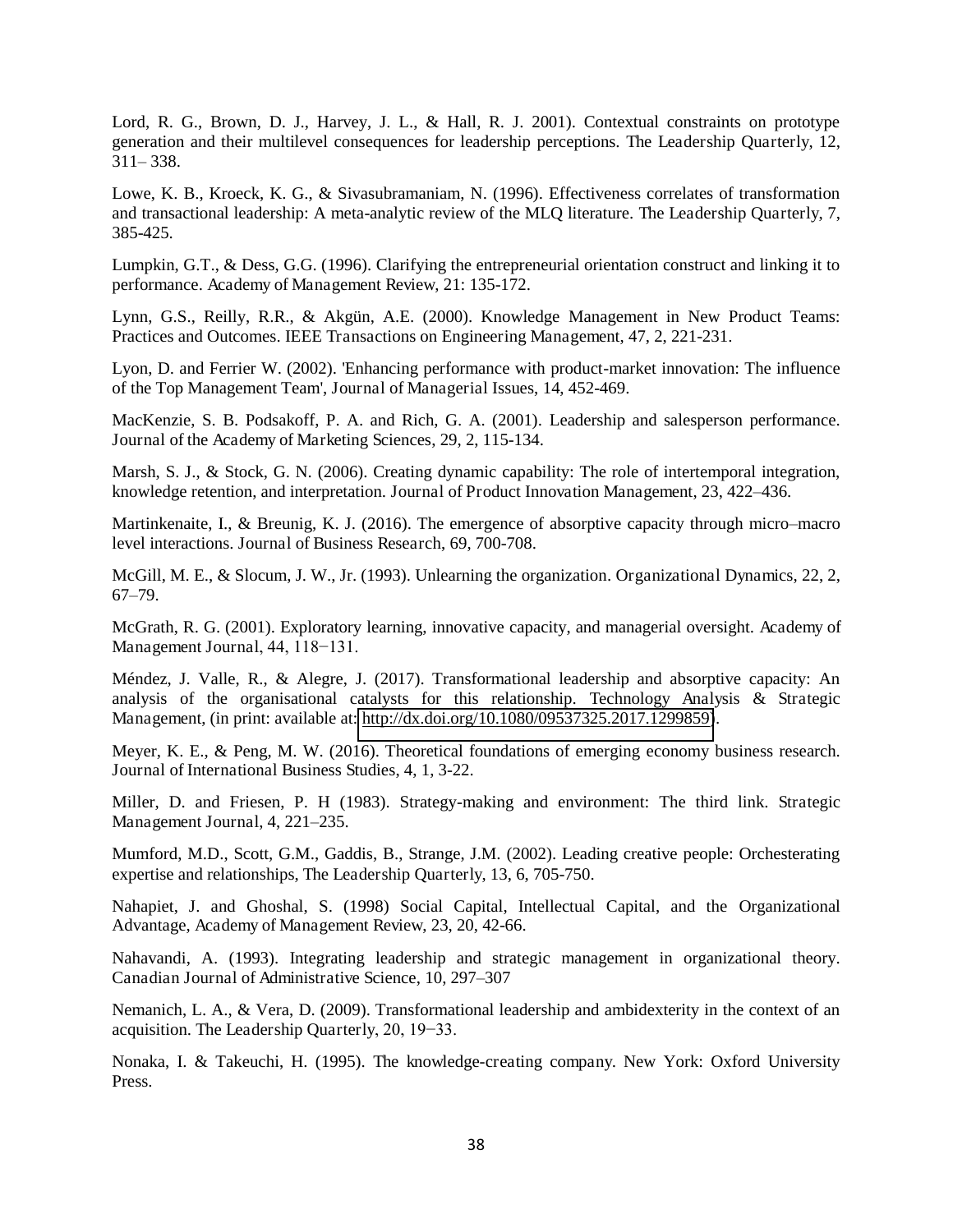Lord, R. G., Brown, D. J., Harvey, J. L., & Hall, R. J. 2001). Contextual constraints on prototype generation and their multilevel consequences for leadership perceptions. The Leadership Quarterly, 12, 311– 338.

Lowe, K. B., Kroeck, K. G., & Sivasubramaniam, N. (1996). Effectiveness correlates of transformation and transactional leadership: A meta-analytic review of the MLQ literature. The Leadership Quarterly, 7, 385-425.

Lumpkin, G.T., & Dess, G.G. (1996). Clarifying the entrepreneurial orientation construct and linking it to performance. Academy of Management Review, 21: 135-172.

Lynn, G.S., Reilly, R.R., & Akgün, A.E. (2000). Knowledge Management in New Product Teams: Practices and Outcomes. IEEE Transactions on Engineering Management, 47, 2, 221-231.

Lyon, D. and Ferrier W. (2002). 'Enhancing performance with product-market innovation: The influence of the Top Management Team', Journal of Managerial Issues, 14, 452-469.

MacKenzie, S. B. Podsakoff, P. A. and Rich, G. A. (2001). Leadership and salesperson performance. Journal of the Academy of Marketing Sciences, 29, 2, 115-134.

Marsh, S. J., & Stock, G. N. (2006). Creating dynamic capability: The role of intertemporal integration, knowledge retention, and interpretation. Journal of Product Innovation Management, 23, 422–436.

Martinkenaite, I., & Breunig, K. J. (2016). The emergence of absorptive capacity through micro–macro level interactions. Journal of Business Research, 69, 700-708.

McGill, M. E., & Slocum, J. W., Jr. (1993). Unlearning the organization. Organizational Dynamics, 22, 2, 67–79.

McGrath, R. G. (2001). Exploratory learning, innovative capacity, and managerial oversight. Academy of Management Journal, 44, 118−131.

Méndez, J. Valle, R., & Alegre, J. (2017). Transformational leadership and absorptive capacity: An analysis of the organisational catalysts for this relationship. Technology Analysis & Strategic Management, (in print: available at: [http://dx.doi.org/10.1080/09537325.2017.1299859\)](http://dx.doi.org/10.1080/09537325.2017.1299859).

Meyer, K. E., & Peng, M. W. (2016). Theoretical foundations of emerging economy business research. Journal of International Business Studies, 4, 1, 3-22.

Miller, D. and Friesen, P. H (1983). Strategy-making and environment: The third link. Strategic Management Journal, 4, 221–235.

Mumford, M.D., Scott, G.M., Gaddis, B., Strange, J.M. (2002). Leading creative people: Orchesterating expertise and relationships, The Leadership Quarterly, 13, 6, 705-750.

Nahapiet, J. and Ghoshal, S. (1998) Social Capital, Intellectual Capital, and the Organizational Advantage, Academy of Management Review, 23, 20, 42-66.

Nahavandi, A. (1993). Integrating leadership and strategic management in organizational theory. Canadian Journal of Administrative Science, 10, 297–307

Nemanich, L. A., & Vera, D. (2009). Transformational leadership and ambidexterity in the context of an acquisition. The Leadership Quarterly, 20, 19−33.

Nonaka, I. & Takeuchi, H. (1995). The knowledge-creating company. New York: Oxford University Press.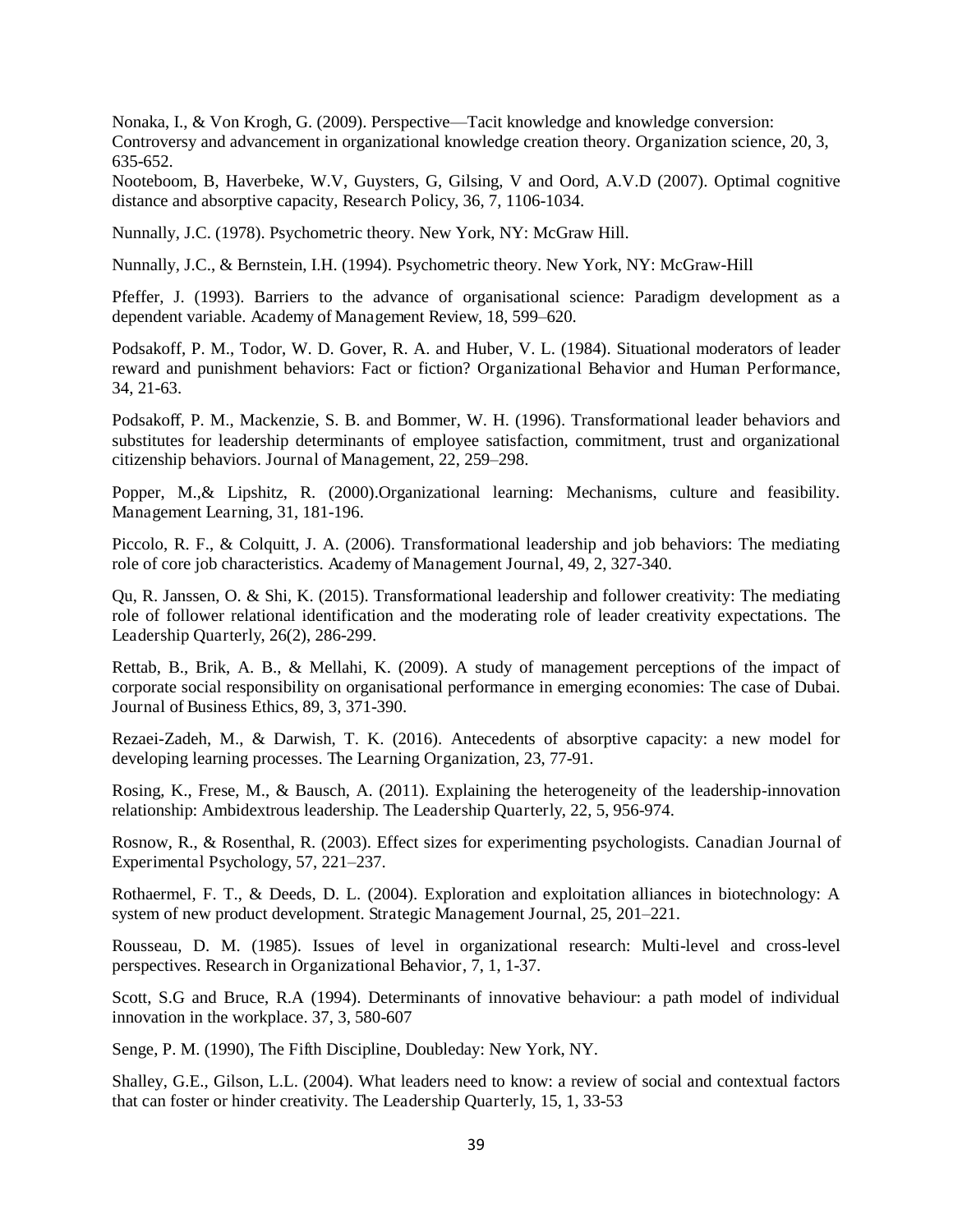Nonaka, I., & Von Krogh, G. (2009). Perspective—Tacit knowledge and knowledge conversion: Controversy and advancement in organizational knowledge creation theory. Organization science, 20, 3, 635-652.

Nooteboom, B, Haverbeke, W.V, Guysters, G, Gilsing, V and Oord, A.V.D (2007). Optimal cognitive distance and absorptive capacity, Research Policy, 36, 7, 1106-1034.

Nunnally, J.C. (1978). Psychometric theory. New York, NY: McGraw Hill.

Nunnally, J.C., & Bernstein, I.H. (1994). Psychometric theory. New York, NY: McGraw-Hill

Pfeffer, J. (1993). Barriers to the advance of organisational science: Paradigm development as a dependent variable. Academy of Management Review, 18, 599–620.

Podsakoff, P. M., Todor, W. D. Gover, R. A. and Huber, V. L. (1984). Situational moderators of leader reward and punishment behaviors: Fact or fiction? Organizational Behavior and Human Performance, 34, 21-63.

Podsakoff, P. M., Mackenzie, S. B. and Bommer, W. H. (1996). Transformational leader behaviors and substitutes for leadership determinants of employee satisfaction, commitment, trust and organizational citizenship behaviors. Journal of Management, 22, 259–298.

Popper, M.,& Lipshitz, R. (2000).Organizational learning: Mechanisms, culture and feasibility. Management Learning, 31, 181-196.

Piccolo, R. F., & Colquitt, J. A. (2006). Transformational leadership and job behaviors: The mediating role of core job characteristics. Academy of Management Journal, 49, 2, 327-340.

Qu, R. Janssen, O. & Shi, K. (2015). Transformational leadership and follower creativity: The mediating role of follower relational identification and the moderating role of leader creativity expectations. The Leadership Quarterly, 26(2), 286-299.

Rettab, B., Brik, A. B., & Mellahi, K. (2009). A study of management perceptions of the impact of corporate social responsibility on organisational performance in emerging economies: The case of Dubai. Journal of Business Ethics, 89, 3, 371-390.

Rezaei-Zadeh, M., & Darwish, T. K. (2016). Antecedents of absorptive capacity: a new model for developing learning processes. The Learning Organization, 23, 77-91.

Rosing, K., Frese, M., & Bausch, A. (2011). Explaining the heterogeneity of the leadership-innovation relationship: Ambidextrous leadership. The Leadership Quarterly, 22, 5, 956-974.

Rosnow, R., & Rosenthal, R. (2003). Effect sizes for experimenting psychologists. Canadian Journal of Experimental Psychology, 57, 221–237.

Rothaermel, F. T., & Deeds, D. L. (2004). Exploration and exploitation alliances in biotechnology: A system of new product development. Strategic Management Journal, 25, 201–221.

Rousseau, D. M. (1985). Issues of level in organizational research: Multi-level and cross-level perspectives. Research in Organizational Behavior, 7, 1, 1-37.

Scott, S.G and Bruce, R.A (1994). Determinants of innovative behaviour: a path model of individual innovation in the workplace. 37, 3, 580-607

Senge, P. M. (1990), The Fifth Discipline, Doubleday: New York, NY.

Shalley, G.E., Gilson, L.L. (2004). What leaders need to know: a review of social and contextual factors that can foster or hinder creativity. The Leadership Quarterly, 15, 1, 33-53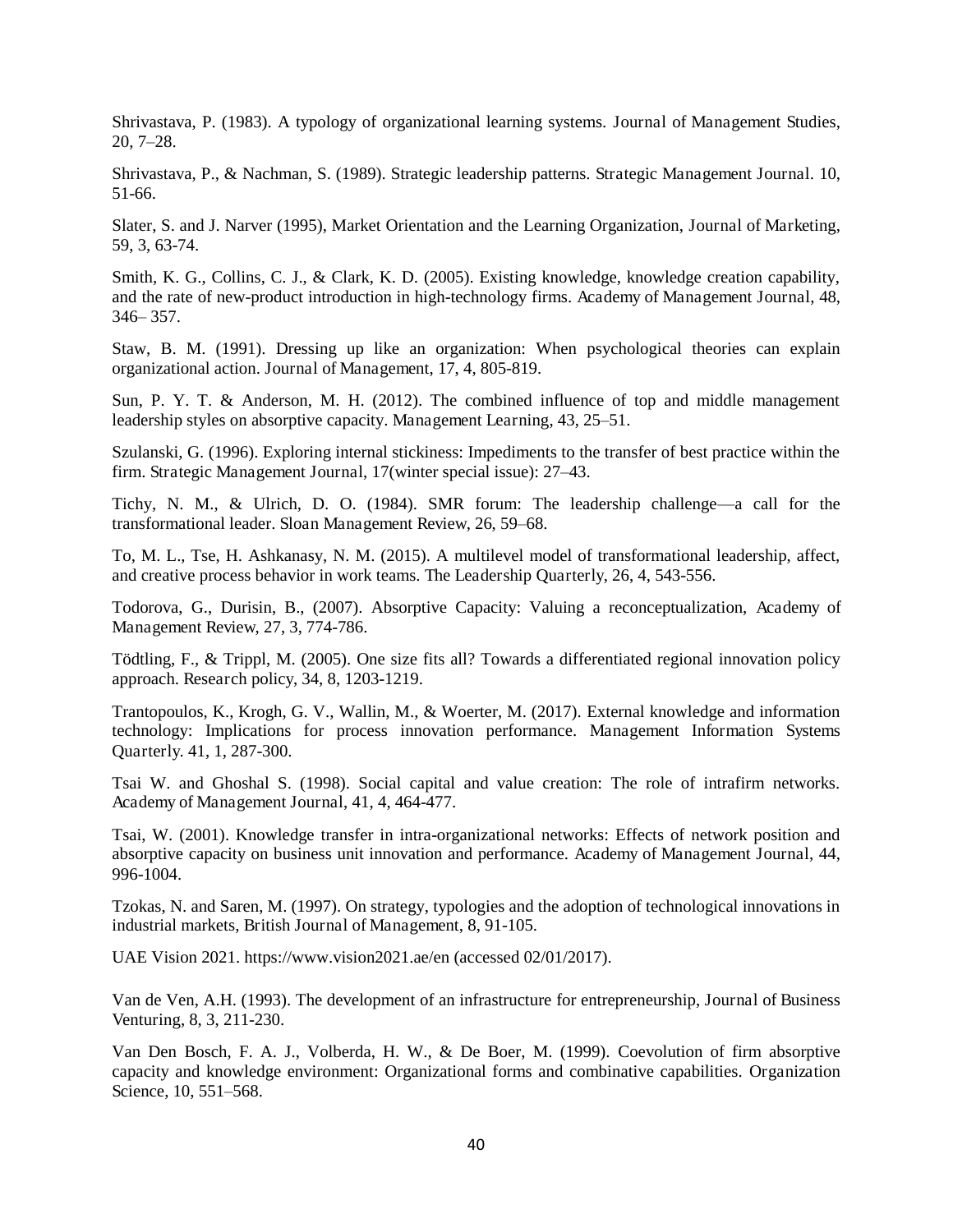Shrivastava, P. (1983). A typology of organizational learning systems. Journal of Management Studies, 20, 7–28.

Shrivastava, P., & Nachman, S. (1989). Strategic leadership patterns. Strategic Management Journal. 10, 51-66.

Slater, S. and J. Narver (1995), Market Orientation and the Learning Organization, Journal of Marketing, 59, 3, 63-74.

Smith, K. G., Collins, C. J., & Clark, K. D. (2005). Existing knowledge, knowledge creation capability, and the rate of new-product introduction in high-technology firms. Academy of Management Journal, 48, 346– 357.

Staw, B. M. (1991). Dressing up like an organization: When psychological theories can explain organizational action. Journal of Management, 17, 4, 805-819.

Sun, P. Y. T. & Anderson, M. H. (2012). The combined influence of top and middle management leadership styles on absorptive capacity. Management Learning, 43, 25–51.

Szulanski, G. (1996). Exploring internal stickiness: Impediments to the transfer of best practice within the firm. Strategic Management Journal, 17(winter special issue): 27–43.

Tichy, N. M., & Ulrich, D. O. (1984). SMR forum: The leadership challenge—a call for the transformational leader. Sloan Management Review, 26, 59–68.

To, M. L., Tse, H. Ashkanasy, N. M. (2015). A multilevel model of transformational leadership, affect, and creative process behavior in work teams. The Leadership Quarterly, 26, 4, 543-556.

Todorova, G., Durisin, B., (2007). Absorptive Capacity: Valuing a reconceptualization, Academy of Management Review, 27, 3, 774-786.

Tödtling, F., & Trippl, M. (2005). One size fits all? Towards a differentiated regional innovation policy approach. Research policy, 34, 8, 1203-1219.

Trantopoulos, K., Krogh, G. V., Wallin, M., & Woerter, M. (2017). External knowledge and information technology: Implications for process innovation performance. Management Information Systems Quarterly. 41, 1, 287-300.

Tsai W. and Ghoshal S. (1998). Social capital and value creation: The role of intrafirm networks. Academy of Management Journal, 41, 4, 464-477.

Tsai, W. (2001). Knowledge transfer in intra-organizational networks: Effects of network position and absorptive capacity on business unit innovation and performance. Academy of Management Journal, 44, 996-1004.

Tzokas, N. and Saren, M. (1997). On strategy, typologies and the adoption of technological innovations in industrial markets, British Journal of Management, 8, 91-105.

UAE Vision 2021. https://www.vision2021.ae/en (accessed 02/01/2017).

Van de Ven, A.H. (1993). The development of an infrastructure for entrepreneurship, Journal of Business Venturing, 8, 3, 211-230.

Van Den Bosch, F. A. J., Volberda, H. W., & De Boer, M. (1999). Coevolution of firm absorptive capacity and knowledge environment: Organizational forms and combinative capabilities. Organization Science, 10, 551–568.